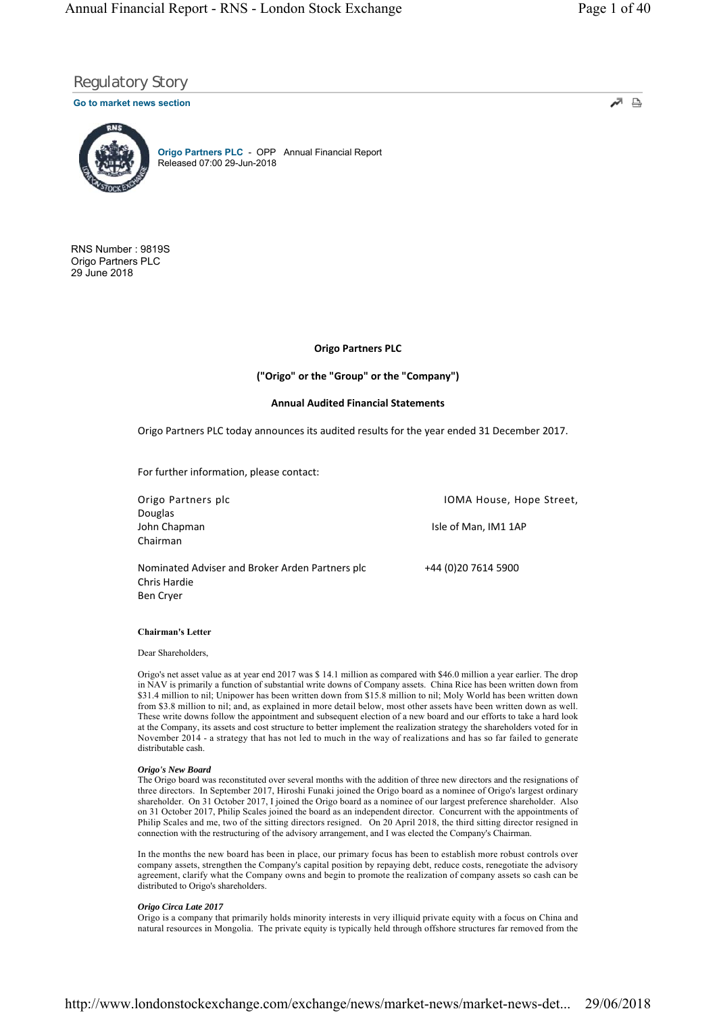≞ ⊼∕

# Regulatory Story

# **Go to market news section**



**Origo Partners PLC** - OPP Annual Financial Report Released 07:00 29-Jun-2018

RNS Number : 9819S Origo Partners PLC 29 June 2018

# **Origo Partners PLC**

**("Origo" or the "Group" or the "Company")**

# **Annual Audited Financial Statements**

Origo Partners PLC today announces its audited results for the year ended 31 December 2017.

For further information, please contact:

Douglas Chairman

Chris Hardie

Origo Partners plc **IOMA** House, Hope Street, John Chapman **Isle of Man, IM1 1AP** 

Ben Cryer

**Chairman's Letter**

#### Dear Shareholders,

Origo's net asset value as at year end 2017 was \$ 14.1 million as compared with \$46.0 million a year earlier. The drop in NAV is primarily a function of substantial write downs of Company assets. China Rice has been written down from \$31.4 million to nil; Unipower has been written down from \$15.8 million to nil; Moly World has been written down from \$3.8 million to nil; and, as explained in more detail below, most other assets have been written down as well. These write downs follow the appointment and subsequent election of a new board and our efforts to take a hard look at the Company, its assets and cost structure to better implement the realization strategy the shareholders voted for in November 2014 - a strategy that has not led to much in the way of realizations and has so far failed to generate distributable cash.

### *Origo's New Board*

The Origo board was reconstituted over several months with the addition of three new directors and the resignations of three directors. In September 2017, Hiroshi Funaki joined the Origo board as a nominee of Origo's largest ordinary shareholder. On 31 October 2017, I joined the Origo board as a nominee of our largest preference shareholder. Also on 31 October 2017, Philip Scales joined the board as an independent director. Concurrent with the appointments of Philip Scales and me, two of the sitting directors resigned. On 20 April 2018, the third sitting director resigned in connection with the restructuring of the advisory arrangement, and I was elected the Company's Chairman.

In the months the new board has been in place, our primary focus has been to establish more robust controls over company assets, strengthen the Company's capital position by repaying debt, reduce costs, renegotiate the advisory agreement, clarify what the Company owns and begin to promote the realization of company assets so cash can be distributed to Origo's shareholders.

### *Origo Circa Late 2017*

Origo is a company that primarily holds minority interests in very illiquid private equity with a focus on China and natural resources in Mongolia. The private equity is typically held through offshore structures far removed from the

Nominated Adviser and Broker Arden Partners plc +44 (0)20 7614 5900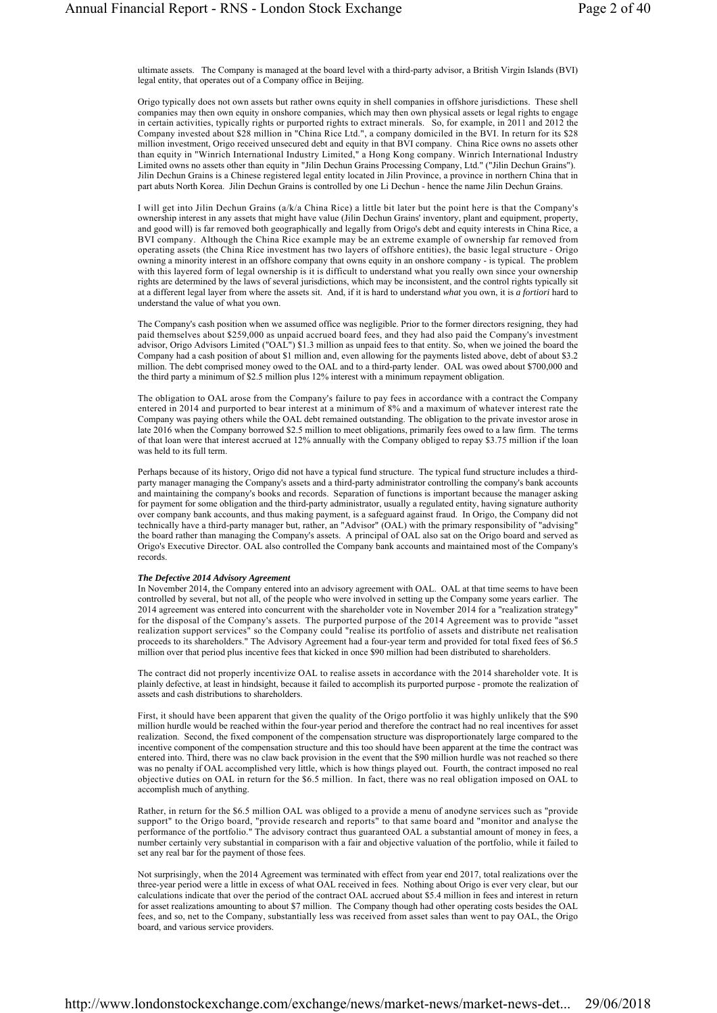ultimate assets. The Company is managed at the board level with a third-party advisor, a British Virgin Islands (BVI) legal entity, that operates out of a Company office in Beijing.

Origo typically does not own assets but rather owns equity in shell companies in offshore jurisdictions. These shell companies may then own equity in onshore companies, which may then own physical assets or legal rights to engage in certain activities, typically rights or purported rights to extract minerals. So, for example, in 2011 and 2012 the Company invested about \$28 million in "China Rice Ltd.", a company domiciled in the BVI. In return for its \$28 million investment, Origo received unsecured debt and equity in that BVI company. China Rice owns no assets other than equity in "Winrich International Industry Limited," a Hong Kong company. Winrich International Industry Limited owns no assets other than equity in "Jilin Dechun Grains Processing Company, Ltd." ("Jilin Dechun Grains"). Jilin Dechun Grains is a Chinese registered legal entity located in Jilin Province, a province in northern China that in part abuts North Korea. Jilin Dechun Grains is controlled by one Li Dechun - hence the name Jilin Dechun Grains.

I will get into Jilin Dechun Grains (a/k/a China Rice) a little bit later but the point here is that the Company's ownership interest in any assets that might have value (Jilin Dechun Grains' inventory, plant and equipment, property, and good will) is far removed both geographically and legally from Origo's debt and equity interests in China Rice, a BVI company. Although the China Rice example may be an extreme example of ownership far removed from operating assets (the China Rice investment has two layers of offshore entities), the basic legal structure - Origo owning a minority interest in an offshore company that owns equity in an onshore company - is typical. The problem with this layered form of legal ownership is it is difficult to understand what you really own since your ownership rights are determined by the laws of several jurisdictions, which may be inconsistent, and the control rights typically sit at a different legal layer from where the assets sit. And, if it is hard to understand *what* you own, it is *a fortiori* hard to understand the value of what you own.

The Company's cash position when we assumed office was negligible. Prior to the former directors resigning, they had paid themselves about \$259,000 as unpaid accrued board fees, and they had also paid the Company's investment advisor, Origo Advisors Limited ("OAL") \$1.3 million as unpaid fees to that entity. So, when we joined the board the Company had a cash position of about \$1 million and, even allowing for the payments listed above, debt of about \$3.2 million. The debt comprised money owed to the OAL and to a third-party lender. OAL was owed about \$700,000 and the third party a minimum of \$2.5 million plus 12% interest with a minimum repayment obligation.

The obligation to OAL arose from the Company's failure to pay fees in accordance with a contract the Company entered in 2014 and purported to bear interest at a minimum of 8% and a maximum of whatever interest rate the Company was paying others while the OAL debt remained outstanding. The obligation to the private investor arose in late 2016 when the Company borrowed \$2.5 million to meet obligations, primarily fees owed to a law firm. The terms of that loan were that interest accrued at 12% annually with the Company obliged to repay \$3.75 million if the loan was held to its full term.

Perhaps because of its history, Origo did not have a typical fund structure. The typical fund structure includes a thirdparty manager managing the Company's assets and a third-party administrator controlling the company's bank accounts and maintaining the company's books and records. Separation of functions is important because the manager asking for payment for some obligation and the third-party administrator, usually a regulated entity, having signature authority over company bank accounts, and thus making payment, is a safeguard against fraud. In Origo, the Company did not technically have a third-party manager but, rather, an "Advisor" (OAL) with the primary responsibility of "advising" the board rather than managing the Company's assets. A principal of OAL also sat on the Origo board and served as Origo's Executive Director. OAL also controlled the Company bank accounts and maintained most of the Company's records.

# *The Defective 2014 Advisory Agreement*

In November 2014, the Company entered into an advisory agreement with OAL. OAL at that time seems to have been controlled by several, but not all, of the people who were involved in setting up the Company some years earlier. The 2014 agreement was entered into concurrent with the shareholder vote in November 2014 for a "realization strategy" for the disposal of the Company's assets. The purported purpose of the 2014 Agreement was to provide "asset realization support services" so the Company could "realise its portfolio of assets and distribute net realisation proceeds to its shareholders." The Advisory Agreement had a four-year term and provided for total fixed fees of \$6.5 million over that period plus incentive fees that kicked in once \$90 million had been distributed to shareholders.

The contract did not properly incentivize OAL to realise assets in accordance with the 2014 shareholder vote. It is plainly defective, at least in hindsight, because it failed to accomplish its purported purpose - promote the realization of assets and cash distributions to shareholders.

First, it should have been apparent that given the quality of the Origo portfolio it was highly unlikely that the \$90 million hurdle would be reached within the four-year period and therefore the contract had no real incentives for asset realization. Second, the fixed component of the compensation structure was disproportionately large compared to the incentive component of the compensation structure and this too should have been apparent at the time the contract was entered into. Third, there was no claw back provision in the event that the \$90 million hurdle was not reached so there was no penalty if OAL accomplished very little, which is how things played out. Fourth, the contract imposed no real objective duties on OAL in return for the \$6.5 million. In fact, there was no real obligation imposed on OAL to accomplish much of anything.

Rather, in return for the \$6.5 million OAL was obliged to a provide a menu of anodyne services such as "provide support" to the Origo board, "provide research and reports" to that same board and "monitor and analyse the performance of the portfolio." The advisory contract thus guaranteed OAL a substantial amount of money in fees, a number certainly very substantial in comparison with a fair and objective valuation of the portfolio, while it failed to set any real bar for the payment of those fees.

Not surprisingly, when the 2014 Agreement was terminated with effect from year end 2017, total realizations over the three-year period were a little in excess of what OAL received in fees. Nothing about Origo is ever very clear, but our calculations indicate that over the period of the contract OAL accrued about \$5.4 million in fees and interest in return for asset realizations amounting to about \$7 million. The Company though had other operating costs besides the OAL fees, and so, net to the Company, substantially less was received from asset sales than went to pay OAL, the Origo board, and various service providers.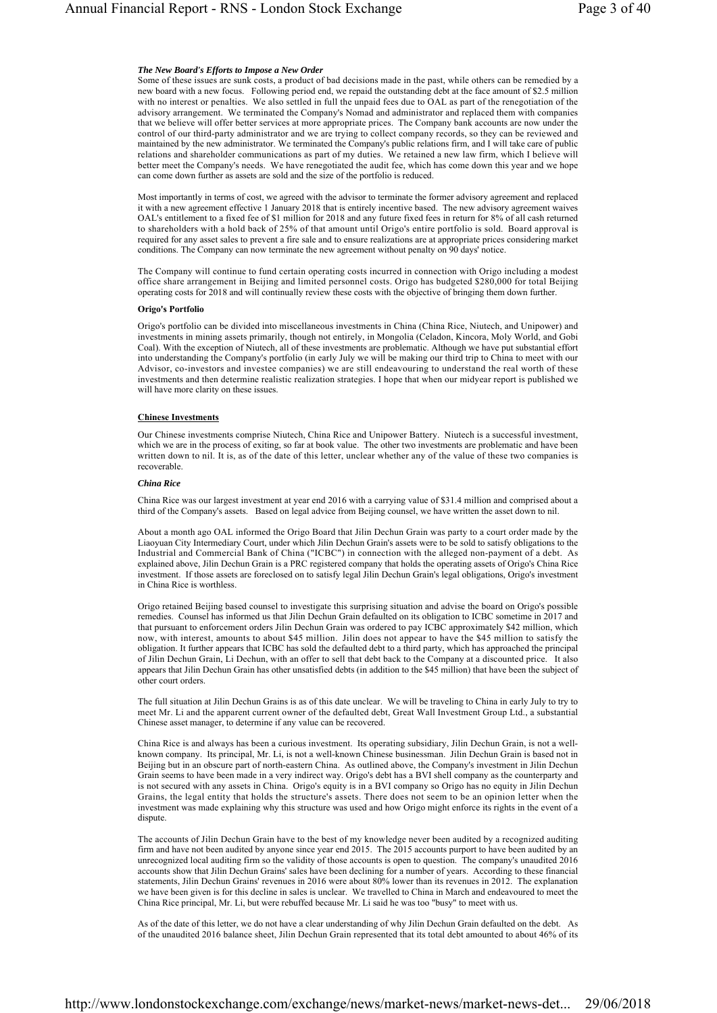## *The New Board's Efforts to Impose a New Order*

Some of these issues are sunk costs, a product of bad decisions made in the past, while others can be remedied by a new board with a new focus. Following period end, we repaid the outstanding debt at the face amount of \$2.5 million with no interest or penalties. We also settled in full the unpaid fees due to OAL as part of the renegotiation of the advisory arrangement. We terminated the Company's Nomad and administrator and replaced them with companies that we believe will offer better services at more appropriate prices. The Company bank accounts are now under the control of our third-party administrator and we are trying to collect company records, so they can be reviewed and maintained by the new administrator. We terminated the Company's public relations firm, and I will take care of public relations and shareholder communications as part of my duties. We retained a new law firm, which I believe will better meet the Company's needs. We have renegotiated the audit fee, which has come down this year and we hope can come down further as assets are sold and the size of the portfolio is reduced.

Most importantly in terms of cost, we agreed with the advisor to terminate the former advisory agreement and replaced it with a new agreement effective 1 January 2018 that is entirely incentive based. The new advisory agreement waives OAL's entitlement to a fixed fee of \$1 million for 2018 and any future fixed fees in return for 8% of all cash returned to shareholders with a hold back of 25% of that amount until Origo's entire portfolio is sold. Board approval is required for any asset sales to prevent a fire sale and to ensure realizations are at appropriate prices considering market conditions. The Company can now terminate the new agreement without penalty on 90 days' notice.

The Company will continue to fund certain operating costs incurred in connection with Origo including a modest office share arrangement in Beijing and limited personnel costs. Origo has budgeted \$280,000 for total Beijing operating costs for 2018 and will continually review these costs with the objective of bringing them down further.

### **Origo's Portfolio**

Origo's portfolio can be divided into miscellaneous investments in China (China Rice, Niutech, and Unipower) and investments in mining assets primarily, though not entirely, in Mongolia (Celadon, Kincora, Moly World, and Gobi Coal). With the exception of Niutech, all of these investments are problematic. Although we have put substantial effort into understanding the Company's portfolio (in early July we will be making our third trip to China to meet with our Advisor, co-investors and investee companies) we are still endeavouring to understand the real worth of these investments and then determine realistic realization strategies. I hope that when our midyear report is published we will have more clarity on these issues.

#### **Chinese Investments**

Our Chinese investments comprise Niutech, China Rice and Unipower Battery. Niutech is a successful investment, which we are in the process of exiting, so far at book value. The other two investments are problematic and have been written down to nil. It is, as of the date of this letter, unclear whether any of the value of these two companies is recoverable.

### *China Rice*

China Rice was our largest investment at year end 2016 with a carrying value of \$31.4 million and comprised about a third of the Company's assets. Based on legal advice from Beijing counsel, we have written the asset down to nil.

About a month ago OAL informed the Origo Board that Jilin Dechun Grain was party to a court order made by the Liaoyuan City Intermediary Court, under which Jilin Dechun Grain's assets were to be sold to satisfy obligations to the Industrial and Commercial Bank of China ("ICBC") in connection with the alleged non-payment of a debt. As explained above, Jilin Dechun Grain is a PRC registered company that holds the operating assets of Origo's China Rice investment. If those assets are foreclosed on to satisfy legal Jilin Dechun Grain's legal obligations, Origo's investment in China Rice is worthless.

Origo retained Beijing based counsel to investigate this surprising situation and advise the board on Origo's possible remedies. Counsel has informed us that Jilin Dechun Grain defaulted on its obligation to ICBC sometime in 2017 and that pursuant to enforcement orders Jilin Dechun Grain was ordered to pay ICBC approximately \$42 million, which now, with interest, amounts to about \$45 million. Jilin does not appear to have the \$45 million to satisfy the obligation. It further appears that ICBC has sold the defaulted debt to a third party, which has approached the principal of Jilin Dechun Grain, Li Dechun, with an offer to sell that debt back to the Company at a discounted price. It also appears that Jilin Dechun Grain has other unsatisfied debts (in addition to the \$45 million) that have been the subject of other court orders.

The full situation at Jilin Dechun Grains is as of this date unclear. We will be traveling to China in early July to try to meet Mr. Li and the apparent current owner of the defaulted debt, Great Wall Investment Group Ltd., a substantial Chinese asset manager, to determine if any value can be recovered.

China Rice is and always has been a curious investment. Its operating subsidiary, Jilin Dechun Grain, is not a wellknown company. Its principal, Mr. Li, is not a well-known Chinese businessman. Jilin Dechun Grain is based not in Beijing but in an obscure part of north-eastern China. As outlined above, the Company's investment in Jilin Dechun Grain seems to have been made in a very indirect way. Origo's debt has a BVI shell company as the counterparty and is not secured with any assets in China. Origo's equity is in a BVI company so Origo has no equity in Jilin Dechun Grains, the legal entity that holds the structure's assets. There does not seem to be an opinion letter when the investment was made explaining why this structure was used and how Origo might enforce its rights in the event of a dispute.

The accounts of Jilin Dechun Grain have to the best of my knowledge never been audited by a recognized auditing firm and have not been audited by anyone since year end 2015. The 2015 accounts purport to have been audited by an unrecognized local auditing firm so the validity of those accounts is open to question. The company's unaudited 2016 accounts show that Jilin Dechun Grains' sales have been declining for a number of years. According to these financial statements, Jilin Dechun Grains' revenues in 2016 were about 80% lower than its revenues in 2012. The explanation we have been given is for this decline in sales is unclear. We travelled to China in March and endeavoured to meet the China Rice principal, Mr. Li, but were rebuffed because Mr. Li said he was too "busy" to meet with us.

As of the date of this letter, we do not have a clear understanding of why Jilin Dechun Grain defaulted on the debt. As of the unaudited 2016 balance sheet, Jilin Dechun Grain represented that its total debt amounted to about 46% of its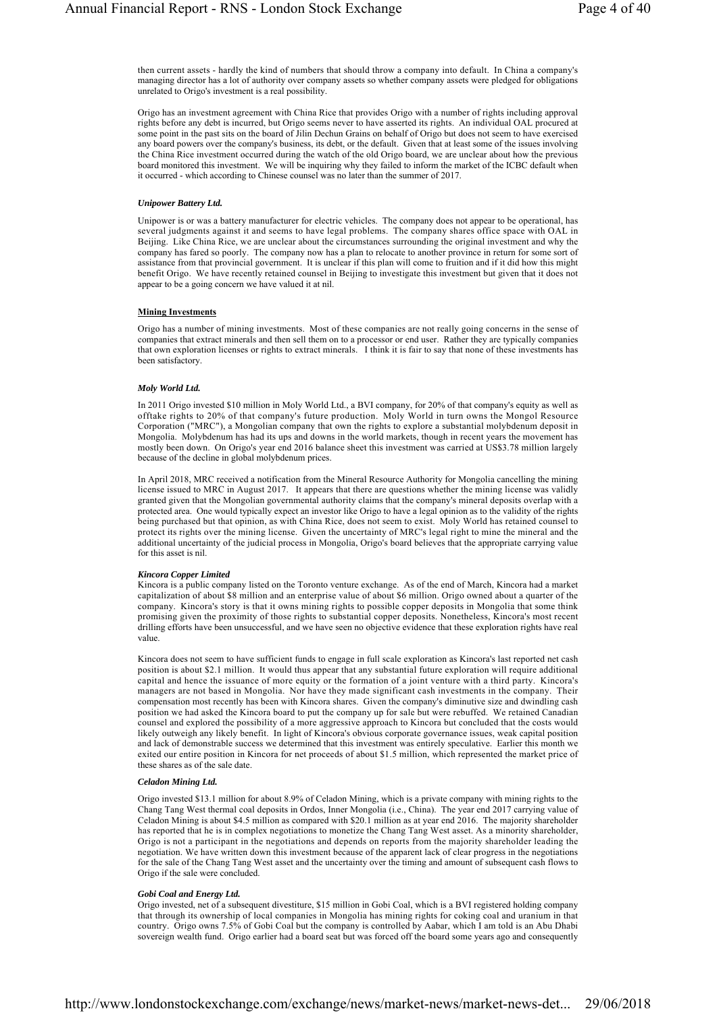then current assets - hardly the kind of numbers that should throw a company into default. In China a company's managing director has a lot of authority over company assets so whether company assets were pledged for obligations unrelated to Origo's investment is a real possibility.

Origo has an investment agreement with China Rice that provides Origo with a number of rights including approval rights before any debt is incurred, but Origo seems never to have asserted its rights. An individual OAL procured at some point in the past sits on the board of Jilin Dechun Grains on behalf of Origo but does not seem to have exercised any board powers over the company's business, its debt, or the default. Given that at least some of the issues involving the China Rice investment occurred during the watch of the old Origo board, we are unclear about how the previous board monitored this investment. We will be inquiring why they failed to inform the market of the ICBC default when it occurred - which according to Chinese counsel was no later than the summer of 2017.

### *Unipower Battery Ltd.*

Unipower is or was a battery manufacturer for electric vehicles. The company does not appear to be operational, has several judgments against it and seems to have legal problems. The company shares office space with OAL in Beijing. Like China Rice, we are unclear about the circumstances surrounding the original investment and why the company has fared so poorly. The company now has a plan to relocate to another province in return for some sort of assistance from that provincial government. It is unclear if this plan will come to fruition and if it did how this might benefit Origo. We have recently retained counsel in Beijing to investigate this investment but given that it does not appear to be a going concern we have valued it at nil.

#### **Mining Investments**

Origo has a number of mining investments. Most of these companies are not really going concerns in the sense of companies that extract minerals and then sell them on to a processor or end user. Rather they are typically companies that own exploration licenses or rights to extract minerals. I think it is fair to say that none of these investments has been satisfactory.

# *Moly World Ltd.*

In 2011 Origo invested \$10 million in Moly World Ltd., a BVI company, for 20% of that company's equity as well as offtake rights to 20% of that company's future production. Moly World in turn owns the Mongol Resource Corporation ("MRC"), a Mongolian company that own the rights to explore a substantial molybdenum deposit in Mongolia. Molybdenum has had its ups and downs in the world markets, though in recent years the movement has mostly been down. On Origo's year end 2016 balance sheet this investment was carried at US\$3.78 million largely because of the decline in global molybdenum prices.

In April 2018, MRC received a notification from the Mineral Resource Authority for Mongolia cancelling the mining license issued to MRC in August 2017. It appears that there are questions whether the mining license was validly granted given that the Mongolian governmental authority claims that the company's mineral deposits overlap with a protected area. One would typically expect an investor like Origo to have a legal opinion as to the validity of the rights being purchased but that opinion, as with China Rice, does not seem to exist. Moly World has retained counsel to protect its rights over the mining license. Given the uncertainty of MRC's legal right to mine the mineral and the additional uncertainty of the judicial process in Mongolia, Origo's board believes that the appropriate carrying value for this asset is nil.

#### *Kincora Copper Limited*

Kincora is a public company listed on the Toronto venture exchange. As of the end of March, Kincora had a market capitalization of about \$8 million and an enterprise value of about \$6 million. Origo owned about a quarter of the company. Kincora's story is that it owns mining rights to possible copper deposits in Mongolia that some think promising given the proximity of those rights to substantial copper deposits. Nonetheless, Kincora's most recent drilling efforts have been unsuccessful, and we have seen no objective evidence that these exploration rights have real value.

Kincora does not seem to have sufficient funds to engage in full scale exploration as Kincora's last reported net cash position is about \$2.1 million. It would thus appear that any substantial future exploration will require additional capital and hence the issuance of more equity or the formation of a joint venture with a third party. Kincora's managers are not based in Mongolia. Nor have they made significant cash investments in the company. Their compensation most recently has been with Kincora shares. Given the company's diminutive size and dwindling cash position we had asked the Kincora board to put the company up for sale but were rebuffed. We retained Canadian counsel and explored the possibility of a more aggressive approach to Kincora but concluded that the costs would likely outweigh any likely benefit. In light of Kincora's obvious corporate governance issues, weak capital position and lack of demonstrable success we determined that this investment was entirely speculative. Earlier this month we exited our entire position in Kincora for net proceeds of about \$1.5 million, which represented the market price of these shares as of the sale date.

#### *Celadon Mining Ltd.*

Origo invested \$13.1 million for about 8.9% of Celadon Mining, which is a private company with mining rights to the Chang Tang West thermal coal deposits in Ordos, Inner Mongolia (i.e., China). The year end 2017 carrying value of Celadon Mining is about \$4.5 million as compared with \$20.1 million as at year end 2016. The majority shareholder has reported that he is in complex negotiations to monetize the Chang Tang West asset. As a minority shareholder, Origo is not a participant in the negotiations and depends on reports from the majority shareholder leading the negotiation. We have written down this investment because of the apparent lack of clear progress in the negotiations for the sale of the Chang Tang West asset and the uncertainty over the timing and amount of subsequent cash flows to Origo if the sale were concluded.

#### *Gobi Coal and Energy Ltd.*

Origo invested, net of a subsequent divestiture, \$15 million in Gobi Coal, which is a BVI registered holding company that through its ownership of local companies in Mongolia has mining rights for coking coal and uranium in that country. Origo owns 7.5% of Gobi Coal but the company is controlled by Aabar, which I am told is an Abu Dhabi sovereign wealth fund. Origo earlier had a board seat but was forced off the board some years ago and consequently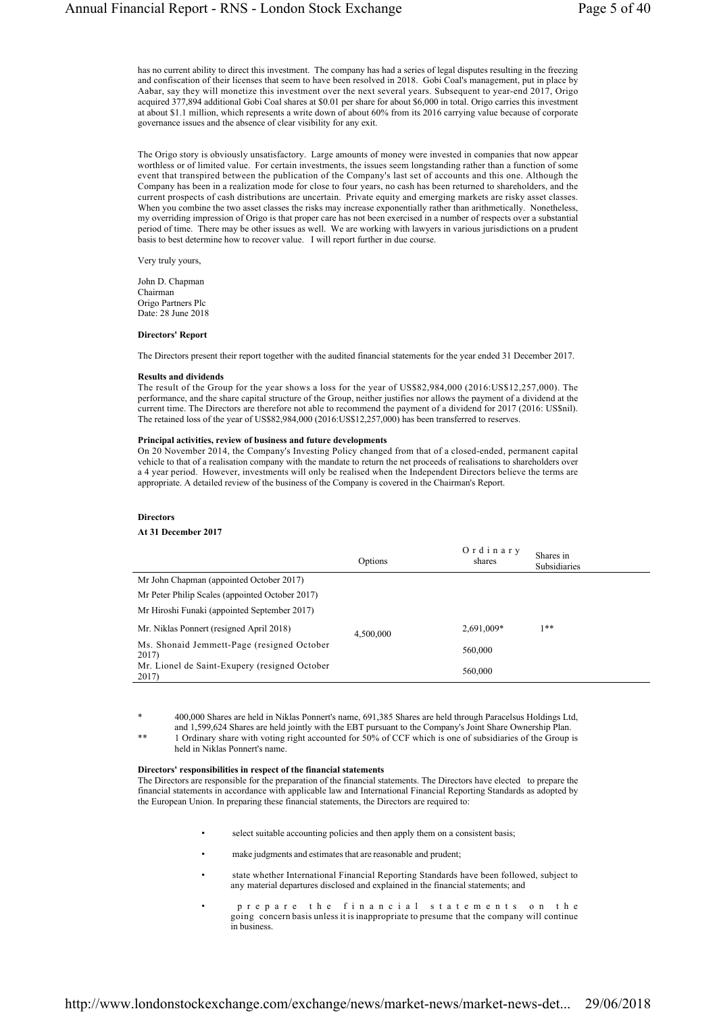has no current ability to direct this investment. The company has had a series of legal disputes resulting in the freezing and confiscation of their licenses that seem to have been resolved in 2018. Gobi Coal's management, put in place by Aabar, say they will monetize this investment over the next several years. Subsequent to year-end 2017, Origo acquired 377,894 additional Gobi Coal shares at \$0.01 per share for about \$6,000 in total. Origo carries this investment at about \$1.1 million, which represents a write down of about 60% from its 2016 carrying value because of corporate governance issues and the absence of clear visibility for any exit.

The Origo story is obviously unsatisfactory. Large amounts of money were invested in companies that now appear worthless or of limited value. For certain investments, the issues seem longstanding rather than a function of some event that transpired between the publication of the Company's last set of accounts and this one. Although the Company has been in a realization mode for close to four years, no cash has been returned to shareholders, and the current prospects of cash distributions are uncertain. Private equity and emerging markets are risky asset classes. When you combine the two asset classes the risks may increase exponentially rather than arithmetically. Nonetheless, my overriding impression of Origo is that proper care has not been exercised in a number of respects over a substantial period of time. There may be other issues as well. We are working with lawyers in various jurisdictions on a prudent basis to best determine how to recover value. I will report further in due course.

Very truly yours,

John D. Chapman Chairman Origo Partners Plc Date: 28 June 2018

### **Directors' Report**

The Directors present their report together with the audited financial statements for the year ended 31 December 2017.

#### **Results and dividends**

The result of the Group for the year shows a loss for the year of US\$82,984,000 (2016:US\$12,257,000). The performance, and the share capital structure of the Group, neither justifies nor allows the payment of a dividend at the current time. The Directors are therefore not able to recommend the payment of a dividend for 2017 (2016: US\$nil). The retained loss of the year of US\$82,984,000 (2016:US\$12,257,000) has been transferred to reserves.

#### **Principal activities, review of business and future developments**

On 20 November 2014, the Company's Investing Policy changed from that of a closed-ended, permanent capital vehicle to that of a realisation company with the mandate to return the net proceeds of realisations to shareholders over a 4 year period. However, investments will only be realised when the Independent Directors believe the terms are appropriate. A detailed review of the business of the Company is covered in the Chairman's Report.

#### **Directors**

#### **At 31 December 2017**

|                                                        | Options   | Ordinary<br>shares | Shares in<br><b>Subsidiaries</b> |
|--------------------------------------------------------|-----------|--------------------|----------------------------------|
| Mr John Chapman (appointed October 2017)               |           |                    |                                  |
| Mr Peter Philip Scales (appointed October 2017)        |           |                    |                                  |
| Mr Hiroshi Funaki (appointed September 2017)           |           |                    |                                  |
| Mr. Niklas Ponnert (resigned April 2018)               | 4,500,000 | 2,691,009*         | $1**$                            |
| Ms. Shonaid Jemmett-Page (resigned October<br>2017)    |           | 560,000            |                                  |
| Mr. Lionel de Saint-Exupery (resigned October<br>2017) |           | 560,000            |                                  |

\* 400,000 Shares are held in Niklas Ponnert's name, 691,385 Shares are held through Paracelsus Holdings Ltd, and 1,599,624 Shares are held jointly with the EBT pursuant to the Company's Joint Share Ownership Plan.

\*\* 1 Ordinary share with voting right accounted for 50% of CCF which is one of subsidiaries of the Group is held in Niklas Ponnert's name.

## **Directors' responsibilities in respect of the financial statements**

The Directors are responsible for the preparation of the financial statements. The Directors have elected to prepare the financial statements in accordance with applicable law and International Financial Reporting Standards as adopted by the European Union. In preparing these financial statements, the Directors are required to:

- select suitable accounting policies and then apply them on a consistent basis;
- make judgments and estimates that are reasonable and prudent;
- state whether International Financial Reporting Standards have been followed, subject to any material departures disclosed and explained in the financial statements; and
- prepare the financial statements on the going concern basis unless it is inappropriate to presume that the company will continue in business.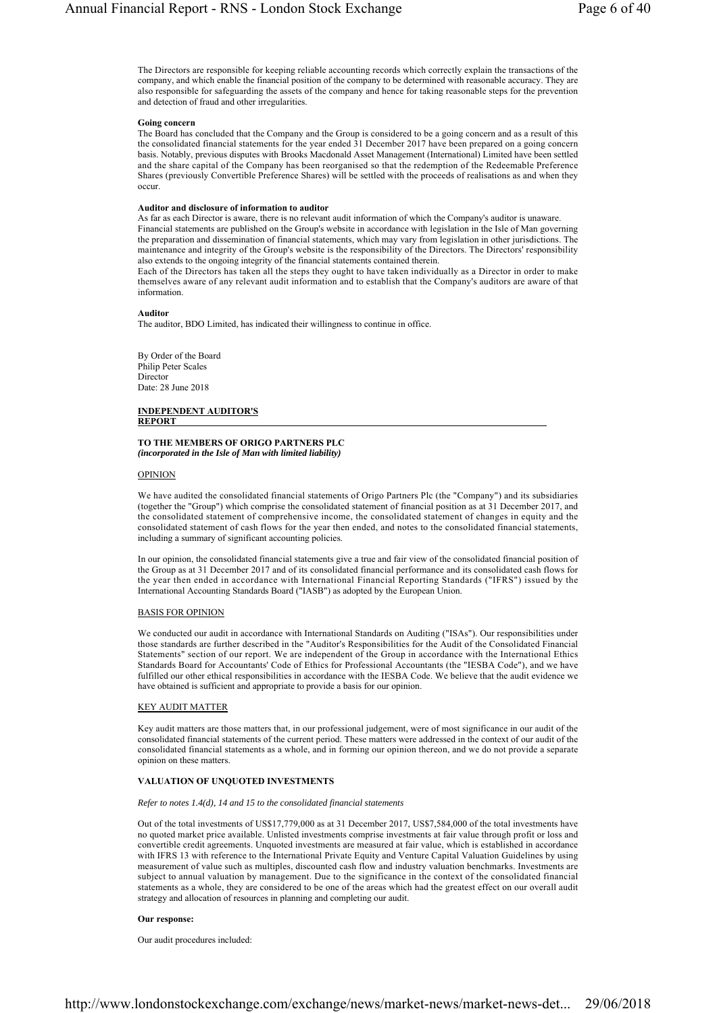The Directors are responsible for keeping reliable accounting records which correctly explain the transactions of the company, and which enable the financial position of the company to be determined with reasonable accuracy. They are also responsible for safeguarding the assets of the company and hence for taking reasonable steps for the prevention and detection of fraud and other irregularities.

#### **Going concern**

The Board has concluded that the Company and the Group is considered to be a going concern and as a result of this the consolidated financial statements for the year ended 31 December 2017 have been prepared on a going concern basis. Notably, previous disputes with Brooks Macdonald Asset Management (International) Limited have been settled and the share capital of the Company has been reorganised so that the redemption of the Redeemable Preference Shares (previously Convertible Preference Shares) will be settled with the proceeds of realisations as and when they occur.

#### **Auditor and disclosure of information to auditor**

As far as each Director is aware, there is no relevant audit information of which the Company's auditor is unaware. Financial statements are published on the Group's website in accordance with legislation in the Isle of Man governing the preparation and dissemination of financial statements, which may vary from legislation in other jurisdictions. The maintenance and integrity of the Group's website is the responsibility of the Directors. The Directors' responsibility also extends to the ongoing integrity of the financial statements contained therein.

Each of the Directors has taken all the steps they ought to have taken individually as a Director in order to make themselves aware of any relevant audit information and to establish that the Company's auditors are aware of that information.

#### **Auditor**

The auditor, BDO Limited, has indicated their willingness to continue in office.

By Order of the Board Philip Peter Scales **Director** Date: 28 June 2018

**INDEPENDENT AUDITOR'S REPORT** 

#### **TO THE MEMBERS OF ORIGO PARTNERS PLC**  *(incorporated in the Isle of Man with limited liability)*

#### OPINION

We have audited the consolidated financial statements of Origo Partners Plc (the "Company") and its subsidiaries (together the "Group") which comprise the consolidated statement of financial position as at 31 December 2017, and the consolidated statement of comprehensive income, the consolidated statement of changes in equity and the consolidated statement of cash flows for the year then ended, and notes to the consolidated financial statements, including a summary of significant accounting policies.

In our opinion, the consolidated financial statements give a true and fair view of the consolidated financial position of the Group as at 31 December 2017 and of its consolidated financial performance and its consolidated cash flows for the year then ended in accordance with International Financial Reporting Standards ("IFRS") issued by the International Accounting Standards Board ("IASB") as adopted by the European Union.

### BASIS FOR OPINION

We conducted our audit in accordance with International Standards on Auditing ("ISAs"). Our responsibilities under those standards are further described in the "Auditor's Responsibilities for the Audit of the Consolidated Financial Statements" section of our report. We are independent of the Group in accordance with the International Ethics Standards Board for Accountants' Code of Ethics for Professional Accountants (the "IESBA Code"), and we have fulfilled our other ethical responsibilities in accordance with the IESBA Code. We believe that the audit evidence we have obtained is sufficient and appropriate to provide a basis for our opinion.

#### KEY AUDIT MATTER

Key audit matters are those matters that, in our professional judgement, were of most significance in our audit of the consolidated financial statements of the current period. These matters were addressed in the context of our audit of the consolidated financial statements as a whole, and in forming our opinion thereon, and we do not provide a separate opinion on these matters.

## **VALUATION OF UNQUOTED INVESTMENTS**

#### *Refer to notes 1.4(d), 14 and 15 to the consolidated financial statements*

Out of the total investments of US\$17,779,000 as at 31 December 2017, US\$7,584,000 of the total investments have no quoted market price available. Unlisted investments comprise investments at fair value through profit or loss and convertible credit agreements. Unquoted investments are measured at fair value, which is established in accordance with IFRS 13 with reference to the International Private Equity and Venture Capital Valuation Guidelines by using measurement of value such as multiples, discounted cash flow and industry valuation benchmarks. Investments are subject to annual valuation by management. Due to the significance in the context of the consolidated financial statements as a whole, they are considered to be one of the areas which had the greatest effect on our overall audit strategy and allocation of resources in planning and completing our audit.

#### **Our response:**

Our audit procedures included: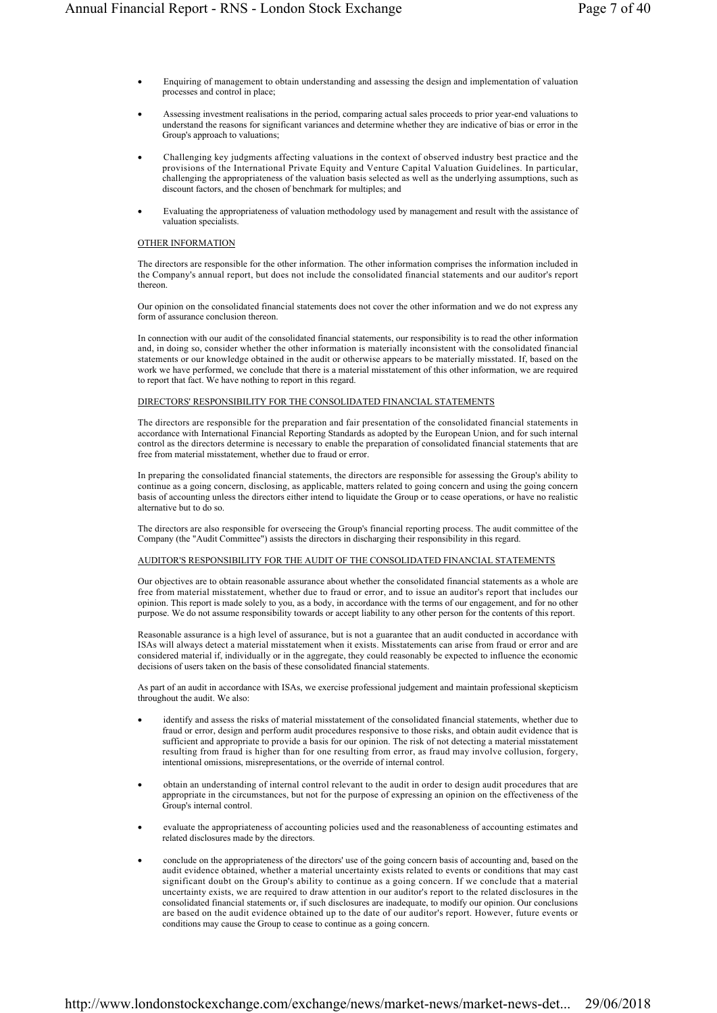- Enquiring of management to obtain understanding and assessing the design and implementation of valuation processes and control in place;
- Assessing investment realisations in the period, comparing actual sales proceeds to prior year-end valuations to understand the reasons for significant variances and determine whether they are indicative of bias or error in the Group's approach to valuations;
- Challenging key judgments affecting valuations in the context of observed industry best practice and the provisions of the International Private Equity and Venture Capital Valuation Guidelines. In particular, challenging the appropriateness of the valuation basis selected as well as the underlying assumptions, such as discount factors, and the chosen of benchmark for multiples; and
- Evaluating the appropriateness of valuation methodology used by management and result with the assistance of valuation specialists.

# OTHER INFORMATION

The directors are responsible for the other information. The other information comprises the information included in the Company's annual report, but does not include the consolidated financial statements and our auditor's report thereon.

Our opinion on the consolidated financial statements does not cover the other information and we do not express any form of assurance conclusion thereon.

In connection with our audit of the consolidated financial statements, our responsibility is to read the other information and, in doing so, consider whether the other information is materially inconsistent with the consolidated financial statements or our knowledge obtained in the audit or otherwise appears to be materially misstated. If, based on the work we have performed, we conclude that there is a material misstatement of this other information, we are required to report that fact. We have nothing to report in this regard.

# DIRECTORS' RESPONSIBILITY FOR THE CONSOLIDATED FINANCIAL STATEMENTS

The directors are responsible for the preparation and fair presentation of the consolidated financial statements in accordance with International Financial Reporting Standards as adopted by the European Union, and for such internal control as the directors determine is necessary to enable the preparation of consolidated financial statements that are free from material misstatement, whether due to fraud or error.

In preparing the consolidated financial statements, the directors are responsible for assessing the Group's ability to continue as a going concern, disclosing, as applicable, matters related to going concern and using the going concern basis of accounting unless the directors either intend to liquidate the Group or to cease operations, or have no realistic alternative but to do so.

The directors are also responsible for overseeing the Group's financial reporting process. The audit committee of the Company (the "Audit Committee") assists the directors in discharging their responsibility in this regard.

# AUDITOR'S RESPONSIBILITY FOR THE AUDIT OF THE CONSOLIDATED FINANCIAL STATEMENTS

Our objectives are to obtain reasonable assurance about whether the consolidated financial statements as a whole are free from material misstatement, whether due to fraud or error, and to issue an auditor's report that includes our opinion. This report is made solely to you, as a body, in accordance with the terms of our engagement, and for no other purpose. We do not assume responsibility towards or accept liability to any other person for the contents of this report.

Reasonable assurance is a high level of assurance, but is not a guarantee that an audit conducted in accordance with ISAs will always detect a material misstatement when it exists. Misstatements can arise from fraud or error and are considered material if, individually or in the aggregate, they could reasonably be expected to influence the economic decisions of users taken on the basis of these consolidated financial statements.

As part of an audit in accordance with ISAs, we exercise professional judgement and maintain professional skepticism throughout the audit. We also:

- identify and assess the risks of material misstatement of the consolidated financial statements, whether due to fraud or error, design and perform audit procedures responsive to those risks, and obtain audit evidence that is sufficient and appropriate to provide a basis for our opinion. The risk of not detecting a material misstatement resulting from fraud is higher than for one resulting from error, as fraud may involve collusion, forgery, intentional omissions, misrepresentations, or the override of internal control.
- obtain an understanding of internal control relevant to the audit in order to design audit procedures that are appropriate in the circumstances, but not for the purpose of expressing an opinion on the effectiveness of the Group's internal control.
- evaluate the appropriateness of accounting policies used and the reasonableness of accounting estimates and related disclosures made by the directors.
- conclude on the appropriateness of the directors' use of the going concern basis of accounting and, based on the audit evidence obtained, whether a material uncertainty exists related to events or conditions that may cast significant doubt on the Group's ability to continue as a going concern. If we conclude that a material uncertainty exists, we are required to draw attention in our auditor's report to the related disclosures in the consolidated financial statements or, if such disclosures are inadequate, to modify our opinion. Our conclusions are based on the audit evidence obtained up to the date of our auditor's report. However, future events or conditions may cause the Group to cease to continue as a going concern.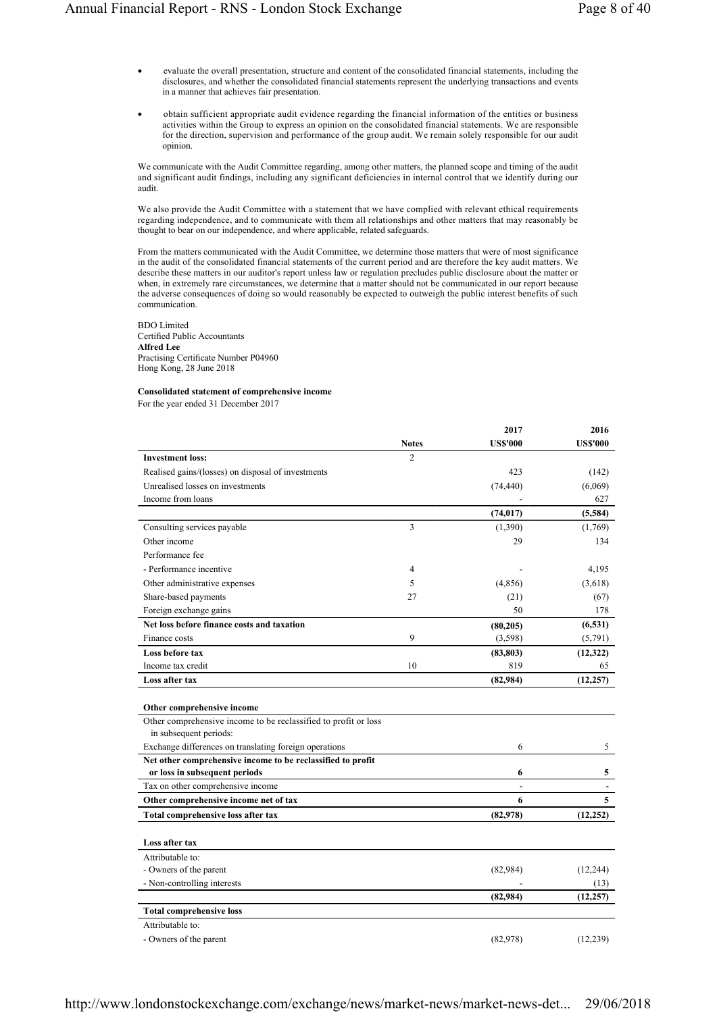- evaluate the overall presentation, structure and content of the consolidated financial statements, including the disclosures, and whether the consolidated financial statements represent the underlying transactions and events in a manner that achieves fair presentation.
- obtain sufficient appropriate audit evidence regarding the financial information of the entities or business activities within the Group to express an opinion on the consolidated financial statements. We are responsible for the direction, supervision and performance of the group audit. We remain solely responsible for our audit opinion.

We communicate with the Audit Committee regarding, among other matters, the planned scope and timing of the audit and significant audit findings, including any significant deficiencies in internal control that we identify during our audit.

We also provide the Audit Committee with a statement that we have complied with relevant ethical requirements regarding independence, and to communicate with them all relationships and other matters that may reasonably be thought to bear on our independence, and where applicable, related safeguards.

From the matters communicated with the Audit Committee, we determine those matters that were of most significance in the audit of the consolidated financial statements of the current period and are therefore the key audit matters. We describe these matters in our auditor's report unless law or regulation precludes public disclosure about the matter or when, in extremely rare circumstances, we determine that a matter should not be communicated in our report because the adverse consequences of doing so would reasonably be expected to outweigh the public interest benefits of such communication.

BDO Limited Certified Public Accountants **Alfred Lee** Practising Certificate Number P04960 Hong Kong, 28 June 2018

# **Consolidated statement of comprehensive income**

For the year ended 31 December 2017

|                                                                 |                | 2017            | 2016            |
|-----------------------------------------------------------------|----------------|-----------------|-----------------|
|                                                                 | <b>Notes</b>   | <b>US\$'000</b> | <b>US\$'000</b> |
| <b>Investment loss:</b>                                         | $\overline{c}$ |                 |                 |
| Realised gains/(losses) on disposal of investments              |                | 423             | (142)           |
| Unrealised losses on investments                                |                | (74, 440)       | (6,069)         |
| Income from loans                                               |                |                 | 627             |
|                                                                 |                | (74, 017)       | (5,584)         |
| Consulting services payable                                     | 3              | (1,390)         | (1,769)         |
| Other income                                                    |                | 29              | 134             |
| Performance fee                                                 |                |                 |                 |
| - Performance incentive                                         | 4              |                 | 4,195           |
| Other administrative expenses                                   | 5              | (4,856)         | (3,618)         |
| Share-based payments                                            | 27             | (21)            | (67)            |
| Foreign exchange gains                                          |                | 50              | 178             |
| Net loss before finance costs and taxation                      |                | (80, 205)       | (6, 531)        |
| Finance costs                                                   | 9              | (3, 598)        | (5,791)         |
| Loss before tax                                                 |                | (83, 803)       | (12, 322)       |
| Income tax credit                                               | 10             | 819             | 65              |
| Loss after tax                                                  |                | (82, 984)       | (12, 257)       |
|                                                                 |                |                 |                 |
| Other comprehensive income                                      |                |                 |                 |
| Other comprehensive income to be reclassified to profit or loss |                |                 |                 |
| in subsequent periods:                                          |                |                 |                 |
| Exchange differences on translating foreign operations          |                | 6               | 5               |
| Net other comprehensive income to be reclassified to profit     |                |                 |                 |
| or loss in subsequent periods                                   |                | 6               | 5               |
| Tax on other comprehensive income                               |                |                 |                 |
| Other comprehensive income net of tax                           |                | 6               | 5               |
| Total comprehensive loss after tax                              |                | (82,978)        | (12, 252)       |
|                                                                 |                |                 |                 |
| Loss after tax                                                  |                |                 |                 |
| Attributable to:                                                |                |                 |                 |
| - Owners of the parent                                          |                | (82,984)        | (12, 244)       |
| - Non-controlling interests                                     |                |                 | (13)            |
|                                                                 |                | (82, 984)       | (12, 257)       |
| <b>Total comprehensive loss</b>                                 |                |                 |                 |
| Attributable to:                                                |                |                 |                 |
| - Owners of the parent                                          |                | (82,978)        | (12, 239)       |

http://www.londonstockexchange.com/exchange/news/market-news/market-news-det... 29/06/2018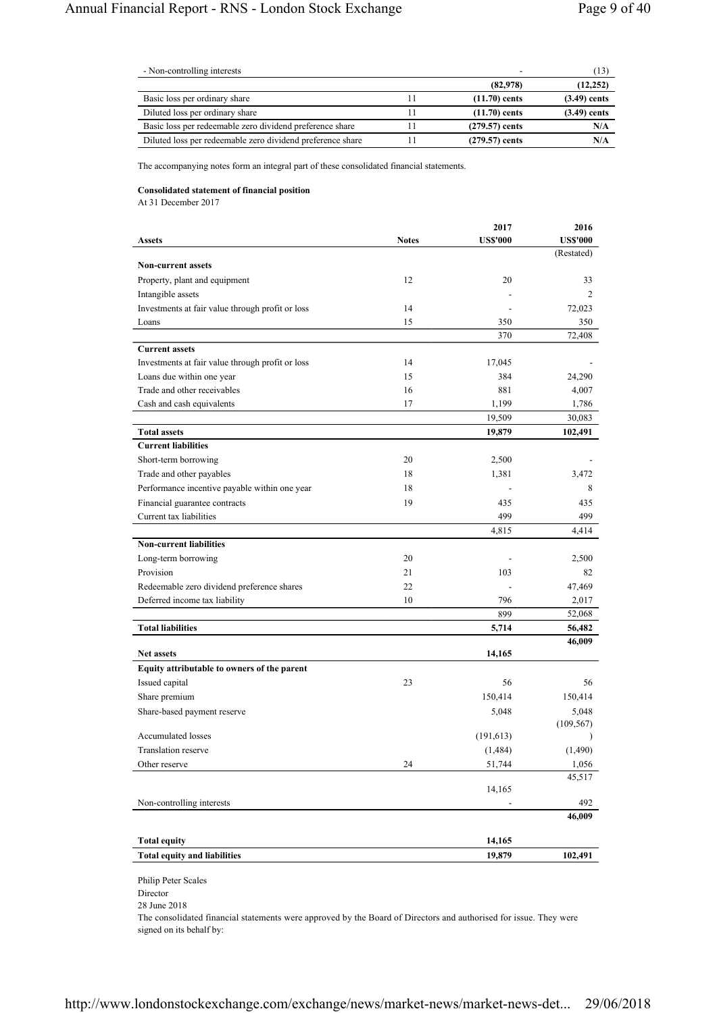| - Non-controlling interests                                |                  | 13             |
|------------------------------------------------------------|------------------|----------------|
|                                                            | (82,978)         | (12, 252)      |
| Basic loss per ordinary share                              | $(11.70)$ cents  | $(3.49)$ cents |
| Diluted loss per ordinary share                            | $(11.70)$ cents  | $(3.49)$ cents |
| Basic loss per redeemable zero dividend preference share   | $(279.57)$ cents | N/A            |
| Diluted loss per redeemable zero dividend preference share | $(279.57)$ cents | N/A            |

The accompanying notes form an integral part of these consolidated financial statements.

# **Consolidated statement of financial position**

At 31 December 2017

|                                                                           |              | 2017            | 2016              |
|---------------------------------------------------------------------------|--------------|-----------------|-------------------|
| <b>Assets</b>                                                             | <b>Notes</b> | <b>US\$'000</b> | <b>US\$'000</b>   |
|                                                                           |              |                 | (Restated)        |
| <b>Non-current assets</b>                                                 |              |                 |                   |
| Property, plant and equipment                                             | 12           | 20              | 33                |
| Intangible assets                                                         |              |                 | 2                 |
| Investments at fair value through profit or loss                          | 14           |                 | 72,023            |
| Loans                                                                     | 15           | 350             | 350               |
|                                                                           |              | 370             | 72,408            |
| <b>Current assets</b><br>Investments at fair value through profit or loss | 14           | 17,045          |                   |
| Loans due within one year                                                 | 15           | 384             | 24,290            |
| Trade and other receivables                                               | 16           | 881             | 4,007             |
| Cash and cash equivalents                                                 | 17           | 1,199           | 1,786             |
|                                                                           |              | 19,509          |                   |
| <b>Total assets</b>                                                       |              | 19,879          | 30,083<br>102,491 |
| <b>Current liabilities</b>                                                |              |                 |                   |
|                                                                           | 20           |                 |                   |
| Short-term borrowing                                                      | 18           | 2,500           |                   |
| Trade and other payables                                                  |              | 1,381           | 3,472             |
| Performance incentive payable within one year                             | 18           |                 | 8                 |
| Financial guarantee contracts                                             | 19           | 435             | 435               |
| Current tax liabilities                                                   |              | 499             | 499               |
|                                                                           |              | 4,815           | 4,414             |
| <b>Non-current liabilities</b>                                            |              |                 |                   |
| Long-term borrowing                                                       | 20           |                 | 2,500             |
| Provision                                                                 | 21           | 103             | 82                |
| Redeemable zero dividend preference shares                                | 22           |                 | 47,469            |
| Deferred income tax liability                                             | 10           | 796             | 2,017             |
|                                                                           |              | 899             | 52,068            |
| <b>Total liabilities</b>                                                  |              | 5,714           | 56,482            |
| <b>Net assets</b>                                                         |              | 14,165          | 46,009            |
| Equity attributable to owners of the parent                               |              |                 |                   |
| Issued capital                                                            | 23           | 56              | 56                |
| Share premium                                                             |              | 150,414         | 150,414           |
| Share-based payment reserve                                               |              | 5,048           | 5,048             |
|                                                                           |              |                 | (109, 567)        |
| Accumulated losses                                                        |              | (191, 613)      |                   |
| Translation reserve                                                       |              | (1,484)         | (1,490)           |
| Other reserve                                                             | 24           | 51,744          | 1,056             |
|                                                                           |              |                 | 45,517            |
|                                                                           |              | 14,165          |                   |
| Non-controlling interests                                                 |              |                 | 492               |
|                                                                           |              |                 | 46,009            |
|                                                                           |              |                 |                   |
| <b>Total equity</b>                                                       |              | 14,165          |                   |
| <b>Total equity and liabilities</b>                                       |              | 19,879          | 102,491           |
| Philip Peter Scales                                                       |              |                 |                   |
| Director                                                                  |              |                 |                   |

28 June 2018

The consolidated financial statements were approved by the Board of Directors and authorised for issue. They were signed on its behalf by: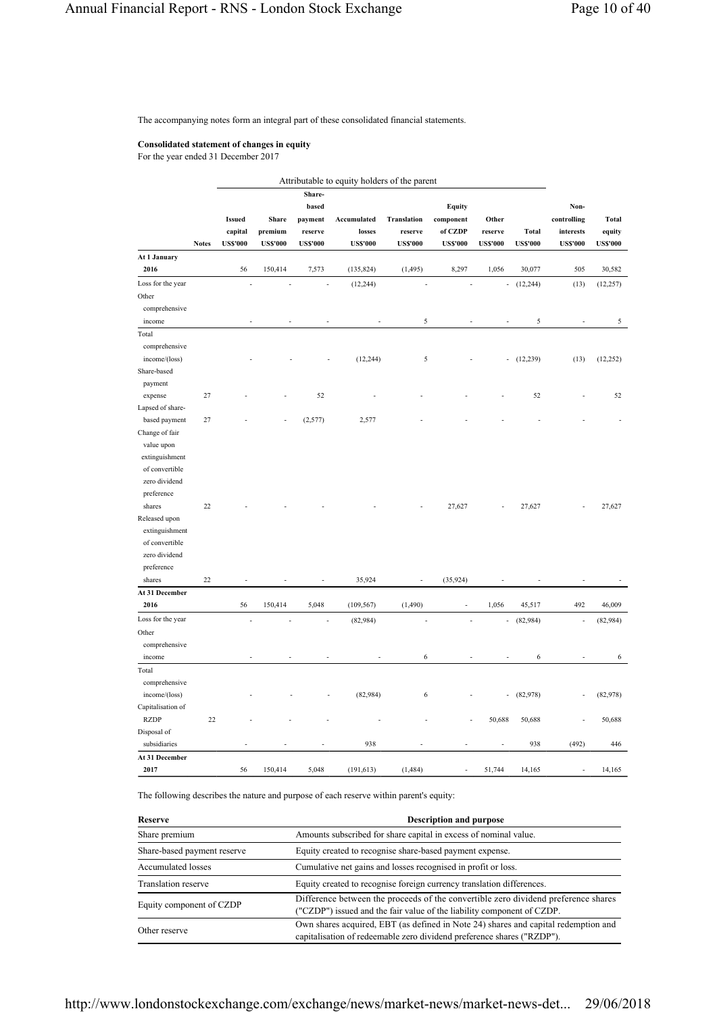The accompanying notes form an integral part of these consolidated financial statements.

# **Consolidated statement of changes in equity**

For the year ended 31 December 2017

|                   |              |                 |                 |                 | Attributable to equity holders of the parent |                    |                |                 |                 |                 |                 |
|-------------------|--------------|-----------------|-----------------|-----------------|----------------------------------------------|--------------------|----------------|-----------------|-----------------|-----------------|-----------------|
|                   |              |                 |                 | Share-          |                                              |                    |                |                 |                 |                 |                 |
|                   |              |                 |                 | based           |                                              |                    | <b>Equity</b>  |                 |                 | Non-            |                 |
|                   |              | <b>Issued</b>   | Share           | payment         | Accumulated                                  | <b>Translation</b> | component      | Other           |                 | controlling     | Total           |
|                   |              | capital         | premium         | reserve         | losses                                       | reserve            | of CZDP        | reserve         | <b>Total</b>    | interests       | equity          |
|                   | <b>Notes</b> | <b>US\$'000</b> | <b>US\$'000</b> | <b>US\$'000</b> | <b>US\$'000</b>                              | <b>US\$'000</b>    | <b>USS'000</b> | <b>US\$'000</b> | <b>US\$'000</b> | <b>US\$'000</b> | <b>US\$'000</b> |
| At 1 January      |              |                 |                 |                 |                                              |                    |                |                 |                 |                 |                 |
| 2016              |              | 56              | 150,414         | 7,573           | (135, 824)                                   | (1, 495)           | 8,297          | 1,056           | 30,077          | 505             | 30,582          |
| Loss for the year |              |                 |                 |                 | (12, 244)                                    |                    |                | $\overline{a}$  | (12, 244)       | (13)            | (12, 257)       |
| Other             |              |                 |                 |                 |                                              |                    |                |                 |                 |                 |                 |
| comprehensive     |              |                 |                 |                 |                                              |                    |                |                 |                 |                 |                 |
| income            |              |                 |                 |                 |                                              | 5                  |                |                 | 5               |                 | 5               |
| Total             |              |                 |                 |                 |                                              |                    |                |                 |                 |                 |                 |
| comprehensive     |              |                 |                 |                 |                                              |                    |                |                 |                 |                 |                 |
| income/(loss)     |              |                 |                 |                 | (12, 244)                                    | 5                  |                |                 | (12, 239)       | (13)            | (12, 252)       |
| Share-based       |              |                 |                 |                 |                                              |                    |                |                 |                 |                 |                 |
| payment           |              |                 |                 |                 |                                              |                    |                |                 |                 |                 |                 |
| expense           | 27           |                 |                 | 52              |                                              |                    |                |                 | 52              |                 | 52              |
| Lapsed of share-  |              |                 |                 |                 |                                              |                    |                |                 |                 |                 |                 |
| based payment     | $27\,$       |                 |                 | (2,577)         | 2,577                                        |                    |                |                 |                 |                 |                 |
| Change of fair    |              |                 |                 |                 |                                              |                    |                |                 |                 |                 |                 |
| value upon        |              |                 |                 |                 |                                              |                    |                |                 |                 |                 |                 |
| extinguishment    |              |                 |                 |                 |                                              |                    |                |                 |                 |                 |                 |
| of convertible    |              |                 |                 |                 |                                              |                    |                |                 |                 |                 |                 |
| zero dividend     |              |                 |                 |                 |                                              |                    |                |                 |                 |                 |                 |
| preference        |              |                 |                 |                 |                                              |                    |                |                 |                 |                 |                 |
| shares            | 22           |                 |                 |                 |                                              |                    | 27,627         |                 | 27,627          |                 | 27,627          |
| Released upon     |              |                 |                 |                 |                                              |                    |                |                 |                 |                 |                 |
| extinguishment    |              |                 |                 |                 |                                              |                    |                |                 |                 |                 |                 |
| of convertible    |              |                 |                 |                 |                                              |                    |                |                 |                 |                 |                 |
| zero dividend     |              |                 |                 |                 |                                              |                    |                |                 |                 |                 |                 |
| preference        |              |                 |                 |                 |                                              |                    |                |                 |                 |                 |                 |
| shares            | 22           |                 |                 | $\overline{a}$  | 35,924                                       |                    | (35, 924)      |                 |                 |                 |                 |
| At 31 December    |              |                 |                 |                 |                                              |                    |                |                 |                 |                 |                 |
| 2016              |              | 56              | 150,414         | 5,048           | (109, 567)                                   | (1,490)            | ÷,             | 1,056           | 45,517          | 492             | 46,009          |
| Loss for the year |              |                 |                 |                 | (82,984)                                     |                    |                | ÷               | (82,984)        |                 | (82,984)        |
| Other             |              |                 |                 |                 |                                              |                    |                |                 |                 |                 |                 |
| comprehensive     |              |                 |                 |                 |                                              |                    |                |                 |                 |                 |                 |
| income            |              |                 |                 |                 |                                              | 6                  |                |                 | 6               |                 | 6               |
| Total             |              |                 |                 |                 |                                              |                    |                |                 |                 |                 |                 |
| comprehensive     |              |                 |                 |                 |                                              |                    |                |                 |                 |                 |                 |
| income/(loss)     |              |                 |                 |                 | (82,984)                                     | 6                  |                | ÷,              | (82,978)        |                 | (82,978)        |
| Capitalisation of |              |                 |                 |                 |                                              |                    |                |                 |                 |                 |                 |
| <b>RZDP</b>       | 22           |                 |                 |                 |                                              |                    |                | 50,688          | 50,688          |                 | 50,688          |
| Disposal of       |              |                 |                 |                 |                                              |                    |                |                 |                 |                 |                 |
| subsidiaries      |              |                 |                 |                 | 938                                          |                    |                | Ĭ.              | 938             | (492)           | 446             |
| At 31 December    |              |                 |                 |                 |                                              |                    |                |                 |                 |                 |                 |
| 2017              |              | 56              | 150,414         | 5,048           | (191, 613)                                   | (1, 484)           |                | 51,744          | 14,165          |                 | 14,165          |

The following describes the nature and purpose of each reserve within parent's equity:

| Reserve                     | <b>Description and purpose</b>                                                                                                                               |  |
|-----------------------------|--------------------------------------------------------------------------------------------------------------------------------------------------------------|--|
| Share premium               | Amounts subscribed for share capital in excess of nominal value.                                                                                             |  |
| Share-based payment reserve | Equity created to recognise share-based payment expense.                                                                                                     |  |
| Accumulated losses          | Cumulative net gains and losses recognised in profit or loss.                                                                                                |  |
| <b>Translation reserve</b>  | Equity created to recognise foreign currency translation differences.                                                                                        |  |
| Equity component of CZDP    | Difference between the proceeds of the convertible zero dividend preference shares<br>("CZDP") issued and the fair value of the liability component of CZDP. |  |
| Other reserve               | Own shares acquired, EBT (as defined in Note 24) shares and capital redemption and<br>capitalisation of redeemable zero dividend preference shares ("RZDP"). |  |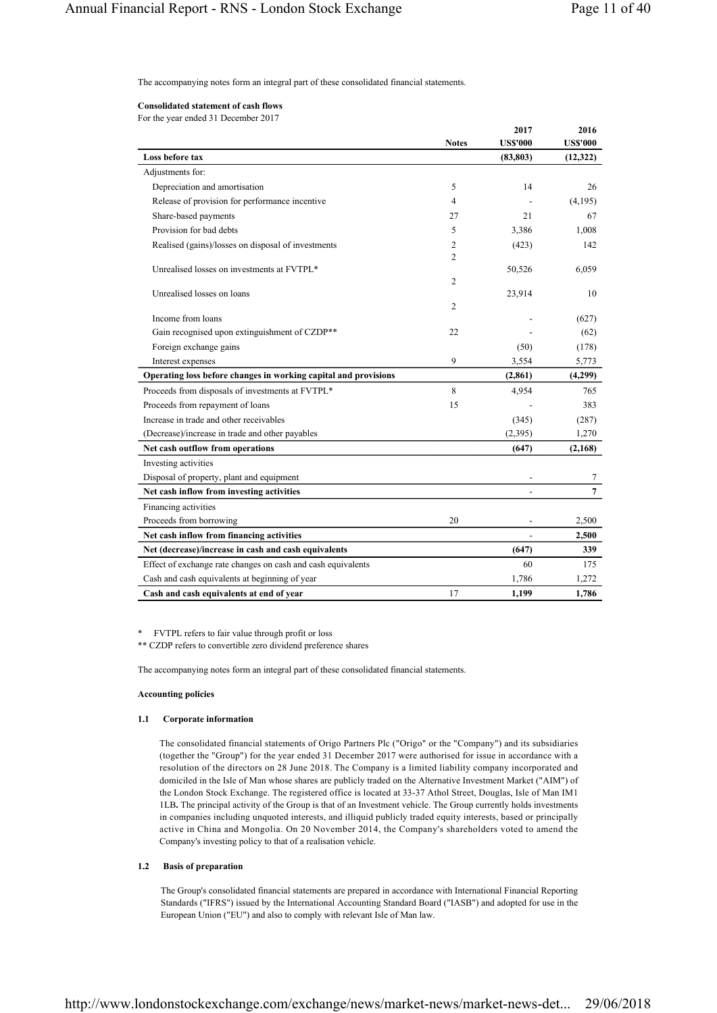The accompanying notes form an integral part of these consolidated financial statements.

## **Consolidated statement of cash flows**

For the year ended 31 December 2017

|                                                                 | <b>Notes</b>        | 2017<br><b>US\$'000</b> | 2016<br><b>US\$'000</b> |
|-----------------------------------------------------------------|---------------------|-------------------------|-------------------------|
| Loss before tax                                                 |                     | (83, 803)               | (12,322)                |
| Adjustments for:                                                |                     |                         |                         |
| Depreciation and amortisation                                   | 5                   | 14                      | 26                      |
| Release of provision for performance incentive                  | 4                   |                         | (4,195)                 |
| Share-based payments                                            | 27                  | 21                      | 67                      |
| Provision for bad debts                                         | 5                   | 3,386                   | 1,008                   |
| Realised (gains)/losses on disposal of investments              | 2<br>$\overline{c}$ | (423)                   | 142                     |
| Unrealised losses on investments at FVTPL*                      |                     | 50,526                  | 6,059                   |
|                                                                 | 2                   |                         |                         |
| Unrealised losses on loans                                      | 2                   | 23,914                  | 10                      |
| Income from loans                                               |                     |                         | (627)                   |
| Gain recognised upon extinguishment of CZDP**                   | 22                  |                         | (62)                    |
| Foreign exchange gains                                          |                     | (50)                    | (178)                   |
| Interest expenses                                               | 9                   | 3,554                   | 5,773                   |
| Operating loss before changes in working capital and provisions |                     | (2, 861)                | (4,299)                 |
| Proceeds from disposals of investments at FVTPL*                | 8                   | 4,954                   | 765                     |
| Proceeds from repayment of loans                                | 15                  |                         | 383                     |
| Increase in trade and other receivables                         |                     | (345)                   | (287)                   |
| (Decrease)/increase in trade and other payables                 |                     | (2,395)                 | 1,270                   |
| Net cash outflow from operations                                |                     | (647)                   | (2,168)                 |
| Investing activities                                            |                     |                         |                         |
| Disposal of property, plant and equipment                       |                     |                         | 7                       |
| Net cash inflow from investing activities                       |                     | $\overline{a}$          | $\overline{7}$          |
| Financing activities                                            |                     |                         |                         |
| Proceeds from borrowing                                         | 20                  |                         | 2,500                   |
| Net cash inflow from financing activities                       |                     |                         | 2,500                   |
| Net (decrease)/increase in cash and cash equivalents            |                     | (647)                   | 339                     |
| Effect of exchange rate changes on cash and cash equivalents    |                     | 60                      | 175                     |
| Cash and cash equivalents at beginning of year                  |                     | 1,786                   | 1,272                   |
| Cash and cash equivalents at end of year                        | 17                  | 1,199                   | 1,786                   |

\* FVTPL refers to fair value through profit or loss

\*\* CZDP refers to convertible zero dividend preference shares

The accompanying notes form an integral part of these consolidated financial statements.

#### **Accounting policies**

### **1.1 Corporate information**

The consolidated financial statements of Origo Partners Plc ("Origo" or the "Company") and its subsidiaries (together the "Group") for the year ended 31 December 2017 were authorised for issue in accordance with a resolution of the directors on 28 June 2018. The Company is a limited liability company incorporated and domiciled in the Isle of Man whose shares are publicly traded on the Alternative Investment Market ("AIM") of the London Stock Exchange. The registered office is located at 33-37 Athol Street, Douglas, Isle of Man IM1 1LB**.** The principal activity of the Group is that of an Investment vehicle. The Group currently holds investments in companies including unquoted interests, and illiquid publicly traded equity interests, based or principally active in China and Mongolia. On 20 November 2014, the Company's shareholders voted to amend the Company's investing policy to that of a realisation vehicle.

### **1.2 Basis of preparation**

The Group's consolidated financial statements are prepared in accordance with International Financial Reporting Standards ("IFRS") issued by the International Accounting Standard Board ("IASB") and adopted for use in the European Union ("EU") and also to comply with relevant Isle of Man law.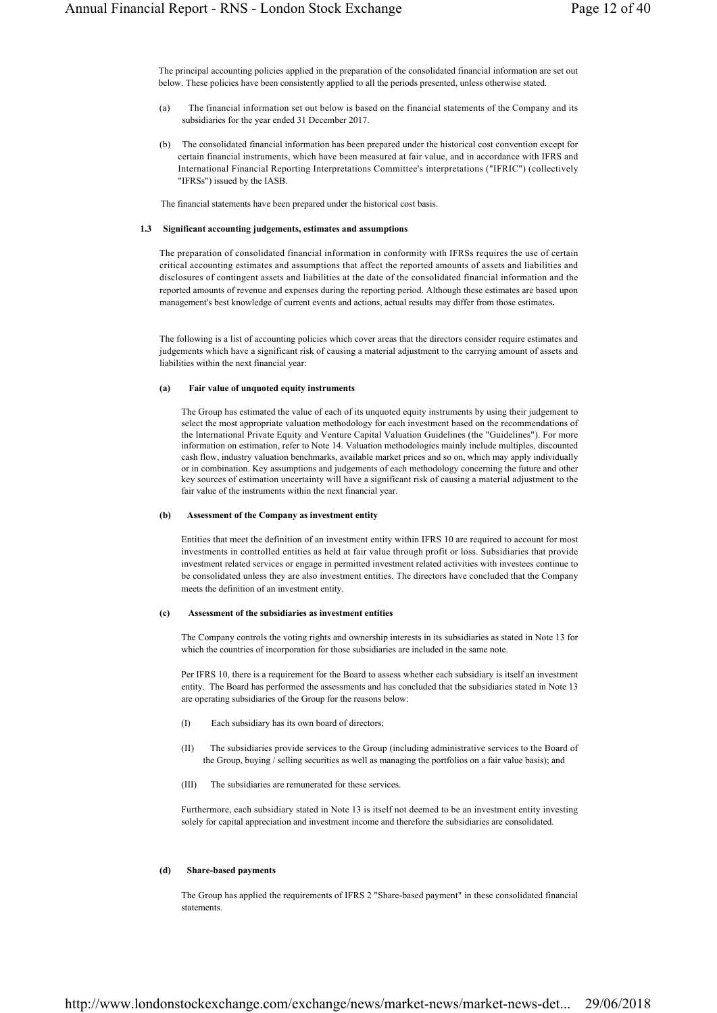The principal accounting policies applied in the preparation of the consolidated financial information are set out below. These policies have been consistently applied to all the periods presented, unless otherwise stated.

- (a) The financial information set out below is based on the financial statements of the Company and its subsidiaries for the year ended 31 December 2017.
- (b) The consolidated financial information has been prepared under the historical cost convention except for certain financial instruments, which have been measured at fair value, and in accordance with IFRS and International Financial Reporting Interpretations Committee's interpretations ("IFRIC") (collectively "IFRSs") issued by the IASB.

The financial statements have been prepared under the historical cost basis.

### **1.3 Significant accounting judgements, estimates and assumptions**

The preparation of consolidated financial information in conformity with IFRSs requires the use of certain critical accounting estimates and assumptions that affect the reported amounts of assets and liabilities and disclosures of contingent assets and liabilities at the date of the consolidated financial information and the reported amounts of revenue and expenses during the reporting period. Although these estimates are based upon management's best knowledge of current events and actions, actual results may differ from those estimates**.**

The following is a list of accounting policies which cover areas that the directors consider require estimates and judgements which have a significant risk of causing a material adjustment to the carrying amount of assets and liabilities within the next financial year:

# **(a) Fair value of unquoted equity instruments**

The Group has estimated the value of each of its unquoted equity instruments by using their judgement to select the most appropriate valuation methodology for each investment based on the recommendations of the International Private Equity and Venture Capital Valuation Guidelines (the "Guidelines"). For more information on estimation, refer to Note 14. Valuation methodologies mainly include multiples, discounted cash flow, industry valuation benchmarks, available market prices and so on, which may apply individually or in combination. Key assumptions and judgements of each methodology concerning the future and other key sources of estimation uncertainty will have a significant risk of causing a material adjustment to the fair value of the instruments within the next financial year.

#### **(b) Assessment of the Company as investment entity**

Entities that meet the definition of an investment entity within IFRS 10 are required to account for most investments in controlled entities as held at fair value through profit or loss. Subsidiaries that provide investment related services or engage in permitted investment related activities with investees continue to be consolidated unless they are also investment entities. The directors have concluded that the Company meets the definition of an investment entity.

#### **(c) Assessment of the subsidiaries as investment entities**

The Company controls the voting rights and ownership interests in its subsidiaries as stated in Note 13 for which the countries of incorporation for those subsidiaries are included in the same note.

Per IFRS 10, there is a requirement for the Board to assess whether each subsidiary is itself an investment entity. The Board has performed the assessments and has concluded that the subsidiaries stated in Note 13 are operating subsidiaries of the Group for the reasons below:

- (I) Each subsidiary has its own board of directors;
- (II) The subsidiaries provide services to the Group (including administrative services to the Board of the Group, buying / selling securities as well as managing the portfolios on a fair value basis); and
- (III) The subsidiaries are remunerated for these services.

Furthermore, each subsidiary stated in Note 13 is itself not deemed to be an investment entity investing solely for capital appreciation and investment income and therefore the subsidiaries are consolidated.

### **(d) Share-based payments**

The Group has applied the requirements of IFRS 2 "Share-based payment" in these consolidated financial statements.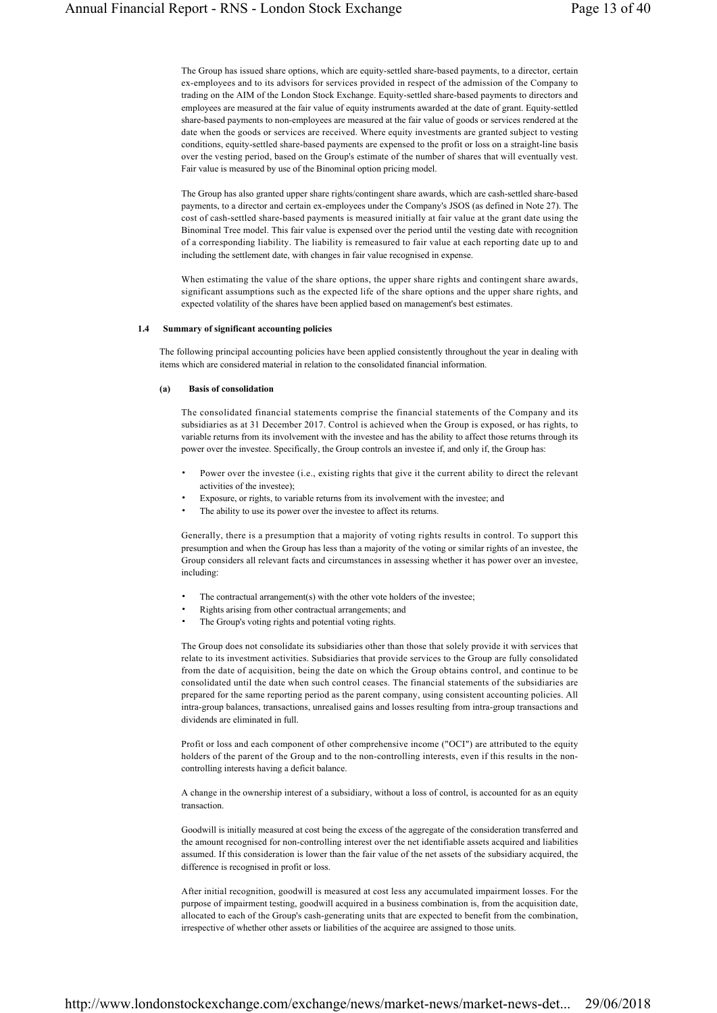The Group has issued share options, which are equity-settled share-based payments, to a director, certain ex-employees and to its advisors for services provided in respect of the admission of the Company to trading on the AIM of the London Stock Exchange. Equity-settled share-based payments to directors and employees are measured at the fair value of equity instruments awarded at the date of grant. Equity-settled share-based payments to non-employees are measured at the fair value of goods or services rendered at the date when the goods or services are received. Where equity investments are granted subject to vesting conditions, equity-settled share-based payments are expensed to the profit or loss on a straight-line basis over the vesting period, based on the Group's estimate of the number of shares that will eventually vest. Fair value is measured by use of the Binominal option pricing model.

The Group has also granted upper share rights/contingent share awards, which are cash-settled share-based payments, to a director and certain ex-employees under the Company's JSOS (as defined in Note 27). The cost of cash-settled share-based payments is measured initially at fair value at the grant date using the Binominal Tree model. This fair value is expensed over the period until the vesting date with recognition of a corresponding liability. The liability is remeasured to fair value at each reporting date up to and including the settlement date, with changes in fair value recognised in expense.

When estimating the value of the share options, the upper share rights and contingent share awards, significant assumptions such as the expected life of the share options and the upper share rights, and expected volatility of the shares have been applied based on management's best estimates.

#### **1.4 Summary of significant accounting policies**

The following principal accounting policies have been applied consistently throughout the year in dealing with items which are considered material in relation to the consolidated financial information.

# **(a) Basis of consolidation**

The consolidated financial statements comprise the financial statements of the Company and its subsidiaries as at 31 December 2017. Control is achieved when the Group is exposed, or has rights, to variable returns from its involvement with the investee and has the ability to affect those returns through its power over the investee. Specifically, the Group controls an investee if, and only if, the Group has:

- Power over the investee (i.e., existing rights that give it the current ability to direct the relevant activities of the investee);
- Exposure, or rights, to variable returns from its involvement with the investee; and
- The ability to use its power over the investee to affect its returns.

Generally, there is a presumption that a majority of voting rights results in control. To support this presumption and when the Group has less than a majority of the voting or similar rights of an investee, the Group considers all relevant facts and circumstances in assessing whether it has power over an investee, including:

- The contractual arrangement(s) with the other vote holders of the investee;
- Rights arising from other contractual arrangements; and
- The Group's voting rights and potential voting rights.

The Group does not consolidate its subsidiaries other than those that solely provide it with services that relate to its investment activities. Subsidiaries that provide services to the Group are fully consolidated from the date of acquisition, being the date on which the Group obtains control, and continue to be consolidated until the date when such control ceases. The financial statements of the subsidiaries are prepared for the same reporting period as the parent company, using consistent accounting policies. All intra-group balances, transactions, unrealised gains and losses resulting from intra-group transactions and dividends are eliminated in full.

Profit or loss and each component of other comprehensive income ("OCI") are attributed to the equity holders of the parent of the Group and to the non-controlling interests, even if this results in the noncontrolling interests having a deficit balance.

A change in the ownership interest of a subsidiary, without a loss of control, is accounted for as an equity transaction.

Goodwill is initially measured at cost being the excess of the aggregate of the consideration transferred and the amount recognised for non-controlling interest over the net identifiable assets acquired and liabilities assumed. If this consideration is lower than the fair value of the net assets of the subsidiary acquired, the difference is recognised in profit or loss.

After initial recognition, goodwill is measured at cost less any accumulated impairment losses. For the purpose of impairment testing, goodwill acquired in a business combination is, from the acquisition date, allocated to each of the Group's cash-generating units that are expected to benefit from the combination, irrespective of whether other assets or liabilities of the acquiree are assigned to those units.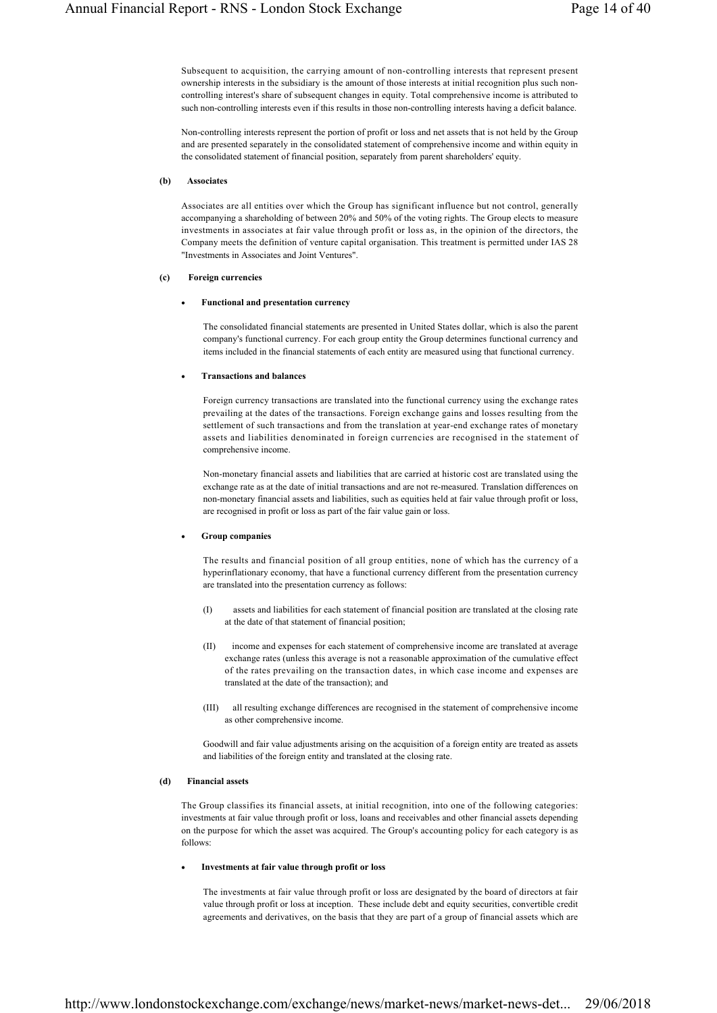Subsequent to acquisition, the carrying amount of non-controlling interests that represent present ownership interests in the subsidiary is the amount of those interests at initial recognition plus such noncontrolling interest's share of subsequent changes in equity. Total comprehensive income is attributed to such non-controlling interests even if this results in those non-controlling interests having a deficit balance.

Non-controlling interests represent the portion of profit or loss and net assets that is not held by the Group and are presented separately in the consolidated statement of comprehensive income and within equity in the consolidated statement of financial position, separately from parent shareholders' equity.

### **(b) Associates**

Associates are all entities over which the Group has significant influence but not control, generally accompanying a shareholding of between 20% and 50% of the voting rights. The Group elects to measure investments in associates at fair value through profit or loss as, in the opinion of the directors, the Company meets the definition of venture capital organisation. This treatment is permitted under IAS 28 "Investments in Associates and Joint Ventures".

#### **(c) Foreign currencies**

#### **Functional and presentation currency**

The consolidated financial statements are presented in United States dollar, which is also the parent company's functional currency. For each group entity the Group determines functional currency and items included in the financial statements of each entity are measured using that functional currency.

### **Transactions and balances**

Foreign currency transactions are translated into the functional currency using the exchange rates prevailing at the dates of the transactions. Foreign exchange gains and losses resulting from the settlement of such transactions and from the translation at year-end exchange rates of monetary assets and liabilities denominated in foreign currencies are recognised in the statement of comprehensive income.

Non-monetary financial assets and liabilities that are carried at historic cost are translated using the exchange rate as at the date of initial transactions and are not re-measured. Translation differences on non-monetary financial assets and liabilities, such as equities held at fair value through profit or loss, are recognised in profit or loss as part of the fair value gain or loss.

#### **Group companies**

The results and financial position of all group entities, none of which has the currency of a hyperinflationary economy, that have a functional currency different from the presentation currency are translated into the presentation currency as follows:

- (I) assets and liabilities for each statement of financial position are translated at the closing rate at the date of that statement of financial position;
- (II) income and expenses for each statement of comprehensive income are translated at average exchange rates (unless this average is not a reasonable approximation of the cumulative effect of the rates prevailing on the transaction dates, in which case income and expenses are translated at the date of the transaction); and
- (III) all resulting exchange differences are recognised in the statement of comprehensive income as other comprehensive income.

Goodwill and fair value adjustments arising on the acquisition of a foreign entity are treated as assets and liabilities of the foreign entity and translated at the closing rate.

### **(d) Financial assets**

The Group classifies its financial assets, at initial recognition, into one of the following categories: investments at fair value through profit or loss, loans and receivables and other financial assets depending on the purpose for which the asset was acquired. The Group's accounting policy for each category is as follows:

### **Investments at fair value through profit or loss**

The investments at fair value through profit or loss are designated by the board of directors at fair value through profit or loss at inception. These include debt and equity securities, convertible credit agreements and derivatives, on the basis that they are part of a group of financial assets which are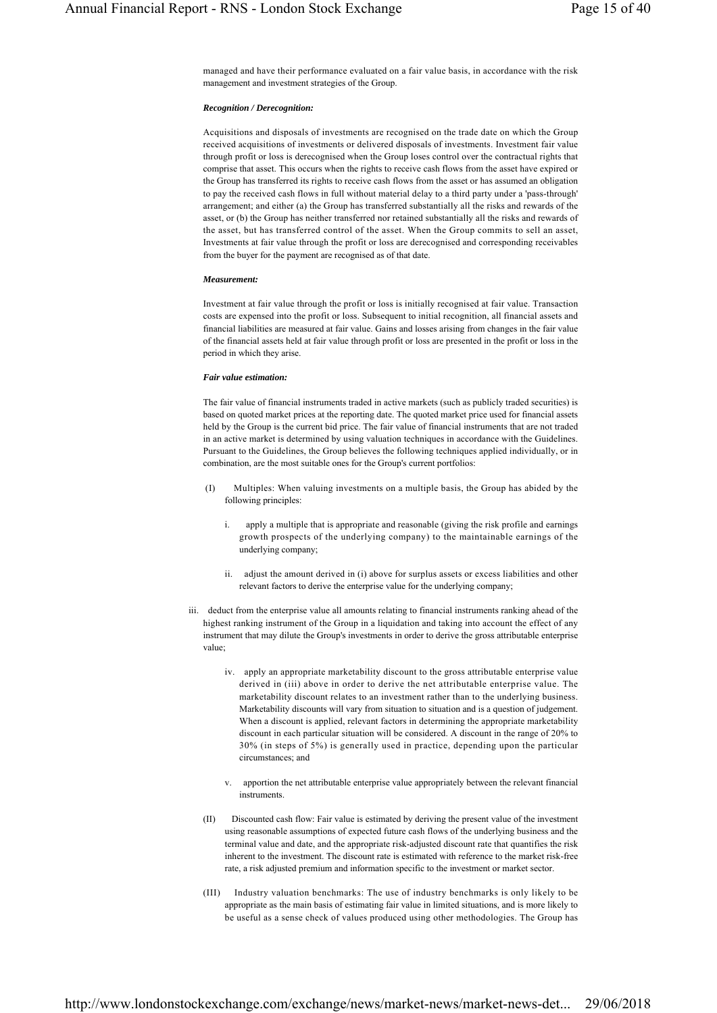managed and have their performance evaluated on a fair value basis, in accordance with the risk management and investment strategies of the Group.

## *Recognition / Derecognition:*

Acquisitions and disposals of investments are recognised on the trade date on which the Group received acquisitions of investments or delivered disposals of investments. Investment fair value through profit or loss is derecognised when the Group loses control over the contractual rights that comprise that asset. This occurs when the rights to receive cash flows from the asset have expired or the Group has transferred its rights to receive cash flows from the asset or has assumed an obligation to pay the received cash flows in full without material delay to a third party under a 'pass-through' arrangement; and either (a) the Group has transferred substantially all the risks and rewards of the asset, or (b) the Group has neither transferred nor retained substantially all the risks and rewards of the asset, but has transferred control of the asset. When the Group commits to sell an asset, Investments at fair value through the profit or loss are derecognised and corresponding receivables from the buyer for the payment are recognised as of that date.

# *Measurement:*

Investment at fair value through the profit or loss is initially recognised at fair value. Transaction costs are expensed into the profit or loss. Subsequent to initial recognition, all financial assets and financial liabilities are measured at fair value. Gains and losses arising from changes in the fair value of the financial assets held at fair value through profit or loss are presented in the profit or loss in the period in which they arise.

# *Fair value estimation:*

The fair value of financial instruments traded in active markets (such as publicly traded securities) is based on quoted market prices at the reporting date. The quoted market price used for financial assets held by the Group is the current bid price. The fair value of financial instruments that are not traded in an active market is determined by using valuation techniques in accordance with the Guidelines. Pursuant to the Guidelines, the Group believes the following techniques applied individually, or in combination, are the most suitable ones for the Group's current portfolios:

- (I) Multiples: When valuing investments on a multiple basis, the Group has abided by the following principles:
	- i. apply a multiple that is appropriate and reasonable (giving the risk profile and earnings growth prospects of the underlying company) to the maintainable earnings of the underlying company;
	- ii. adjust the amount derived in (i) above for surplus assets or excess liabilities and other relevant factors to derive the enterprise value for the underlying company;
- iii. deduct from the enterprise value all amounts relating to financial instruments ranking ahead of the highest ranking instrument of the Group in a liquidation and taking into account the effect of any instrument that may dilute the Group's investments in order to derive the gross attributable enterprise value;
	- iv. apply an appropriate marketability discount to the gross attributable enterprise value derived in (iii) above in order to derive the net attributable enterprise value. The marketability discount relates to an investment rather than to the underlying business. Marketability discounts will vary from situation to situation and is a question of judgement. When a discount is applied, relevant factors in determining the appropriate marketability discount in each particular situation will be considered. A discount in the range of 20% to 30% (in steps of 5%) is generally used in practice, depending upon the particular circumstances; and
	- v. apportion the net attributable enterprise value appropriately between the relevant financial instruments.
	- (II) Discounted cash flow: Fair value is estimated by deriving the present value of the investment using reasonable assumptions of expected future cash flows of the underlying business and the terminal value and date, and the appropriate risk-adjusted discount rate that quantifies the risk inherent to the investment. The discount rate is estimated with reference to the market risk-free rate, a risk adjusted premium and information specific to the investment or market sector.
	- (III) Industry valuation benchmarks: The use of industry benchmarks is only likely to be appropriate as the main basis of estimating fair value in limited situations, and is more likely to be useful as a sense check of values produced using other methodologies. The Group has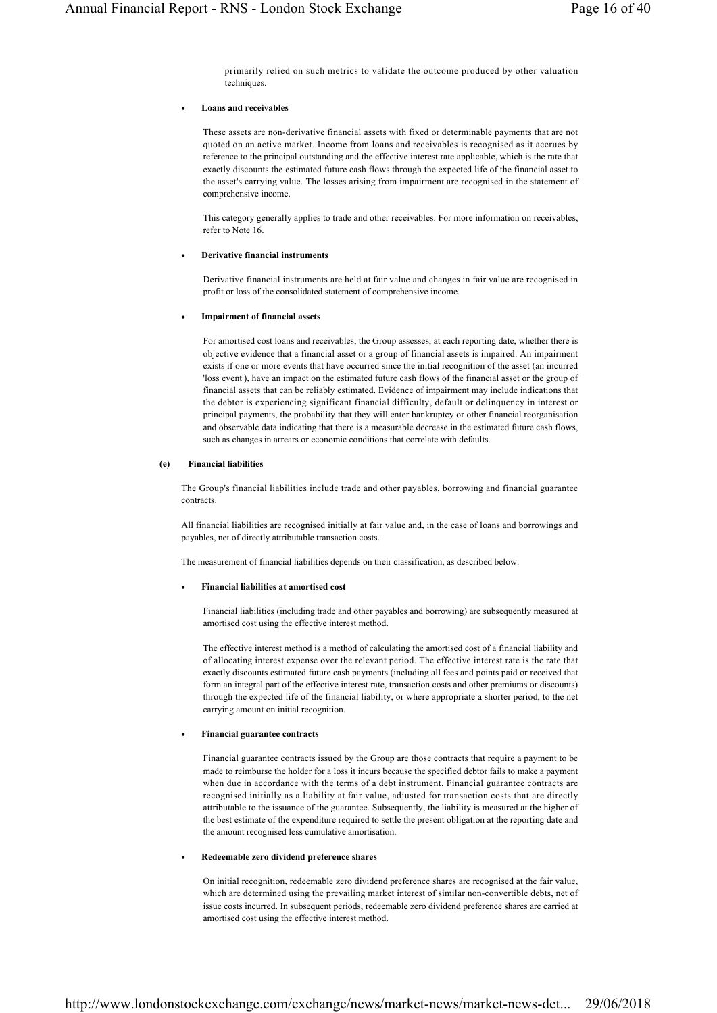primarily relied on such metrics to validate the outcome produced by other valuation techniques.

# **Loans and receivables**

These assets are non-derivative financial assets with fixed or determinable payments that are not quoted on an active market. Income from loans and receivables is recognised as it accrues by reference to the principal outstanding and the effective interest rate applicable, which is the rate that exactly discounts the estimated future cash flows through the expected life of the financial asset to the asset's carrying value. The losses arising from impairment are recognised in the statement of comprehensive income.

This category generally applies to trade and other receivables. For more information on receivables, refer to Note 16.

# **Derivative financial instruments**

Derivative financial instruments are held at fair value and changes in fair value are recognised in profit or loss of the consolidated statement of comprehensive income.

# **Impairment of financial assets**

For amortised cost loans and receivables, the Group assesses, at each reporting date, whether there is objective evidence that a financial asset or a group of financial assets is impaired. An impairment exists if one or more events that have occurred since the initial recognition of the asset (an incurred 'loss event'), have an impact on the estimated future cash flows of the financial asset or the group of financial assets that can be reliably estimated. Evidence of impairment may include indications that the debtor is experiencing significant financial difficulty, default or delinquency in interest or principal payments, the probability that they will enter bankruptcy or other financial reorganisation and observable data indicating that there is a measurable decrease in the estimated future cash flows, such as changes in arrears or economic conditions that correlate with defaults.

# **(e) Financial liabilities**

The Group's financial liabilities include trade and other payables, borrowing and financial guarantee contracts.

All financial liabilities are recognised initially at fair value and, in the case of loans and borrowings and payables, net of directly attributable transaction costs.

The measurement of financial liabilities depends on their classification, as described below:

# **Financial liabilities at amortised cost**

Financial liabilities (including trade and other payables and borrowing) are subsequently measured at amortised cost using the effective interest method.

The effective interest method is a method of calculating the amortised cost of a financial liability and of allocating interest expense over the relevant period. The effective interest rate is the rate that exactly discounts estimated future cash payments (including all fees and points paid or received that form an integral part of the effective interest rate, transaction costs and other premiums or discounts) through the expected life of the financial liability, or where appropriate a shorter period, to the net carrying amount on initial recognition.

# **Financial guarantee contracts**

Financial guarantee contracts issued by the Group are those contracts that require a payment to be made to reimburse the holder for a loss it incurs because the specified debtor fails to make a payment when due in accordance with the terms of a debt instrument. Financial guarantee contracts are recognised initially as a liability at fair value, adjusted for transaction costs that are directly attributable to the issuance of the guarantee. Subsequently, the liability is measured at the higher of the best estimate of the expenditure required to settle the present obligation at the reporting date and the amount recognised less cumulative amortisation.

# **Redeemable zero dividend preference shares**

On initial recognition, redeemable zero dividend preference shares are recognised at the fair value, which are determined using the prevailing market interest of similar non-convertible debts, net of issue costs incurred. In subsequent periods, redeemable zero dividend preference shares are carried at amortised cost using the effective interest method.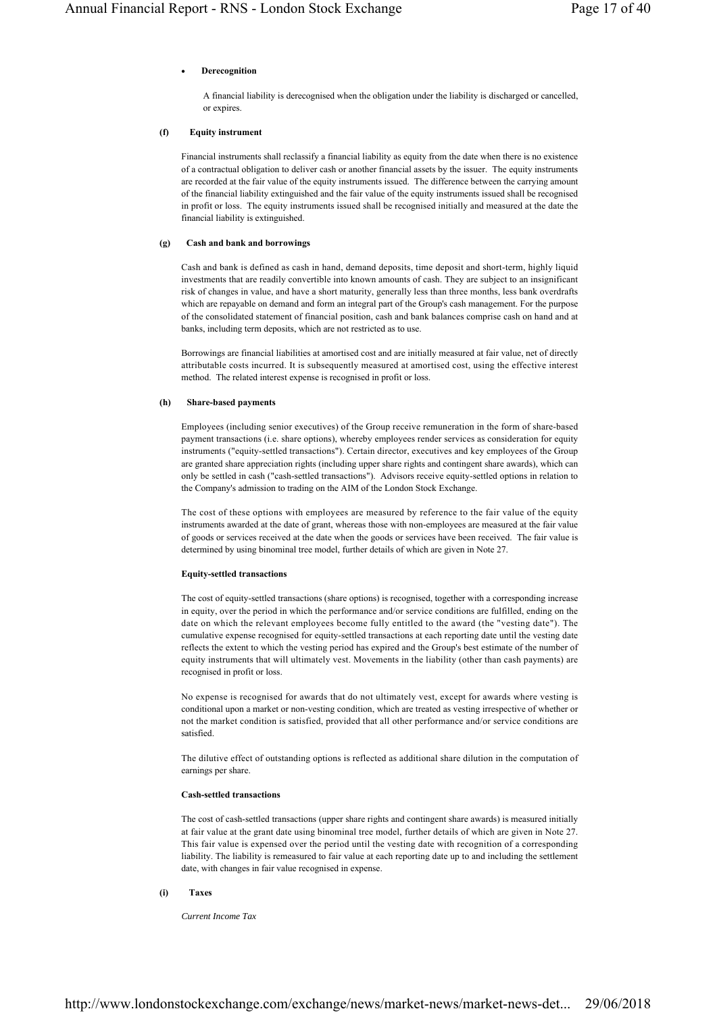## **Derecognition**

A financial liability is derecognised when the obligation under the liability is discharged or cancelled, or expires.

## **(f) Equity instrument**

Financial instruments shall reclassify a financial liability as equity from the date when there is no existence of a contractual obligation to deliver cash or another financial assets by the issuer. The equity instruments are recorded at the fair value of the equity instruments issued. The difference between the carrying amount of the financial liability extinguished and the fair value of the equity instruments issued shall be recognised in profit or loss. The equity instruments issued shall be recognised initially and measured at the date the financial liability is extinguished.

### **(g) Cash and bank and borrowings**

Cash and bank is defined as cash in hand, demand deposits, time deposit and short-term, highly liquid investments that are readily convertible into known amounts of cash. They are subject to an insignificant risk of changes in value, and have a short maturity, generally less than three months, less bank overdrafts which are repayable on demand and form an integral part of the Group's cash management. For the purpose of the consolidated statement of financial position, cash and bank balances comprise cash on hand and at banks, including term deposits, which are not restricted as to use.

Borrowings are financial liabilities at amortised cost and are initially measured at fair value, net of directly attributable costs incurred. It is subsequently measured at amortised cost, using the effective interest method. The related interest expense is recognised in profit or loss.

## **(h) Share-based payments**

Employees (including senior executives) of the Group receive remuneration in the form of share-based payment transactions (i.e. share options), whereby employees render services as consideration for equity instruments ("equity-settled transactions"). Certain director, executives and key employees of the Group are granted share appreciation rights (including upper share rights and contingent share awards), which can only be settled in cash ("cash-settled transactions"). Advisors receive equity-settled options in relation to the Company's admission to trading on the AIM of the London Stock Exchange.

The cost of these options with employees are measured by reference to the fair value of the equity instruments awarded at the date of grant, whereas those with non-employees are measured at the fair value of goods or services received at the date when the goods or services have been received. The fair value is determined by using binominal tree model, further details of which are given in Note 27.

### **Equity-settled transactions**

The cost of equity-settled transactions (share options) is recognised, together with a corresponding increase in equity, over the period in which the performance and/or service conditions are fulfilled, ending on the date on which the relevant employees become fully entitled to the award (the "vesting date"). The cumulative expense recognised for equity-settled transactions at each reporting date until the vesting date reflects the extent to which the vesting period has expired and the Group's best estimate of the number of equity instruments that will ultimately vest. Movements in the liability (other than cash payments) are recognised in profit or loss.

No expense is recognised for awards that do not ultimately vest, except for awards where vesting is conditional upon a market or non-vesting condition, which are treated as vesting irrespective of whether or not the market condition is satisfied, provided that all other performance and/or service conditions are satisfied.

The dilutive effect of outstanding options is reflected as additional share dilution in the computation of earnings per share.

### **Cash-settled transactions**

The cost of cash-settled transactions (upper share rights and contingent share awards) is measured initially at fair value at the grant date using binominal tree model, further details of which are given in Note 27. This fair value is expensed over the period until the vesting date with recognition of a corresponding liability. The liability is remeasured to fair value at each reporting date up to and including the settlement date, with changes in fair value recognised in expense.

### **(i) Taxes**

*Current Income Tax*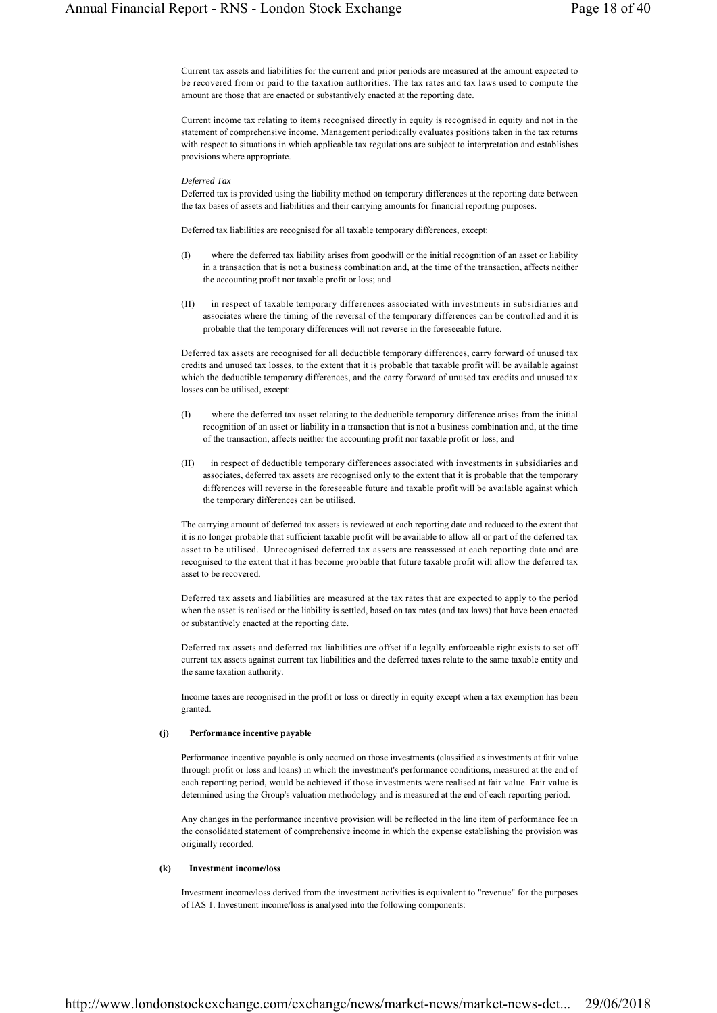Current tax assets and liabilities for the current and prior periods are measured at the amount expected to be recovered from or paid to the taxation authorities. The tax rates and tax laws used to compute the amount are those that are enacted or substantively enacted at the reporting date.

Current income tax relating to items recognised directly in equity is recognised in equity and not in the statement of comprehensive income. Management periodically evaluates positions taken in the tax returns with respect to situations in which applicable tax regulations are subject to interpretation and establishes provisions where appropriate.

#### *Deferred Tax*

Deferred tax is provided using the liability method on temporary differences at the reporting date between the tax bases of assets and liabilities and their carrying amounts for financial reporting purposes.

Deferred tax liabilities are recognised for all taxable temporary differences, except:

- (I) where the deferred tax liability arises from goodwill or the initial recognition of an asset or liability in a transaction that is not a business combination and, at the time of the transaction, affects neither the accounting profit nor taxable profit or loss; and
- (II) in respect of taxable temporary differences associated with investments in subsidiaries and associates where the timing of the reversal of the temporary differences can be controlled and it is probable that the temporary differences will not reverse in the foreseeable future.

Deferred tax assets are recognised for all deductible temporary differences, carry forward of unused tax credits and unused tax losses, to the extent that it is probable that taxable profit will be available against which the deductible temporary differences, and the carry forward of unused tax credits and unused tax losses can be utilised, except:

- (I) where the deferred tax asset relating to the deductible temporary difference arises from the initial recognition of an asset or liability in a transaction that is not a business combination and, at the time of the transaction, affects neither the accounting profit nor taxable profit or loss; and
- (II) in respect of deductible temporary differences associated with investments in subsidiaries and associates, deferred tax assets are recognised only to the extent that it is probable that the temporary differences will reverse in the foreseeable future and taxable profit will be available against which the temporary differences can be utilised.

The carrying amount of deferred tax assets is reviewed at each reporting date and reduced to the extent that it is no longer probable that sufficient taxable profit will be available to allow all or part of the deferred tax asset to be utilised. Unrecognised deferred tax assets are reassessed at each reporting date and are recognised to the extent that it has become probable that future taxable profit will allow the deferred tax asset to be recovered.

Deferred tax assets and liabilities are measured at the tax rates that are expected to apply to the period when the asset is realised or the liability is settled, based on tax rates (and tax laws) that have been enacted or substantively enacted at the reporting date.

Deferred tax assets and deferred tax liabilities are offset if a legally enforceable right exists to set off current tax assets against current tax liabilities and the deferred taxes relate to the same taxable entity and the same taxation authority.

Income taxes are recognised in the profit or loss or directly in equity except when a tax exemption has been granted.

## **(j) Performance incentive payable**

Performance incentive payable is only accrued on those investments (classified as investments at fair value through profit or loss and loans) in which the investment's performance conditions, measured at the end of each reporting period, would be achieved if those investments were realised at fair value. Fair value is determined using the Group's valuation methodology and is measured at the end of each reporting period.

Any changes in the performance incentive provision will be reflected in the line item of performance fee in the consolidated statement of comprehensive income in which the expense establishing the provision was originally recorded.

# **(k) Investment income/loss**

Investment income/loss derived from the investment activities is equivalent to "revenue" for the purposes of IAS 1. Investment income/loss is analysed into the following components: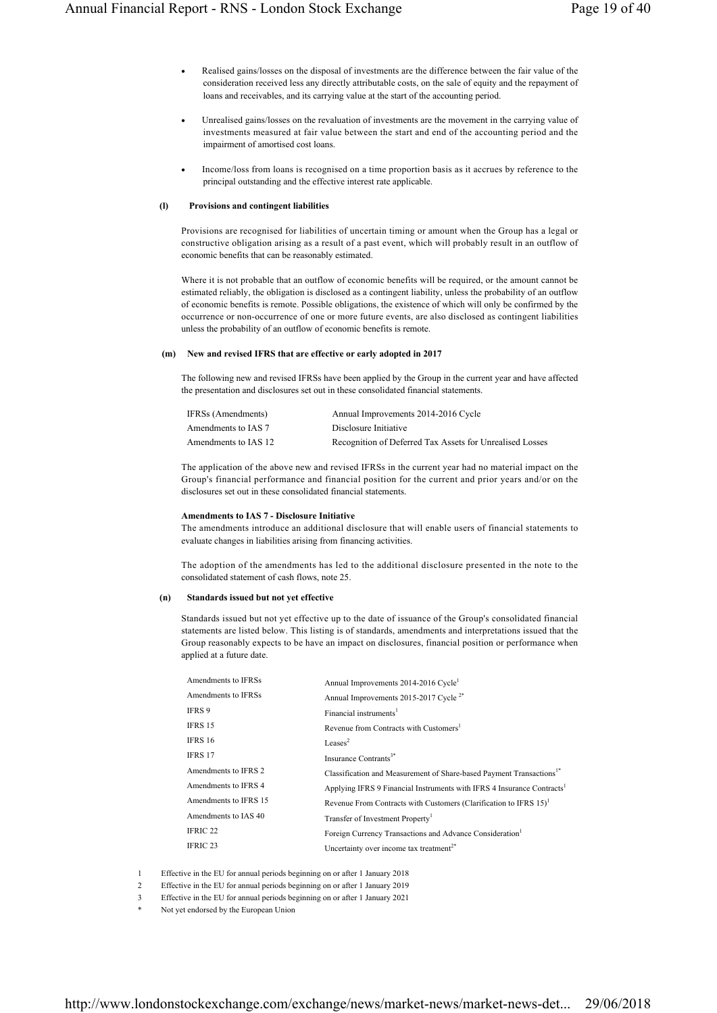- Realised gains/losses on the disposal of investments are the difference between the fair value of the consideration received less any directly attributable costs, on the sale of equity and the repayment of loans and receivables, and its carrying value at the start of the accounting period.
- Unrealised gains/losses on the revaluation of investments are the movement in the carrying value of investments measured at fair value between the start and end of the accounting period and the impairment of amortised cost loans.
- Income/loss from loans is recognised on a time proportion basis as it accrues by reference to the principal outstanding and the effective interest rate applicable.

# **(l) Provisions and contingent liabilities**

Provisions are recognised for liabilities of uncertain timing or amount when the Group has a legal or constructive obligation arising as a result of a past event, which will probably result in an outflow of economic benefits that can be reasonably estimated.

Where it is not probable that an outflow of economic benefits will be required, or the amount cannot be estimated reliably, the obligation is disclosed as a contingent liability, unless the probability of an outflow of economic benefits is remote. Possible obligations, the existence of which will only be confirmed by the occurrence or non-occurrence of one or more future events, are also disclosed as contingent liabilities unless the probability of an outflow of economic benefits is remote.

## **(m) New and revised IFRS that are effective or early adopted in 2017**

The following new and revised IFRSs have been applied by the Group in the current year and have affected the presentation and disclosures set out in these consolidated financial statements.

| IFRSs (Amendments)   | Annual Improvements 2014-2016 Cycle                      |
|----------------------|----------------------------------------------------------|
| Amendments to IAS 7  | Disclosure Initiative                                    |
| Amendments to IAS 12 | Recognition of Deferred Tax Assets for Unrealised Losses |

The application of the above new and revised IFRSs in the current year had no material impact on the Group's financial performance and financial position for the current and prior years and/or on the disclosures set out in these consolidated financial statements.

# **Amendments to IAS 7 - Disclosure Initiative**

The amendments introduce an additional disclosure that will enable users of financial statements to evaluate changes in liabilities arising from financing activities.

The adoption of the amendments has led to the additional disclosure presented in the note to the consolidated statement of cash flows, note 25.

# **(n) Standards issued but not yet effective**

Standards issued but not yet effective up to the date of issuance of the Group's consolidated financial statements are listed below. This listing is of standards, amendments and interpretations issued that the Group reasonably expects to be have an impact on disclosures, financial position or performance when applied at a future date.

| Amendments to IFRSs   | Annual Improvements 2014-2016 Cycle <sup>1</sup>                                   |
|-----------------------|------------------------------------------------------------------------------------|
| Amendments to IFRSs   | Annual Improvements 2015-2017 Cycle <sup>2*</sup>                                  |
| IFRS 9                | Financial instruments <sup>1</sup>                                                 |
| IFRS 15               | Revenue from Contracts with Customers <sup>1</sup>                                 |
| <b>IFRS 16</b>        | Leases <sup>2</sup>                                                                |
| IFRS 17               | Insurance Contrants <sup>3*</sup>                                                  |
| Amendments to IFRS 2  | Classification and Measurement of Share-based Payment Transactions <sup>1*</sup>   |
| Amendments to IFRS 4  | Applying IFRS 9 Financial Instruments with IFRS 4 Insurance Contracts <sup>1</sup> |
| Amendments to IFRS 15 | Revenue From Contracts with Customers (Clarification to IFRS $15$ ) <sup>1</sup>   |
| Amendments to IAS 40  | Transfer of Investment Property <sup>1</sup>                                       |
| IFRIC <sub>22</sub>   | Foreign Currency Transactions and Advance Consideration <sup>1</sup>               |
| IFRIC <sub>23</sub>   | Uncertainty over income tax treatment <sup>2*</sup>                                |
|                       |                                                                                    |

1 Effective in the EU for annual periods beginning on or after 1 January 2018

2 Effective in the EU for annual periods beginning on or after 1 January 2019

3 Effective in the EU for annual periods beginning on or after 1 January 2021

Not yet endorsed by the European Union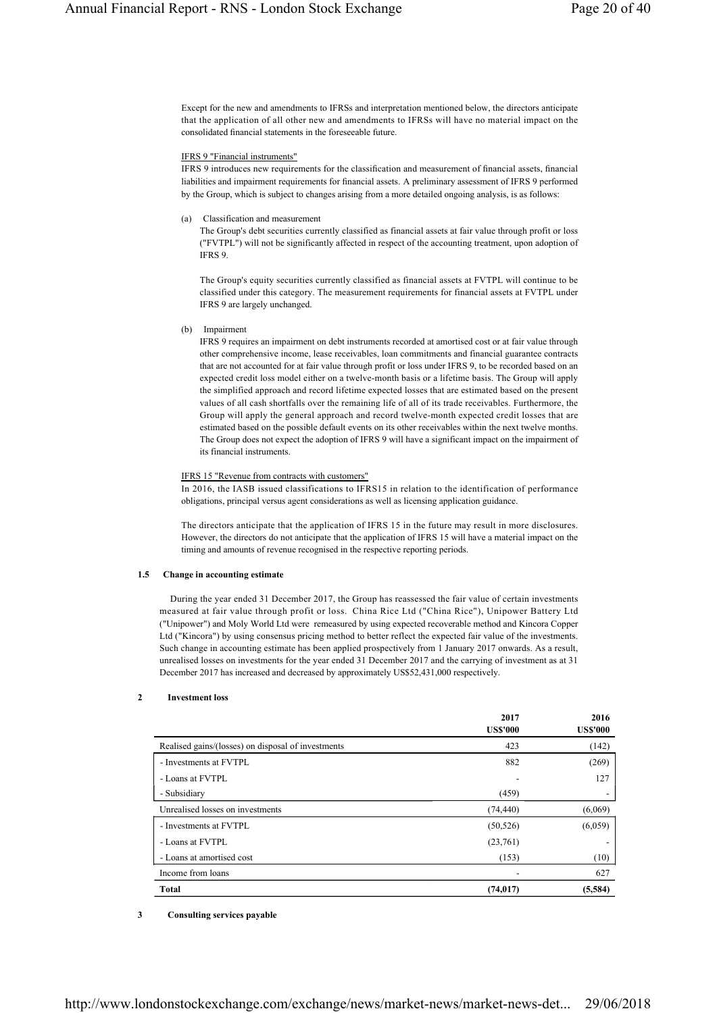Except for the new and amendments to IFRSs and interpretation mentioned below, the directors anticipate that the application of all other new and amendments to IFRSs will have no material impact on the consolidated financial statements in the foreseeable future.

## IFRS 9 "Financial instruments"

IFRS 9 introduces new requirements for the classification and measurement of financial assets, financial liabilities and impairment requirements for financial assets. A preliminary assessment of IFRS 9 performed by the Group, which is subject to changes arising from a more detailed ongoing analysis, is as follows:

# (a) Classification and measurement

The Group's debt securities currently classified as financial assets at fair value through profit or loss ("FVTPL") will not be significantly affected in respect of the accounting treatment, upon adoption of IFRS 9.

The Group's equity securities currently classified as financial assets at FVTPL will continue to be classified under this category. The measurement requirements for financial assets at FVTPL under IFRS 9 are largely unchanged.

(b) Impairment

IFRS 9 requires an impairment on debt instruments recorded at amortised cost or at fair value through other comprehensive income, lease receivables, loan commitments and financial guarantee contracts that are not accounted for at fair value through profit or loss under IFRS 9, to be recorded based on an expected credit loss model either on a twelve-month basis or a lifetime basis. The Group will apply the simplified approach and record lifetime expected losses that are estimated based on the present values of all cash shortfalls over the remaining life of all of its trade receivables. Furthermore, the Group will apply the general approach and record twelve-month expected credit losses that are estimated based on the possible default events on its other receivables within the next twelve months. The Group does not expect the adoption of IFRS 9 will have a significant impact on the impairment of its financial instruments.

# IFRS 15 "Revenue from contracts with customers"

In 2016, the IASB issued classifications to IFRS15 in relation to the identification of performance obligations, principal versus agent considerations as well as licensing application guidance.

The directors anticipate that the application of IFRS 15 in the future may result in more disclosures. However, the directors do not anticipate that the application of IFRS 15 will have a material impact on the timing and amounts of revenue recognised in the respective reporting periods.

# **1.5 Change in accounting estimate**

During the year ended 31 December 2017, the Group has reassessed the fair value of certain investments measured at fair value through profit or loss. China Rice Ltd ("China Rice"), Unipower Battery Ltd ("Unipower") and Moly World Ltd were remeasured by using expected recoverable method and Kincora Copper Ltd ("Kincora") by using consensus pricing method to better reflect the expected fair value of the investments. Such change in accounting estimate has been applied prospectively from 1 January 2017 onwards. As a result, unrealised losses on investments for the year ended 31 December 2017 and the carrying of investment as at 31 December 2017 has increased and decreased by approximately US\$52,431,000 respectively.

# **2 Investment loss**

|                                                    | 2017<br><b>US\$'000</b> | 2016<br><b>US\$'000</b> |
|----------------------------------------------------|-------------------------|-------------------------|
| Realised gains/(losses) on disposal of investments | 423                     | (142)                   |
| - Investments at FVTPL                             | 882                     | (269)                   |
| - Loans at FVTPL                                   |                         | 127                     |
| - Subsidiary                                       | (459)                   |                         |
| Unrealised losses on investments                   | (74, 440)               | (6,069)                 |
| - Investments at FVTPL                             | (50, 526)               | (6,059)                 |
| - Loans at FVTPL                                   | (23,761)                |                         |
| - Loans at amortised cost                          | (153)                   | (10)                    |
| Income from loans                                  |                         | 627                     |
| <b>Total</b>                                       | (74, 017)               | (5,584)                 |

# **3 Consulting services payable**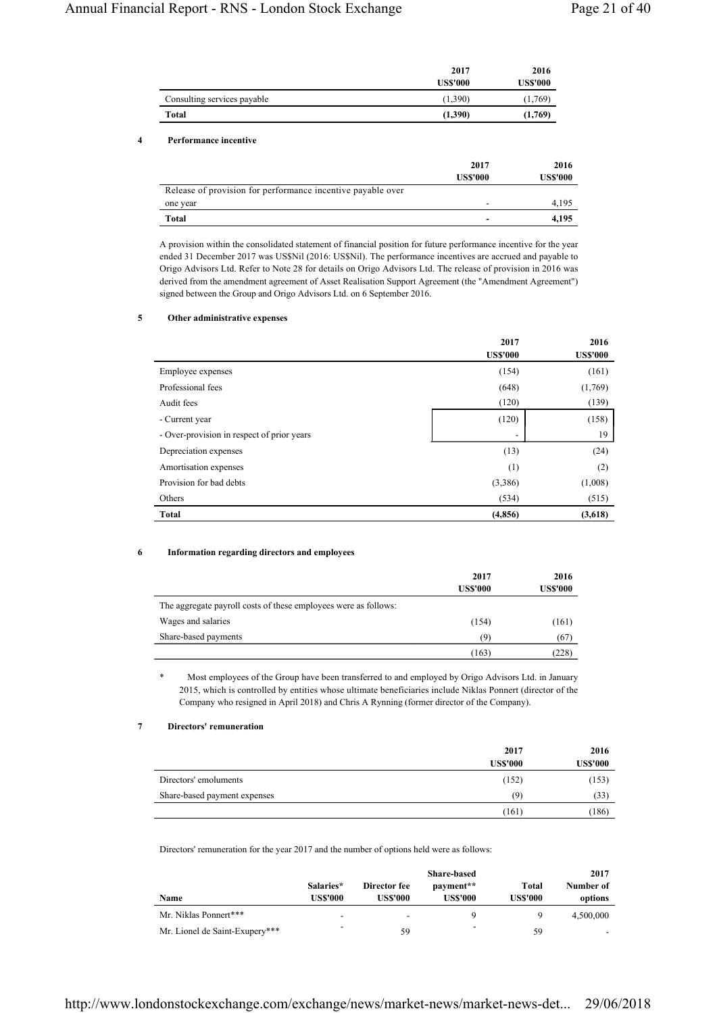|                             | 2017           | 2016            |
|-----------------------------|----------------|-----------------|
|                             | <b>USS'000</b> | <b>US\$'000</b> |
| Consulting services payable | (1,390)        | (1,769)         |
| Total                       | (1,390)        | (1,769)         |

## **4 Performance incentive**

|                                                             | 2017<br><b>US\$'000</b> | 2016<br><b>US\$'000</b> |
|-------------------------------------------------------------|-------------------------|-------------------------|
| Release of provision for performance incentive payable over |                         |                         |
| one year                                                    |                         | 4.195                   |
| <b>Total</b>                                                |                         | 4.195                   |

A provision within the consolidated statement of financial position for future performance incentive for the year ended 31 December 2017 was US\$Nil (2016: US\$Nil). The performance incentives are accrued and payable to Origo Advisors Ltd. Refer to Note 28 for details on Origo Advisors Ltd. The release of provision in 2016 was derived from the amendment agreement of Asset Realisation Support Agreement (the "Amendment Agreement") signed between the Group and Origo Advisors Ltd. on 6 September 2016.

# **5 Other administrative expenses**

|                                            | 2017<br><b>US\$'000</b> | 2016<br><b>US\$'000</b> |
|--------------------------------------------|-------------------------|-------------------------|
| Employee expenses                          | (154)                   | (161)                   |
| Professional fees                          | (648)                   | (1,769)                 |
| Audit fees                                 | (120)                   | (139)                   |
| - Current year                             | (120)                   | (158)                   |
| - Over-provision in respect of prior years |                         | 19                      |
| Depreciation expenses                      | (13)                    | (24)                    |
| Amortisation expenses                      | (1)                     | (2)                     |
| Provision for bad debts                    | (3,386)                 | (1,008)                 |
| Others                                     | (534)                   | (515)                   |
| <b>Total</b>                               | (4, 856)                | (3,618)                 |

# **6 Information regarding directors and employees**

|                                                                 | 2017<br><b>US\$'000</b> | 2016<br><b>US\$'000</b> |
|-----------------------------------------------------------------|-------------------------|-------------------------|
| The aggregate payroll costs of these employees were as follows: |                         |                         |
| Wages and salaries                                              | (154)                   | (161)                   |
| Share-based payments                                            | (9)                     | (67)                    |
|                                                                 | (163)                   | (228)                   |

Most employees of the Group have been transferred to and employed by Origo Advisors Ltd. in January 2015, which is controlled by entities whose ultimate beneficiaries include Niklas Ponnert (director of the Company who resigned in April 2018) and Chris A Rynning (former director of the Company).

## **7 Directors' remuneration**

|                              | 2017            | 2016            |
|------------------------------|-----------------|-----------------|
|                              | <b>US\$'000</b> | <b>US\$'000</b> |
| Directors' emoluments        | (152)           | (153)           |
| Share-based payment expenses | (9)             | (33)            |
|                              | (161)           | (186)           |

Directors' remuneration for the year 2017 and the number of options held were as follows:

| Name                           | Salaries*<br>US\$'000 | Director fee<br>US\$'000 | <b>Share-based</b><br>payment**<br><b>USS'000</b> | Total<br><b>US\$'000</b> | 2017<br>Number of<br>options |
|--------------------------------|-----------------------|--------------------------|---------------------------------------------------|--------------------------|------------------------------|
| Mr. Niklas Ponnert***          | -                     |                          | Q                                                 |                          | 4,500,000                    |
| Mr. Lionel de Saint-Exupery*** | -                     | 59                       | -                                                 | 59                       |                              |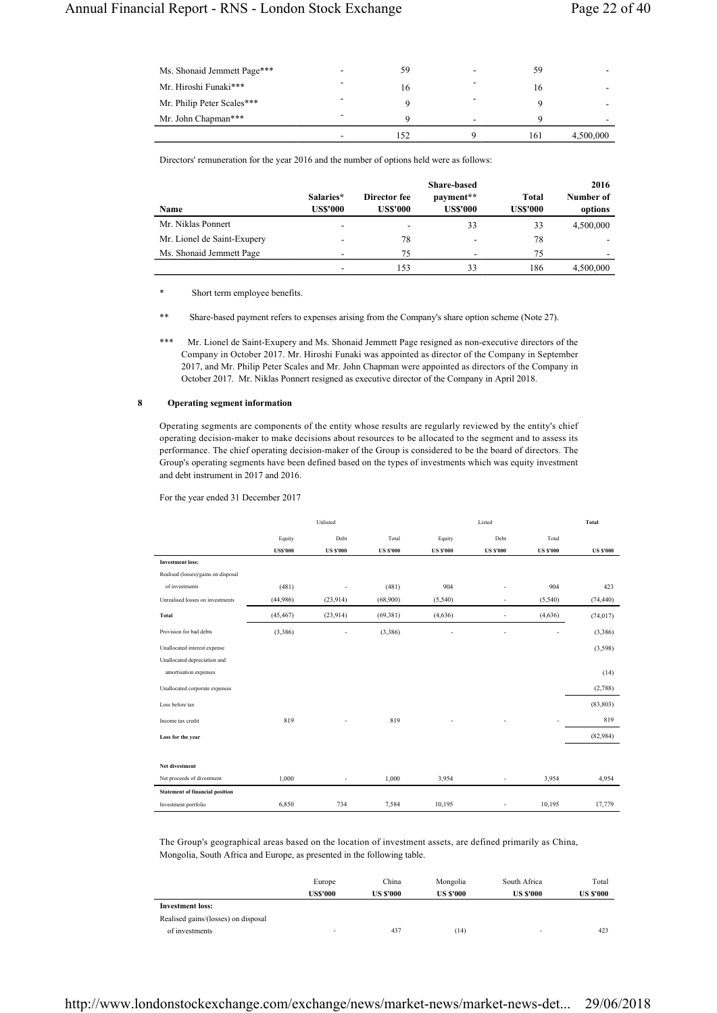| Ms. Shonaid Jemmett Page*** | - | 59  |   | 59  |           |
|-----------------------------|---|-----|---|-----|-----------|
| Mr. Hiroshi Funaki***       | - | 16  |   | 16  |           |
| Mr. Philip Peter Scales***  |   |     |   |     |           |
| Mr. John Chapman***         | - |     | ۰ | Ω   |           |
|                             |   | .52 |   | 161 | 4,500,000 |

Directors' remuneration for the year 2016 and the number of options held were as follows:

| Name                        | Salaries*<br><b>US\$'000</b> | Director fee<br><b>US\$'000</b> | <b>Share-based</b><br>payment**<br><b>US\$'000</b> | <b>Total</b><br><b>US\$'000</b> | 2016<br>Number of<br>options |
|-----------------------------|------------------------------|---------------------------------|----------------------------------------------------|---------------------------------|------------------------------|
| Mr. Niklas Ponnert          | $\overline{\phantom{a}}$     | -                               | 33                                                 | 33                              | 4,500,000                    |
| Mr. Lionel de Saint-Exupery | $\overline{\phantom{0}}$     | 78                              |                                                    | 78                              |                              |
| Ms. Shonaid Jemmett Page    |                              | 75                              |                                                    | 75                              |                              |
|                             | ۰                            | 153                             | 33                                                 | 186                             | 4,500,000                    |

\* Short term employee benefits.

\*\* Share-based payment refers to expenses arising from the Company's share option scheme (Note 27).

\*\*\* Mr. Lionel de Saint-Exupery and Ms. Shonaid Jemmett Page resigned as non-executive directors of the Company in October 2017. Mr. Hiroshi Funaki was appointed as director of the Company in September 2017, and Mr. Philip Peter Scales and Mr. John Chapman were appointed as directors of the Company in October 2017. Mr. Niklas Ponnert resigned as executive director of the Company in April 2018.

### **8 Operating segment information**

Operating segments are components of the entity whose results are regularly reviewed by the entity's chief operating decision-maker to make decisions about resources to be allocated to the segment and to assess its performance. The chief operating decision-maker of the Group is considered to be the board of directors. The Group's operating segments have been defined based on the types of investments which was equity investment and debt instrument in 2017 and 2016.

For the year ended 31 December 2017

|                                        |                 | Unlisted         |                  |                  | Listed           |                  | Total            |
|----------------------------------------|-----------------|------------------|------------------|------------------|------------------|------------------|------------------|
|                                        | Equity          | Debt             | Total            | Equity           | Debt             | Total            |                  |
|                                        | <b>US\$'000</b> | <b>US \$'000</b> | <b>US \$'000</b> | <b>US \$'000</b> | <b>US \$'000</b> | <b>US \$'000</b> | <b>US \$'000</b> |
| <b>Investment loss:</b>                |                 |                  |                  |                  |                  |                  |                  |
| Realised (losses)/gains on disposal    |                 |                  |                  |                  |                  |                  |                  |
| of investments                         | (481)           |                  | (481)            | 904              |                  | 904              | 423              |
| Unrealised losses on investments       | (44,986)        | (23,914)         | (68,900)         | (5,540)          | ÷,               | (5,540)          | (74, 440)        |
| Total                                  | (45, 467)       | (23,914)         | (69, 381)        | (4,636)          | ÷,               | (4,636)          | (74, 017)        |
| Provision for bad debts                | (3,386)         |                  | (3,386)          |                  |                  |                  | (3,386)          |
| Unallocated interest expense           |                 |                  |                  |                  |                  |                  | (3,598)          |
| Unallocated depreciation and           |                 |                  |                  |                  |                  |                  |                  |
| amortisation expenses                  |                 |                  |                  |                  |                  |                  | (14)             |
| Unallocated corporate expenses         |                 |                  |                  |                  |                  |                  | (2,788)          |
| Loss before tax                        |                 |                  |                  |                  |                  |                  | (83, 803)        |
| Income tax credit                      | 819             |                  | 819              |                  |                  |                  | 819              |
| Loss for the year                      |                 |                  |                  |                  |                  |                  | (82,984)         |
|                                        |                 |                  |                  |                  |                  |                  |                  |
| Net divestment                         |                 |                  |                  |                  |                  |                  |                  |
| Net proceeds of divestment             | 1,000           | ÷,               | 1,000            | 3,954            | ٠                | 3,954            | 4,954            |
| <b>Statement of financial position</b> |                 |                  |                  |                  |                  |                  |                  |
| Investment portfolio                   | 6,850           | 734              | 7,584            | 10,195           | ٠                | 10,195           | 17,779           |

The Group's geographical areas based on the location of investment assets, are defined primarily as China, Mongolia, South Africa and Europe, as presented in the following table.

|                                     | Europe         | China            | Mongolia         | South Africa     | Total            |
|-------------------------------------|----------------|------------------|------------------|------------------|------------------|
|                                     | <b>USS'000</b> | <b>US \$'000</b> | <b>US \$'000</b> | <b>US \$'000</b> | <b>US \$'000</b> |
| <b>Investment loss:</b>             |                |                  |                  |                  |                  |
| Realised gains/(losses) on disposal |                |                  |                  |                  |                  |
| of investments                      | -              | 437              | (14)             | -                | 423              |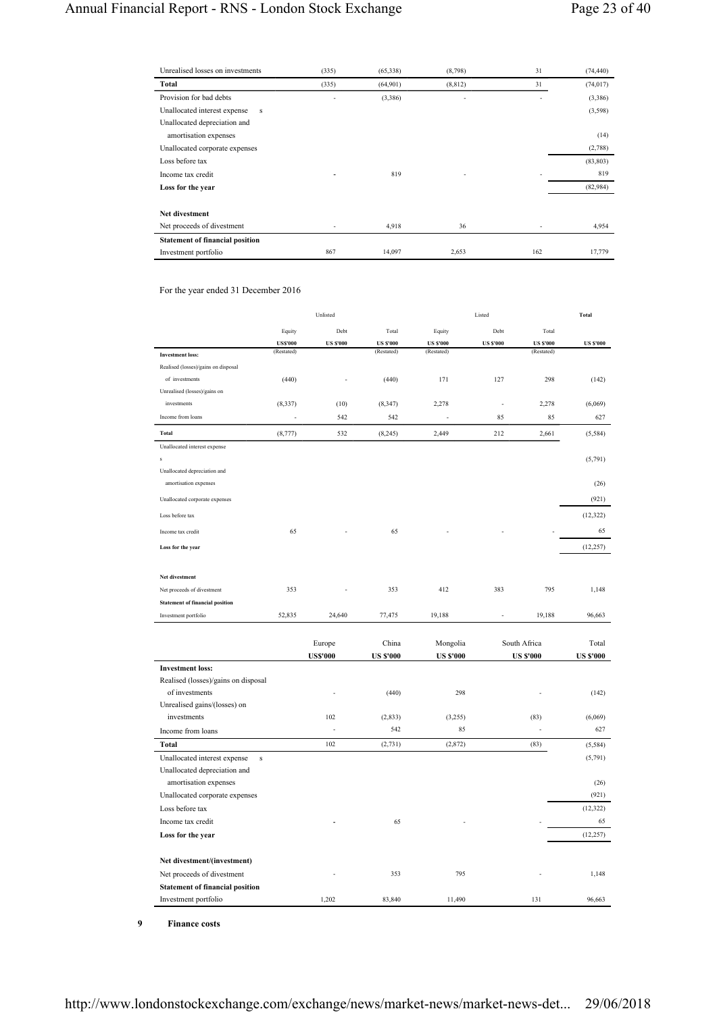| Unrealised losses on investments       | (335) | (65,338) | (8,798)  | 31  | (74, 440) |
|----------------------------------------|-------|----------|----------|-----|-----------|
| Total                                  | (335) | (64,901) | (8, 812) | 31  | (74, 017) |
| Provision for bad debts                |       | (3,386)  | ٠        |     | (3,386)   |
| Unallocated interest expense<br>s      |       |          |          |     | (3,598)   |
| Unallocated depreciation and           |       |          |          |     |           |
| amortisation expenses                  |       |          |          |     | (14)      |
| Unallocated corporate expenses         |       |          |          |     | (2,788)   |
| Loss before tax                        |       |          |          |     | (83, 803) |
| Income tax credit                      | ۰     | 819      | ٠        |     | 819       |
| Loss for the year                      |       |          |          |     | (82,984)  |
|                                        |       |          |          |     |           |
| Net divestment                         |       |          |          |     |           |
| Net proceeds of divestment             |       | 4,918    | 36       |     | 4,954     |
| <b>Statement of financial position</b> |       |          |          |     |           |
| Investment portfolio                   | 867   | 14,097   | 2,653    | 162 | 17,779    |

For the year ended 31 December 2016

|                                         |                 | Unlisted         |                  |                  | Listed           |                  | Total            |
|-----------------------------------------|-----------------|------------------|------------------|------------------|------------------|------------------|------------------|
|                                         | Equity          | Debt             | Total            | Equity           | Debt             | Total            |                  |
|                                         | <b>US\$'000</b> | <b>US \$'000</b> | <b>US \$'000</b> | <b>US \$'000</b> | <b>US \$'000</b> | <b>US \$'000</b> | <b>US \$'000</b> |
| <b>Investment loss:</b>                 | (Restated)      |                  | (Restated)       | (Restated)       |                  | (Restated)       |                  |
| Realised (losses)/gains on disposal     |                 |                  |                  |                  |                  |                  |                  |
| of investments                          | (440)           |                  | (440)            | 171              | 127              | 298              | (142)            |
| Unrealised (losses)/gains on            |                 |                  |                  |                  |                  |                  |                  |
| investments                             | (8, 337)        | (10)             | (8, 347)         | 2,278            | L.               | 2,278            | (6,069)          |
| Income from loans                       | ä,              | 542              | 542              | $\sim$           | 85               | 85               | 627              |
| <b>Total</b>                            | (8, 777)        | 532              | (8, 245)         | 2,449            | 212              | 2,661            | (5,584)          |
| Unallocated interest expense            |                 |                  |                  |                  |                  |                  |                  |
| s                                       |                 |                  |                  |                  |                  |                  | (5,791)          |
| Unallocated depreciation and            |                 |                  |                  |                  |                  |                  |                  |
| amortisation expenses                   |                 |                  |                  |                  |                  |                  | (26)             |
| Unallocated corporate expenses          |                 |                  |                  |                  |                  |                  | (921)            |
| Loss before tax                         |                 |                  |                  |                  |                  |                  | (12, 322)        |
| Income tax credit                       | 65              |                  | 65               |                  |                  |                  | 65               |
| Loss for the year                       |                 |                  |                  |                  |                  |                  | (12, 257)        |
|                                         |                 |                  |                  |                  |                  |                  |                  |
| Net divestment                          |                 |                  |                  |                  |                  |                  |                  |
| Net proceeds of divestment              | 353             |                  | 353              | 412              | 383              | 795              | 1,148            |
| <b>Statement of financial position</b>  |                 |                  |                  |                  |                  |                  |                  |
| Investment portfolio                    | 52,835          | 24,640           | 77,475           | 19,188           |                  | 19,188           | 96,663           |
|                                         |                 |                  |                  |                  |                  |                  |                  |
|                                         |                 | Europe           | China            | Mongolia         |                  | South Africa     | Total            |
|                                         |                 | <b>US\$'000</b>  | <b>US \$'000</b> | <b>US \$'000</b> |                  | <b>US \$'000</b> | <b>US \$'000</b> |
| <b>Investment loss:</b>                 |                 |                  |                  |                  |                  |                  |                  |
| Realised (losses)/gains on disposal     |                 |                  |                  |                  |                  |                  |                  |
| of investments                          |                 |                  | (440)            | 298              |                  |                  | (142)            |
| Unrealised gains/(losses) on            |                 |                  |                  |                  |                  |                  |                  |
| investments                             |                 | 102<br>Ĭ.        | (2, 833)<br>542  | (3,255)<br>85    |                  | (83)<br>ł,       | (6,069)<br>627   |
| Income from loans                       |                 |                  |                  |                  |                  |                  |                  |
| <b>Total</b>                            |                 | 102              | (2, 731)         | (2,872)          |                  | (83)             | (5,584)          |
| Unallocated interest expense<br>$\bf S$ |                 |                  |                  |                  |                  |                  | (5,791)          |
| Unallocated depreciation and            |                 |                  |                  |                  |                  |                  |                  |
| amortisation expenses                   |                 |                  |                  |                  |                  |                  | (26)             |
| Unallocated corporate expenses          |                 |                  |                  |                  |                  |                  | (921)            |
| Loss before tax                         |                 |                  |                  |                  |                  |                  | (12, 322)        |
| Income tax credit                       |                 |                  | 65               |                  |                  |                  | 65               |
| Loss for the year                       |                 |                  |                  |                  |                  |                  | (12, 257)        |
| Net divestment/(investment)             |                 |                  |                  |                  |                  |                  |                  |
| Net proceeds of divestment              |                 |                  | 353              | 795              |                  |                  | 1,148            |
| <b>Statement of financial position</b>  |                 |                  |                  |                  |                  |                  |                  |
| Investment portfolio                    |                 | 1,202            | 83,840           | 11,490           |                  | 131              | 96,663           |
|                                         |                 |                  |                  |                  |                  |                  |                  |

**9 Finance costs**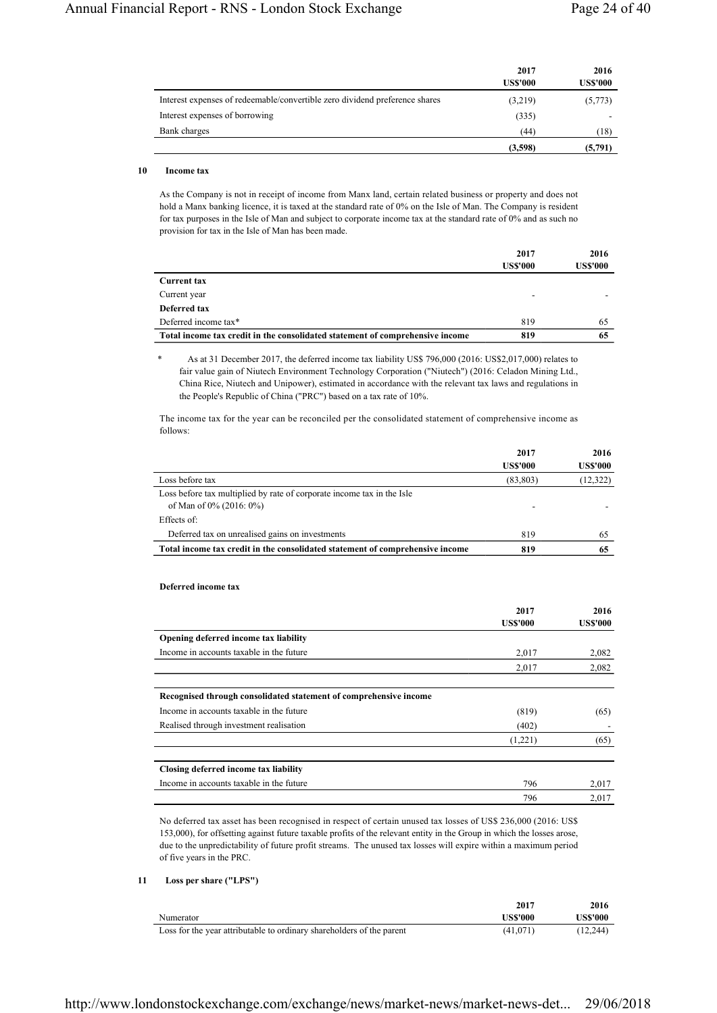|                                                                             | 2017<br><b>US\$'000</b> | 2016<br><b>US\$'000</b> |
|-----------------------------------------------------------------------------|-------------------------|-------------------------|
| Interest expenses of redeemable/convertible zero dividend preference shares | (3,219)                 | (5,773)                 |
| Interest expenses of borrowing                                              | (335)                   |                         |
| Bank charges                                                                | (44)                    | (18)                    |
|                                                                             | (3,598)                 | (5,791)                 |

# **10 Income tax**

As the Company is not in receipt of income from Manx land, certain related business or property and does not hold a Manx banking licence, it is taxed at the standard rate of 0% on the Isle of Man. The Company is resident for tax purposes in the Isle of Man and subject to corporate income tax at the standard rate of 0% and as such no provision for tax in the Isle of Man has been made.

|                                                                               | 2017<br><b>US\$'000</b> | 2016<br><b>US\$'000</b> |
|-------------------------------------------------------------------------------|-------------------------|-------------------------|
| <b>Current tax</b>                                                            |                         |                         |
| Current year                                                                  |                         |                         |
| Deferred tax                                                                  |                         |                         |
| Deferred income tax*                                                          | 819                     | 65                      |
| Total income tax credit in the consolidated statement of comprehensive income | 819                     | 65                      |

As at 31 December 2017, the deferred income tax liability US\$ 796,000 (2016: US\$2,017,000) relates to fair value gain of Niutech Environment Technology Corporation ("Niutech") (2016: Celadon Mining Ltd., China Rice, Niutech and Unipower), estimated in accordance with the relevant tax laws and regulations in the People's Republic of China ("PRC") based on a tax rate of 10%.

The income tax for the year can be reconciled per the consolidated statement of comprehensive income as follows:

|                                                                                                   | 2017<br><b>USS'000</b> | 2016<br><b>US\$'000</b> |
|---------------------------------------------------------------------------------------------------|------------------------|-------------------------|
| Loss before tax                                                                                   | (83, 803)              | (12, 322)               |
| Loss before tax multiplied by rate of corporate income tax in the Isle<br>of Man of 0% (2016: 0%) |                        |                         |
| Effects of:                                                                                       |                        |                         |
| Deferred tax on unrealised gains on investments                                                   | 819                    | 65                      |
| Total income tax credit in the consolidated statement of comprehensive income                     | 819                    | 65                      |

# **Deferred income tax**

|                                                                   | 2017<br><b>US\$'000</b> | 2016<br><b>US\$'000</b> |
|-------------------------------------------------------------------|-------------------------|-------------------------|
| Opening deferred income tax liability                             |                         |                         |
| Income in accounts taxable in the future                          | 2,017                   | 2,082                   |
|                                                                   | 2,017                   | 2,082                   |
| Recognised through consolidated statement of comprehensive income |                         |                         |
| Income in accounts taxable in the future                          | (819)                   | (65)                    |
| Realised through investment realisation                           | (402)                   |                         |
|                                                                   | (1,221)                 | (65)                    |
| Closing deferred income tax liability                             |                         |                         |
| Income in accounts taxable in the future                          | 796                     | 2,017                   |
|                                                                   | 796                     | 2.017                   |

No deferred tax asset has been recognised in respect of certain unused tax losses of US\$ 236,000 (2016: US\$ 153,000), for offsetting against future taxable profits of the relevant entity in the Group in which the losses arose, due to the unpredictability of future profit streams. The unused tax losses will expire within a maximum period of five years in the PRC.

# **11 Loss per share ("LPS")**

|                                                                       | 2017     | 2016            |
|-----------------------------------------------------------------------|----------|-----------------|
| Numerator                                                             | US\$'000 | <b>US\$'000</b> |
| Loss for the year attributable to ordinary shareholders of the parent | (41,071) | (12, 244)       |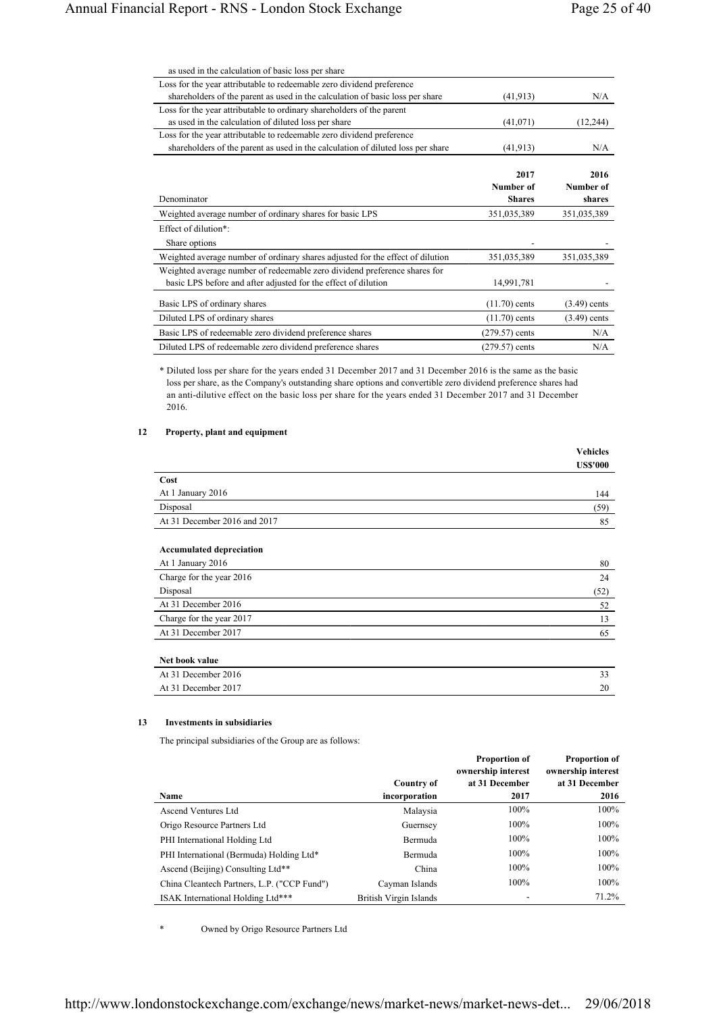| as used in the calculation of basic loss per share                              |                  |                |
|---------------------------------------------------------------------------------|------------------|----------------|
| Loss for the year attributable to redeemable zero dividend preference           |                  |                |
| shareholders of the parent as used in the calculation of basic loss per share   | (41, 913)        | N/A            |
| Loss for the year attributable to ordinary shareholders of the parent           |                  |                |
| as used in the calculation of diluted loss per share                            | (41,071)         | (12, 244)      |
| Loss for the year attributable to redeemable zero dividend preference           |                  |                |
| shareholders of the parent as used in the calculation of diluted loss per share | (41, 913)        | N/A            |
|                                                                                 | 2017             | 2016           |
|                                                                                 | Number of        | Number of      |
| Denominator                                                                     | <b>Shares</b>    | shares         |
| Weighted average number of ordinary shares for basic LPS                        | 351,035,389      | 351,035,389    |
| Effect of dilution*:                                                            |                  |                |
| Share options                                                                   |                  |                |
|                                                                                 |                  |                |
| Weighted average number of ordinary shares adjusted for the effect of dilution  | 351,035,389      | 351,035,389    |
| Weighted average number of redeemable zero dividend preference shares for       |                  |                |
| basic LPS before and after adjusted for the effect of dilution                  | 14,991,781       |                |
| Basic LPS of ordinary shares                                                    | $(11.70)$ cents  | $(3.49)$ cents |
| Diluted LPS of ordinary shares                                                  | $(11.70)$ cents  | $(3.49)$ cents |
| Basic LPS of redeemable zero dividend preference shares                         | $(279.57)$ cents | N/A            |
| Diluted LPS of redeemable zero dividend preference shares                       | $(279.57)$ cents | N/A            |

\* Diluted loss per share for the years ended 31 December 2017 and 31 December 2016 is the same as the basic loss per share, as the Company's outstanding share options and convertible zero dividend preference shares had an anti-dilutive effect on the basic loss per share for the years ended 31 December 2017 and 31 December 2016.

# **12 Property, plant and equipment**

|                                 | <b>Vehicles</b> |
|---------------------------------|-----------------|
|                                 | <b>US\$'000</b> |
| Cost                            |                 |
| At 1 January 2016               | 144             |
| Disposal                        | (59)            |
| At 31 December 2016 and 2017    | 85              |
|                                 |                 |
| <b>Accumulated depreciation</b> |                 |
| At 1 January 2016               | 80              |
| Charge for the year 2016        | 24              |
| Disposal                        | (52)            |
| At 31 December 2016             | 52              |
| Charge for the year 2017        | 13              |
| At 31 December 2017             | 65              |
| Net book value                  |                 |
| At 31 December 2016             | 33              |
| At 31 December 2017             | 20              |

## **13 Investments in subsidiaries**

The principal subsidiaries of the Group are as follows:

| Name                                        | Country of<br>incorporation | <b>Proportion of</b><br>ownership interest<br>at 31 December<br>2017 | <b>Proportion of</b><br>ownership interest<br>at 31 December<br>2016 |
|---------------------------------------------|-----------------------------|----------------------------------------------------------------------|----------------------------------------------------------------------|
| Ascend Ventures Ltd                         | Malaysia                    | 100%                                                                 | 100%                                                                 |
| Origo Resource Partners Ltd                 | Guernsey                    | 100%                                                                 | 100%                                                                 |
| PHI International Holding Ltd               | <b>Bermuda</b>              | 100%                                                                 | 100%                                                                 |
| PHI International (Bermuda) Holding Ltd*    | <b>Bermuda</b>              | 100%                                                                 | 100%                                                                 |
| Ascend (Beijing) Consulting Ltd**           | China                       | 100%                                                                 | 100%                                                                 |
| China Cleantech Partners, L.P. ("CCP Fund") | Cayman Islands              | 100%                                                                 | 100%                                                                 |
| ISAK International Holding Ltd***           | British Virgin Islands      |                                                                      | 71.2%                                                                |

\* Owned by Origo Resource Partners Ltd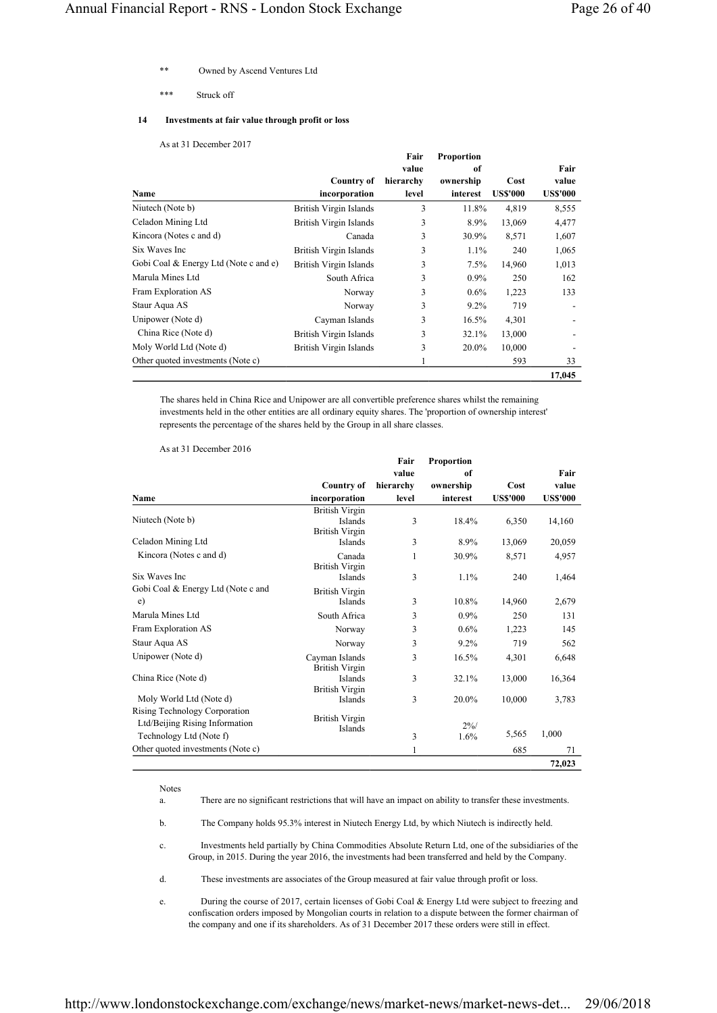- Owned by Ascend Ventures Ltd
- \*\*\* Struck off

# **14 Investments at fair value through profit or loss**

# As at 31 December 2017

|                                       |                               | Fair      | <b>Proportion</b> |                |                 |
|---------------------------------------|-------------------------------|-----------|-------------------|----------------|-----------------|
|                                       |                               | value     | of                |                | Fair            |
|                                       | <b>Country of</b>             | hierarchy | ownership         | Cost           | value           |
| Name                                  | incorporation                 | level     | interest          | <b>USS'000</b> | <b>US\$'000</b> |
| Niutech (Note b)                      | <b>British Virgin Islands</b> | 3         | 11.8%             | 4,819          | 8,555           |
| Celadon Mining Ltd                    | <b>British Virgin Islands</b> | 3         | 8.9%              | 13,069         | 4,477           |
| Kincora (Notes c and d)               | Canada                        | 3         | 30.9%             | 8,571          | 1,607           |
| Six Waves Inc                         | British Virgin Islands        | 3         | 1.1%              | 240            | 1,065           |
| Gobi Coal & Energy Ltd (Note c and e) | <b>British Virgin Islands</b> | 3         | 7.5%              | 14,960         | 1,013           |
| Marula Mines Ltd                      | South Africa                  | 3         | $0.9\%$           | 250            | 162             |
| Fram Exploration AS                   | Norway                        | 3         | $0.6\%$           | 1,223          | 133             |
| Staur Aqua AS                         | Norway                        | 3         | $9.2\%$           | 719            |                 |
| Unipower (Note d)                     | Cayman Islands                | 3         | 16.5%             | 4,301          |                 |
| China Rice (Note d)                   | British Virgin Islands        | 3         | 32.1%             | 13,000         |                 |
| Moly World Ltd (Note d)               | British Virgin Islands        | 3         | 20.0%             | 10,000         |                 |
| Other quoted investments (Note c)     |                               | 1         |                   | 593            | 33              |
|                                       |                               |           |                   |                | 17,045          |

The shares held in China Rice and Unipower are all convertible preference shares whilst the remaining investments held in the other entities are all ordinary equity shares. The 'proportion of ownership interest' represents the percentage of the shares held by the Group in all share classes.

As at 31 December 2016

|                                                                                            |                                                           | Fair      | Proportion     |                 |                 |
|--------------------------------------------------------------------------------------------|-----------------------------------------------------------|-----------|----------------|-----------------|-----------------|
|                                                                                            |                                                           | value     | of             |                 | Fair            |
|                                                                                            | Country of                                                | hierarchy | ownership      | Cost            | value           |
| Name                                                                                       | incorporation                                             | level     | interest       | <b>US\$'000</b> | <b>US\$'000</b> |
| Niutech (Note b)                                                                           | <b>British Virgin</b><br>Islands<br><b>British Virgin</b> | 3         | 18.4%          | 6,350           | 14,160          |
| Celadon Mining Ltd                                                                         | Islands                                                   | 3         | 8.9%           | 13,069          | 20,059          |
| Kincora (Notes c and d)                                                                    | Canada<br><b>British Virgin</b>                           | 1         | 30.9%          | 8,571           | 4,957           |
| Six Waves Inc.                                                                             | Islands                                                   | 3         | 1.1%           | 240             | 1,464           |
| Gobi Coal & Energy Ltd (Note c and<br>$\epsilon$ )                                         | <b>British Virgin</b><br>Islands                          | 3         | 10.8%          | 14,960          | 2,679           |
| Marula Mines Ltd                                                                           | South Africa                                              | 3         | $0.9\%$        | 250             | 131             |
| Fram Exploration AS                                                                        | Norway                                                    | 3         | $0.6\%$        | 1,223           | 145             |
| Staur Aqua AS                                                                              | Norway                                                    | 3         | 9.2%           | 719             | 562             |
| Unipower (Note d)                                                                          | Cayman Islands<br><b>British Virgin</b>                   | 3         | 16.5%          | 4,301           | 6,648           |
| China Rice (Note d)                                                                        | <b>Islands</b><br><b>British Virgin</b>                   | 3         | 32.1%          | 13,000          | 16,364          |
| Moly World Ltd (Note d)                                                                    | Islands                                                   | 3         | 20.0%          | 10,000          | 3,783           |
| Rising Technology Corporation<br>Ltd/Beijing Rising Information<br>Technology Ltd (Note f) | <b>British Virgin</b><br>Islands                          | 3         | $2\%/$<br>1.6% | 5,565           | 1,000           |
| Other quoted investments (Note c)                                                          |                                                           | 1         |                | 685             | 71              |
|                                                                                            |                                                           |           |                |                 | 72,023          |

Notes

- a. There are no significant restrictions that will have an impact on ability to transfer these investments.
- b. The Company holds 95.3% interest in Niutech Energy Ltd, by which Niutech is indirectly held.
- c. Investments held partially by China Commodities Absolute Return Ltd, one of the subsidiaries of the Group, in 2015. During the year 2016, the investments had been transferred and held by the Company.
- d. These investments are associates of the Group measured at fair value through profit or loss.
- e. During the course of 2017, certain licenses of Gobi Coal & Energy Ltd were subject to freezing and confiscation orders imposed by Mongolian courts in relation to a dispute between the former chairman of the company and one if its shareholders. As of 31 December 2017 these orders were still in effect.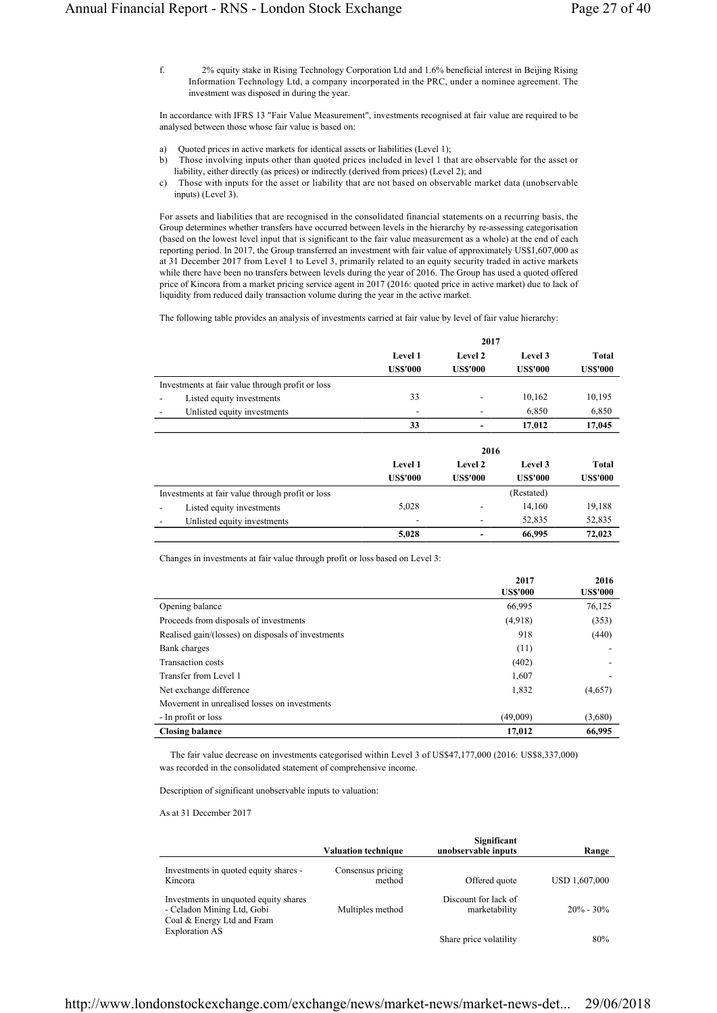f. 2% equity stake in Rising Technology Corporation Ltd and 1.6% beneficial interest in Beijing Rising Information Technology Ltd, a company incorporated in the PRC, under a nominee agreement. The investment was disposed in during the year.

In accordance with IFRS 13 "Fair Value Measurement", investments recognised at fair value are required to be analysed between those whose fair value is based on:

- a) Quoted prices in active markets for identical assets or liabilities (Level 1);
- b) Those involving inputs other than quoted prices included in level 1 that are observable for the asset or liability, either directly (as prices) or indirectly (derived from prices) (Level 2); and
- c) Those with inputs for the asset or liability that are not based on observable market data (unobservable inputs) (Level 3).

For assets and liabilities that are recognised in the consolidated financial statements on a recurring basis, the Group determines whether transfers have occurred between levels in the hierarchy by re-assessing categorisation (based on the lowest level input that is significant to the fair value measurement as a whole) at the end of each reporting period. In 2017, the Group transferred an investment with fair value of approximately US\$1,607,000 as at 31 December 2017 from Level 1 to Level 3, primarily related to an equity security traded in active markets while there have been no transfers between levels during the year of 2016. The Group has used a quoted offered price of Kincora from a market pricing service agent in 2017 (2016: quoted price in active market) due to lack of liquidity from reduced daily transaction volume during the year in the active market.

The following table provides an analysis of investments carried at fair value by level of fair value hierarchy:

|                                                  | 2017                       |                            |                            |                          |
|--------------------------------------------------|----------------------------|----------------------------|----------------------------|--------------------------|
|                                                  | Level 1<br><b>US\$'000</b> | Level 2<br><b>US\$'000</b> | Level 3<br><b>US\$'000</b> | Total<br><b>US\$'000</b> |
| Investments at fair value through profit or loss |                            |                            |                            |                          |
| Listed equity investments                        | 33                         |                            | 10,162                     | 10,195                   |
| Unlisted equity investments                      |                            |                            | 6,850                      | 6,850                    |
|                                                  | 33                         |                            | 17,012                     | 17,045                   |
|                                                  |                            | 2016                       |                            |                          |
|                                                  | Level 1                    | Level 2                    | Level 3                    | <b>Total</b>             |
|                                                  | <b>US\$'000</b>            | <b>US\$'000</b>            | <b>US\$'000</b>            | <b>US\$'000</b>          |
| Investments at fair value through profit or loss |                            |                            | (Restated)                 |                          |
| Listed equity investments                        | 5,028                      | ٠                          | 14,160                     | 19,188                   |
| Unlisted equity investments                      | ٠                          |                            | 52,835                     | 52,835                   |
|                                                  | 5,028                      |                            | 66,995                     | 72,023                   |

Changes in investments at fair value through profit or loss based on Level 3:

|                                                    | 2017<br><b>US\$'000</b> | 2016<br><b>US\$'000</b> |
|----------------------------------------------------|-------------------------|-------------------------|
| Opening balance                                    | 66,995                  | 76,125                  |
| Proceeds from disposals of investments             | (4,918)                 | (353)                   |
| Realised gain/(losses) on disposals of investments | 918                     | (440)                   |
| Bank charges                                       | (11)                    |                         |
| Transaction costs                                  | (402)                   |                         |
| Transfer from Level 1                              | 1,607                   |                         |
| Net exchange difference                            | 1,832                   | (4,657)                 |
| Movement in unrealised losses on investments       |                         |                         |
| - In profit or loss                                | (49,009)                | (3,680)                 |
| <b>Closing balance</b>                             | 17,012                  | 66,995                  |

 The fair value decrease on investments categorised within Level 3 of US\$47,177,000 (2016: US\$8,337,000) was recorded in the consolidated statement of comprehensive income.

Description of significant unobservable inputs to valuation:

As at 31 December 2017

|                                                                                                   | <b>Valuation technique</b>  | Significant<br>unobservable inputs    | Range         |
|---------------------------------------------------------------------------------------------------|-----------------------------|---------------------------------------|---------------|
| Investments in quoted equity shares -<br>Kincora                                                  | Consensus pricing<br>method | Offered quote                         | USD 1,607,000 |
| Investments in unquoted equity shares<br>- Celadon Mining Ltd, Gobi<br>Coal & Energy Ltd and Fram | Multiples method            | Discount for lack of<br>marketability | $20\% - 30\%$ |
| <b>Exploration AS</b>                                                                             |                             | Share price volatility                | 80%           |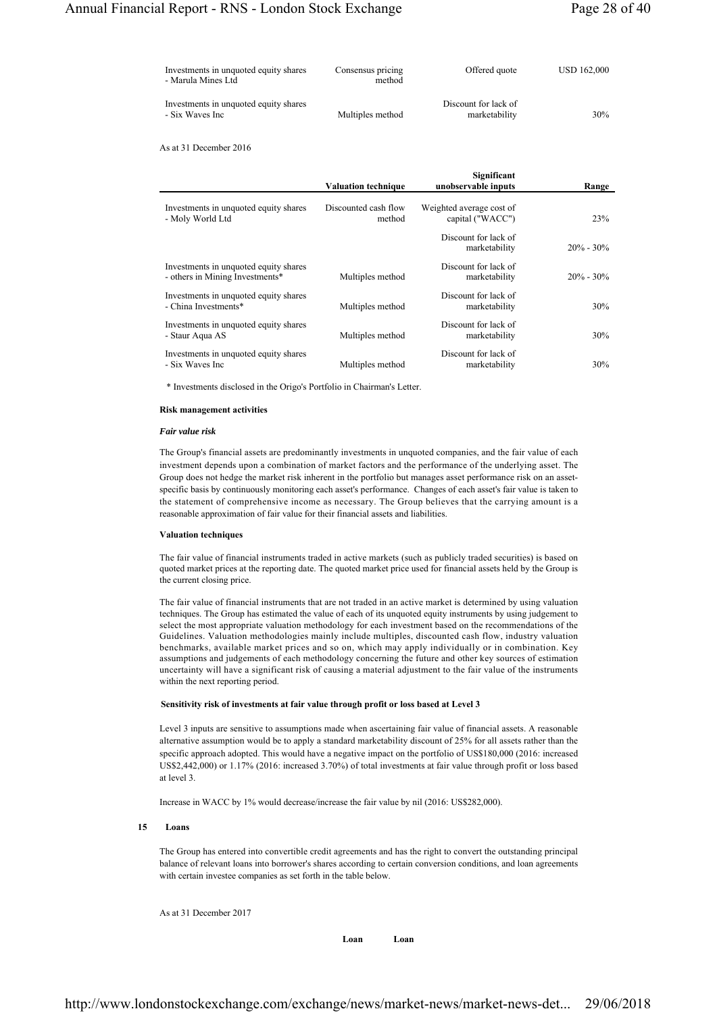| Investments in unquoted equity shares<br>- Marula Mines Ltd | Consensus pricing<br>method | Offered quote                         | USD 162,000 |
|-------------------------------------------------------------|-----------------------------|---------------------------------------|-------------|
| Investments in unquoted equity shares<br>- Six Waves Inc    | Multiples method            | Discount for lack of<br>marketability | 30%         |

As at 31 December 2016

|                                                                          | <b>Valuation technique</b>     | Significant<br>unobservable inputs           | Range         |
|--------------------------------------------------------------------------|--------------------------------|----------------------------------------------|---------------|
| Investments in unquoted equity shares<br>- Moly World Ltd                | Discounted cash flow<br>method | Weighted average cost of<br>capital ("WACC") | 23%           |
|                                                                          |                                | Discount for lack of<br>marketability        | $20\% - 30\%$ |
| Investments in unquoted equity shares<br>- others in Mining Investments* | Multiples method               | Discount for lack of<br>marketability        | $20\% - 30\%$ |
| Investments in unquoted equity shares<br>- China Investments*            | Multiples method               | Discount for lack of<br>marketability        | 30%           |
| Investments in unquoted equity shares<br>- Staur Aqua AS                 | Multiples method               | Discount for lack of<br>marketability        | 30%           |
| Investments in unquoted equity shares<br>- Six Waves Inc.                | Multiples method               | Discount for lack of<br>marketability        | 30%           |

\* Investments disclosed in the Origo's Portfolio in Chairman's Letter.

#### **Risk management activities**

#### *Fair value risk*

The Group's financial assets are predominantly investments in unquoted companies, and the fair value of each investment depends upon a combination of market factors and the performance of the underlying asset. The Group does not hedge the market risk inherent in the portfolio but manages asset performance risk on an assetspecific basis by continuously monitoring each asset's performance. Changes of each asset's fair value is taken to the statement of comprehensive income as necessary. The Group believes that the carrying amount is a reasonable approximation of fair value for their financial assets and liabilities.

#### **Valuation techniques**

The fair value of financial instruments traded in active markets (such as publicly traded securities) is based on quoted market prices at the reporting date. The quoted market price used for financial assets held by the Group is the current closing price.

The fair value of financial instruments that are not traded in an active market is determined by using valuation techniques. The Group has estimated the value of each of its unquoted equity instruments by using judgement to select the most appropriate valuation methodology for each investment based on the recommendations of the Guidelines. Valuation methodologies mainly include multiples, discounted cash flow, industry valuation benchmarks, available market prices and so on, which may apply individually or in combination. Key assumptions and judgements of each methodology concerning the future and other key sources of estimation uncertainty will have a significant risk of causing a material adjustment to the fair value of the instruments within the next reporting period.

#### **Sensitivity risk of investments at fair value through profit or loss based at Level 3**

Level 3 inputs are sensitive to assumptions made when ascertaining fair value of financial assets. A reasonable alternative assumption would be to apply a standard marketability discount of 25% for all assets rather than the specific approach adopted. This would have a negative impact on the portfolio of US\$180,000 (2016: increased US\$2,442,000) or 1.17% (2016: increased 3.70%) of total investments at fair value through profit or loss based at level 3.

Increase in WACC by 1% would decrease/increase the fair value by nil (2016: US\$282,000).

## **15 Loans**

The Group has entered into convertible credit agreements and has the right to convert the outstanding principal balance of relevant loans into borrower's shares according to certain conversion conditions, and loan agreements with certain investee companies as set forth in the table below.

As at 31 December 2017

**Loan Loan**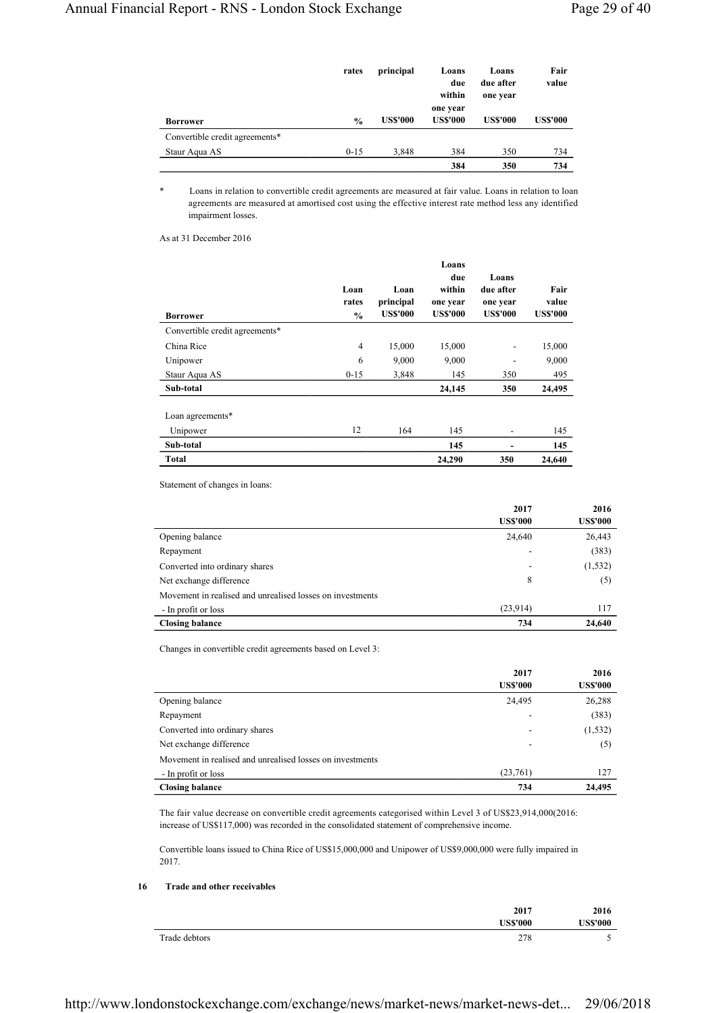|                                | rates         | principal       | Loans<br>due<br>within<br>one year | Loans<br>due after<br>one year | Fair<br>value   |
|--------------------------------|---------------|-----------------|------------------------------------|--------------------------------|-----------------|
| <b>Borrower</b>                | $\frac{0}{0}$ | <b>US\$'000</b> | <b>US\$'000</b>                    | <b>US\$'000</b>                | <b>US\$'000</b> |
| Convertible credit agreements* |               |                 |                                    |                                |                 |
| Staur Aqua AS                  | $0 - 15$      | 3.848           | 384                                | 350                            | 734             |
|                                |               |                 | 384                                | 350                            | 734             |

\* Loans in relation to convertible credit agreements are measured at fair value. Loans in relation to loan agreements are measured at amortised cost using the effective interest rate method less any identified impairment losses.

As at 31 December 2016

| <b>Borrower</b>                | Loan<br>rates<br>$\frac{0}{0}$ | Loan<br>principal<br><b>US\$'000</b> | Loans<br>due<br>within<br>one year<br><b>US\$'000</b> | Loans<br>due after<br>one year<br><b>US\$'000</b> | Fair<br>value<br><b>US\$'000</b> |
|--------------------------------|--------------------------------|--------------------------------------|-------------------------------------------------------|---------------------------------------------------|----------------------------------|
| Convertible credit agreements* |                                |                                      |                                                       |                                                   |                                  |
| China Rice                     | $\overline{4}$                 | 15,000                               | 15,000                                                | -                                                 | 15,000                           |
| Unipower                       | 6                              | 9,000                                | 9,000                                                 |                                                   | 9,000                            |
| Staur Aqua AS                  | $0 - 15$                       | 3,848                                | 145                                                   | 350                                               | 495                              |
| Sub-total                      |                                |                                      | 24,145                                                | 350                                               | 24,495                           |
| Loan agreements*               |                                |                                      |                                                       |                                                   |                                  |
| Unipower                       | 12                             | 164                                  | 145                                                   | -                                                 | 145                              |
| Sub-total                      |                                |                                      | 145                                                   | ۰                                                 | 145                              |
| <b>Total</b>                   |                                |                                      | 24,290                                                | 350                                               | 24,640                           |

Statement of changes in loans:

|                                                           | 2017            | 2016            |
|-----------------------------------------------------------|-----------------|-----------------|
|                                                           | <b>US\$'000</b> | <b>US\$'000</b> |
| Opening balance                                           | 24,640          | 26,443          |
| Repayment                                                 |                 | (383)           |
| Converted into ordinary shares                            |                 | (1, 532)        |
| Net exchange difference                                   | 8               | (5)             |
| Movement in realised and unrealised losses on investments |                 |                 |
| - In profit or loss                                       | (23,914)        | 117             |
| <b>Closing balance</b>                                    | 734             | 24,640          |

Changes in convertible credit agreements based on Level 3:

|                                                           | 2017                     | 2016            |
|-----------------------------------------------------------|--------------------------|-----------------|
|                                                           | <b>US\$'000</b>          | <b>US\$'000</b> |
| Opening balance                                           | 24,495                   | 26,288          |
| Repayment                                                 |                          | (383)           |
| Converted into ordinary shares                            | $\overline{\phantom{a}}$ | (1, 532)        |
| Net exchange difference                                   | $\overline{\phantom{a}}$ | (5)             |
| Movement in realised and unrealised losses on investments |                          |                 |
| - In profit or loss                                       | (23,761)                 | 127             |
| <b>Closing balance</b>                                    | 734                      | 24.495          |

The fair value decrease on convertible credit agreements categorised within Level 3 of US\$23,914,000(2016: increase of US\$117,000) was recorded in the consolidated statement of comprehensive income.

Convertible loans issued to China Rice of US\$15,000,000 and Unipower of US\$9,000,000 were fully impaired in 2017.

# **16 Trade and other receivables**

|               | 2017<br>US\$'000 | 2016<br><b>US\$'000</b> |
|---------------|------------------|-------------------------|
| Trade debtors | 278              | -                       |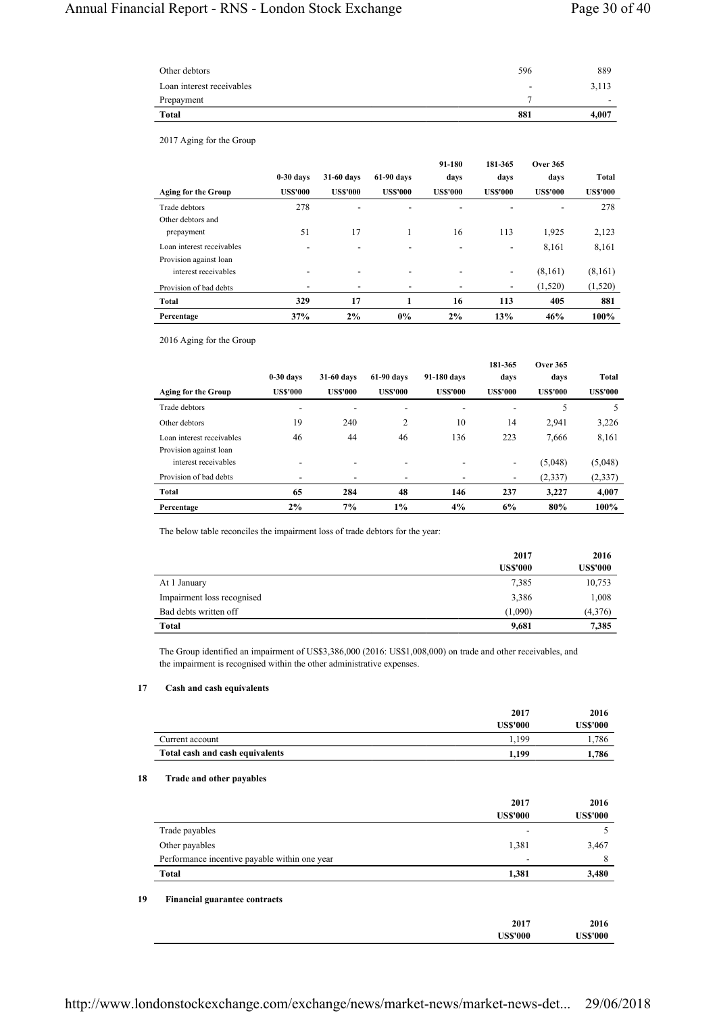| Other debtors             | 596                      | 889   |
|---------------------------|--------------------------|-------|
| Loan interest receivables | $\overline{\phantom{a}}$ | 3,113 |
| Prepayment                |                          | -     |
| <b>Total</b>              | 881                      | 4,007 |

2017 Aging for the Group

|                            |                 |                          |                 | 91-180         | 181-365                      | <b>Over 365</b> |                 |
|----------------------------|-----------------|--------------------------|-----------------|----------------|------------------------------|-----------------|-----------------|
|                            | $0-30$ days     | 31-60 days               | 61-90 days      | days           | days                         | days            | Total           |
| <b>Aging for the Group</b> | <b>US\$'000</b> | <b>US\$'000</b>          | <b>US\$'000</b> | <b>USS'000</b> | <b>US\$'000</b>              | <b>US\$'000</b> | <b>US\$'000</b> |
| Trade debtors              | 278             | ۰                        | -               | ۰              |                              | -               | 278             |
| Other debtors and          |                 |                          |                 |                |                              |                 |                 |
| prepayment                 | 51              | 17                       | 1               | 16             | 113                          | 1,925           | 2,123           |
| Loan interest receivables  | ۰               | -                        | -               |                | ۰                            | 8.161           | 8,161           |
| Provision against loan     |                 |                          |                 |                |                              |                 |                 |
| interest receivables       | ٠               | ۰                        | ۰               | ٠              | ۰                            | (8,161)         | (8,161)         |
| Provision of bad debts     | ۰               | $\overline{\phantom{a}}$ | ٠               |                | $\qquad \qquad \blacksquare$ | (1,520)         | (1,520)         |
| Total                      | 329             | 17                       |                 | 16             | 113                          | 405             | 881             |
| Percentage                 | 37%             | 2%                       | $0\%$           | 2%             | 13%                          | 46%             | 100%            |

2016 Aging for the Group

|                            |                |                |                 |                | 181-365                  | <b>Over 365</b> |                 |
|----------------------------|----------------|----------------|-----------------|----------------|--------------------------|-----------------|-----------------|
|                            | $0-30$ days    | 31-60 days     | $61-90$ days    | 91-180 days    | davs                     | days            | Total           |
| <b>Aging for the Group</b> | <b>USS'000</b> | <b>USS'000</b> | <b>US\$'000</b> | <b>USS'000</b> | <b>US\$'000</b>          | <b>US\$'000</b> | <b>US\$'000</b> |
| Trade debtors              | ۰              |                | ۰               | ۰              | $\overline{\phantom{a}}$ | 5               | 5               |
| Other debtors              | 19             | 240            | 2               | 10             | 14                       | 2,941           | 3,226           |
| Loan interest receivables  | 46             | 44             | 46              | 136            | 223                      | 7.666           | 8,161           |
| Provision against loan     |                |                |                 |                |                          |                 |                 |
| interest receivables       |                |                | ۰               |                | $\overline{\phantom{0}}$ | (5,048)         | (5,048)         |
| Provision of bad debts     |                |                |                 |                | ۰                        | (2, 337)        | (2, 337)        |
| Total                      | 65             | 284            | 48              | 146            | 237                      | 3.227           | 4,007           |
| Percentage                 | $2\%$          | 7%             | $1\%$           | 4%             | 6%                       | 80%             | 100%            |

The below table reconciles the impairment loss of trade debtors for the year:

|                            | 2017            | 2016            |
|----------------------------|-----------------|-----------------|
|                            | <b>US\$'000</b> | <b>US\$'000</b> |
| At 1 January               | 7,385           | 10,753          |
| Impairment loss recognised | 3,386           | 1,008           |
| Bad debts written off      | (1,090)         | (4,376)         |
| <b>Total</b>               | 9,681           | 7,385           |

The Group identified an impairment of US\$3,386,000 (2016: US\$1,008,000) on trade and other receivables, and the impairment is recognised within the other administrative expenses.

## **17 Cash and cash equivalents**

|                                 | 2017     | 2016     |
|---------------------------------|----------|----------|
|                                 | US\$'000 | US\$'000 |
| Current account                 | 1.199    | . 786    |
| Total cash and cash equivalents | 1.199    | 1.786    |

## **18 Trade and other payables**

|                                               | 2017<br><b>US\$'000</b> | 2016<br><b>US\$'000</b> |
|-----------------------------------------------|-------------------------|-------------------------|
| Trade payables                                |                         |                         |
| Other payables                                | 1,381                   | 3,467                   |
| Performance incentive payable within one year | ۰                       | 8                       |
| <b>Total</b>                                  | 1,381                   | 3,480                   |
| <b>Financial guarantee contracts</b>          | 2017                    | 2016                    |
|                                               | <b>US\$'000</b>         | <b>US\$'000</b>         |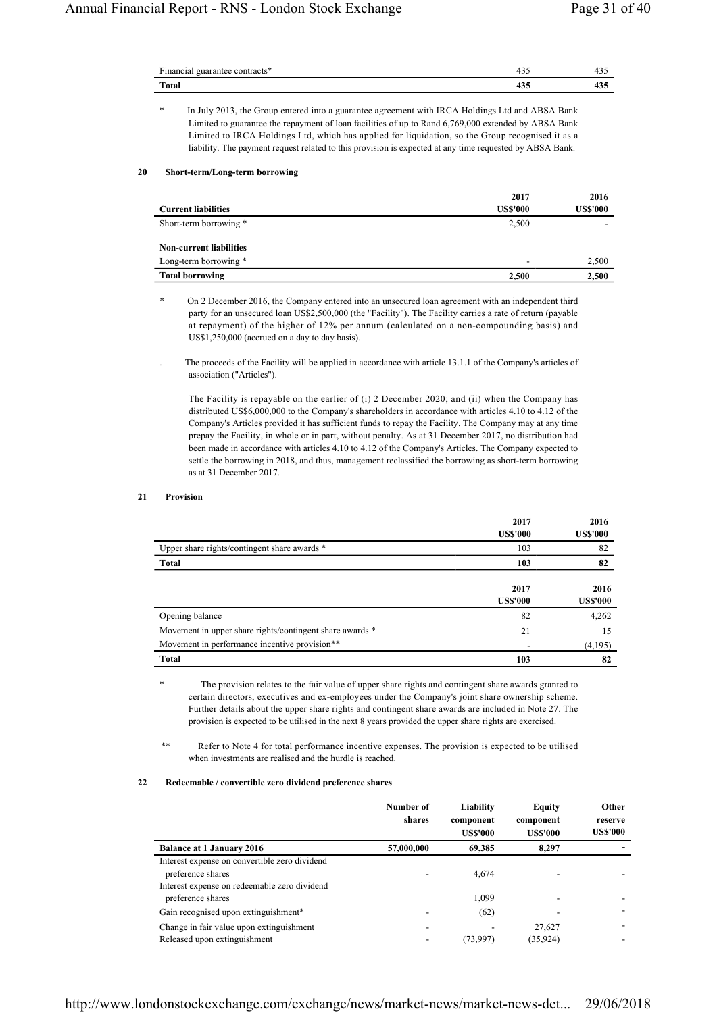| Financial<br>uarar |     |  |
|--------------------|-----|--|
| Total              | າບປ |  |

In July 2013, the Group entered into a guarantee agreement with IRCA Holdings Ltd and ABSA Bank Limited to guarantee the repayment of loan facilities of up to Rand 6,769,000 extended by ABSA Bank Limited to IRCA Holdings Ltd, which has applied for liquidation, so the Group recognised it as a liability. The payment request related to this provision is expected at any time requested by ABSA Bank.

## **20 Short-term/Long-term borrowing**

|                                | 2017            | 2016            |
|--------------------------------|-----------------|-----------------|
| <b>Current liabilities</b>     | <b>US\$'000</b> | <b>US\$'000</b> |
| Short-term borrowing *         | 2,500           |                 |
| <b>Non-current liabilities</b> |                 |                 |
| Long-term borrowing *          | -               | 2,500           |
| <b>Total borrowing</b>         | 2.500           | 2,500           |

On 2 December 2016, the Company entered into an unsecured loan agreement with an independent third party for an unsecured loan US\$2,500,000 (the "Facility"). The Facility carries a rate of return (payable at repayment) of the higher of 12% per annum (calculated on a non-compounding basis) and US\$1,250,000 (accrued on a day to day basis).

. The proceeds of the Facility will be applied in accordance with article 13.1.1 of the Company's articles of association ("Articles").

The Facility is repayable on the earlier of (i) 2 December 2020; and (ii) when the Company has distributed US\$6,000,000 to the Company's shareholders in accordance with articles 4.10 to 4.12 of the Company's Articles provided it has sufficient funds to repay the Facility. The Company may at any time prepay the Facility, in whole or in part, without penalty. As at 31 December 2017, no distribution had been made in accordance with articles 4.10 to 4.12 of the Company's Articles. The Company expected to settle the borrowing in 2018, and thus, management reclassified the borrowing as short-term borrowing as at 31 December 2017.

## **21 Provision**

|                                                          | 2017<br><b>US\$'000</b> | 2016<br><b>US\$'000</b> |
|----------------------------------------------------------|-------------------------|-------------------------|
| Upper share rights/contingent share awards *             | 103                     | 82                      |
| Total                                                    | 103                     | 82                      |
|                                                          | 2017<br><b>US\$'000</b> | 2016<br><b>US\$'000</b> |
| Opening balance                                          | 82                      | 4,262                   |
| Movement in upper share rights/contingent share awards * | 21                      | 15                      |
| Movement in performance incentive provision**            |                         | (4,195)                 |
| <b>Total</b>                                             | 103                     | 82                      |

The provision relates to the fair value of upper share rights and contingent share awards granted to certain directors, executives and ex-employees under the Company's joint share ownership scheme. Further details about the upper share rights and contingent share awards are included in Note 27. The provision is expected to be utilised in the next 8 years provided the upper share rights are exercised.

\*\* Refer to Note 4 for total performance incentive expenses. The provision is expected to be utilised when investments are realised and the hurdle is reached.

## **22 Redeemable / convertible zero dividend preference shares**

|                                                                                                                    | Number of<br>shares | Liability<br>component<br><b>US\$'000</b> | Equity<br>component<br><b>US\$'000</b> | Other<br>reserve<br><b>USS'000</b> |
|--------------------------------------------------------------------------------------------------------------------|---------------------|-------------------------------------------|----------------------------------------|------------------------------------|
| <b>Balance at 1 January 2016</b>                                                                                   | 57,000,000          | 69,385                                    | 8,297                                  |                                    |
| Interest expense on convertible zero dividend<br>preference shares<br>Interest expense on redeemable zero dividend |                     | 4.674                                     |                                        |                                    |
| preference shares                                                                                                  |                     | 1,099                                     |                                        |                                    |
| Gain recognised upon extinguishment*                                                                               |                     | (62)                                      |                                        |                                    |
| Change in fair value upon extinguishment<br>Released upon extinguishment                                           |                     | (73,997)                                  | 27,627<br>(35, 924)                    |                                    |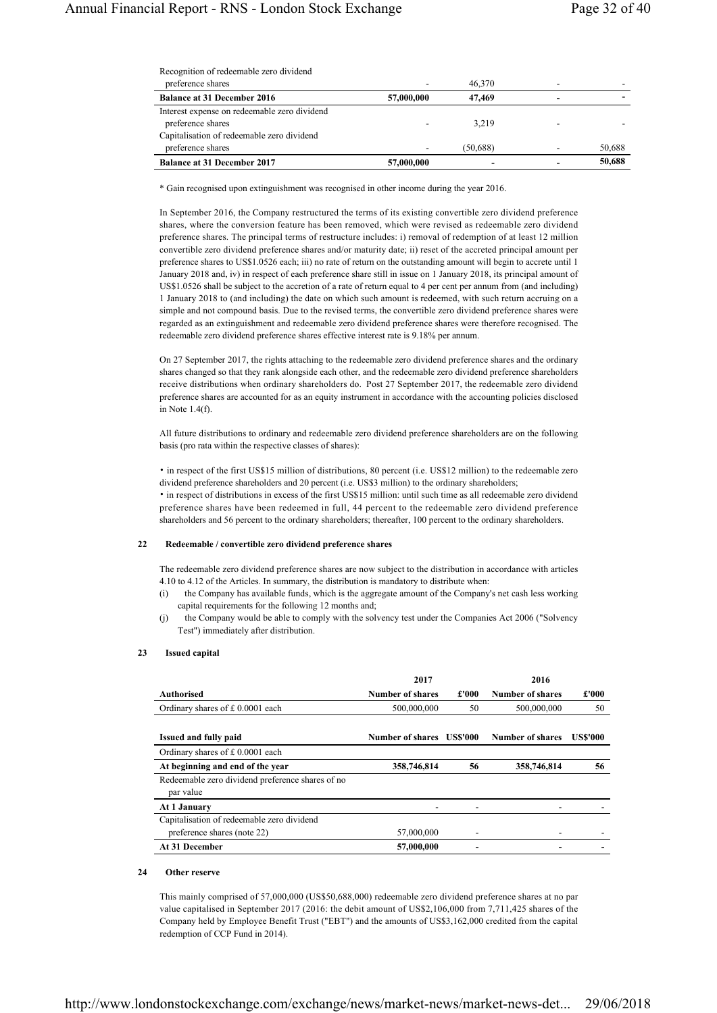| Recognition of redeemable zero dividend |
|-----------------------------------------|
|-----------------------------------------|

| preference shares                            |            | 46,370   |        |
|----------------------------------------------|------------|----------|--------|
| <b>Balance at 31 December 2016</b>           | 57,000,000 | 47,469   |        |
| Interest expense on redeemable zero dividend |            |          |        |
| preference shares                            |            | 3.219    |        |
| Capitalisation of redeemable zero dividend   |            |          |        |
| preference shares                            |            | (50.688) | 50,688 |
| <b>Balance at 31 December 2017</b>           | 57,000,000 |          | 50,688 |

\* Gain recognised upon extinguishment was recognised in other income during the year 2016.

In September 2016, the Company restructured the terms of its existing convertible zero dividend preference shares, where the conversion feature has been removed, which were revised as redeemable zero dividend preference shares. The principal terms of restructure includes: i) removal of redemption of at least 12 million convertible zero dividend preference shares and/or maturity date; ii) reset of the accreted principal amount per preference shares to US\$1.0526 each; iii) no rate of return on the outstanding amount will begin to accrete until 1 January 2018 and, iv) in respect of each preference share still in issue on 1 January 2018, its principal amount of US\$1.0526 shall be subject to the accretion of a rate of return equal to 4 per cent per annum from (and including) 1 January 2018 to (and including) the date on which such amount is redeemed, with such return accruing on a simple and not compound basis. Due to the revised terms, the convertible zero dividend preference shares were regarded as an extinguishment and redeemable zero dividend preference shares were therefore recognised. The redeemable zero dividend preference shares effective interest rate is 9.18% per annum.

On 27 September 2017, the rights attaching to the redeemable zero dividend preference shares and the ordinary shares changed so that they rank alongside each other, and the redeemable zero dividend preference shareholders receive distributions when ordinary shareholders do. Post 27 September 2017, the redeemable zero dividend preference shares are accounted for as an equity instrument in accordance with the accounting policies disclosed in Note 1.4(f).

All future distributions to ordinary and redeemable zero dividend preference shareholders are on the following basis (pro rata within the respective classes of shares):

• in respect of the first US\$15 million of distributions, 80 percent (i.e. US\$12 million) to the redeemable zero dividend preference shareholders and 20 percent (i.e. US\$3 million) to the ordinary shareholders; • in respect of distributions in excess of the first US\$15 million: until such time as all redeemable zero dividend preference shares have been redeemed in full, 44 percent to the redeemable zero dividend preference shareholders and 56 percent to the ordinary shareholders; thereafter, 100 percent to the ordinary shareholders.

# **22 Redeemable / convertible zero dividend preference shares**

The redeemable zero dividend preference shares are now subject to the distribution in accordance with articles 4.10 to 4.12 of the Articles. In summary, the distribution is mandatory to distribute when:

- (i) the Company has available funds, which is the aggregate amount of the Company's net cash less working capital requirements for the following 12 months and;
- (j) the Company would be able to comply with the solvency test under the Companies Act 2006 ("Solvency Test") immediately after distribution.

#### **23 Issued capital**

|                                                               | 2017                     |       | 2016             |                 |
|---------------------------------------------------------------|--------------------------|-------|------------------|-----------------|
| Authorised                                                    | Number of shares         | £'000 | Number of shares | £'000           |
| Ordinary shares of £0.0001 each                               | 500,000,000              | 50    | 500,000,000      | 50              |
| <b>Issued and fully paid</b>                                  | Number of shares USS'000 |       | Number of shares | <b>US\$'000</b> |
| Ordinary shares of £0.0001 each                               |                          |       |                  |                 |
| At beginning and end of the year                              | 358,746,814              | 56    | 358,746,814      | 56              |
| Redeemable zero dividend preference shares of no<br>par value |                          |       |                  |                 |
| At 1 January                                                  |                          |       |                  |                 |
| Capitalisation of redeemable zero dividend                    |                          |       |                  |                 |
| preference shares (note 22)                                   | 57,000,000               |       |                  |                 |
| At 31 December                                                | 57,000,000               |       |                  |                 |

## **24 Other reserve**

This mainly comprised of 57,000,000 (US\$50,688,000) redeemable zero dividend preference shares at no par value capitalised in September 2017 (2016: the debit amount of US\$2,106,000 from 7,711,425 shares of the Company held by Employee Benefit Trust ("EBT") and the amounts of US\$3,162,000 credited from the capital redemption of CCP Fund in 2014).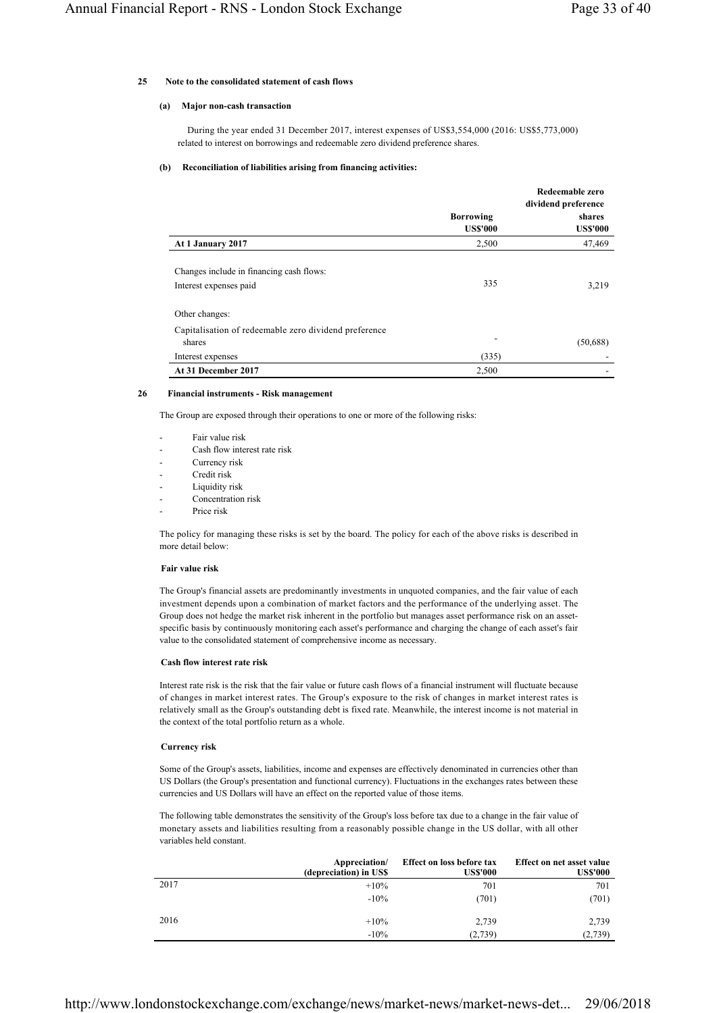### **25 Note to the consolidated statement of cash flows**

#### **(a) Major non-cash transaction**

 During the year ended 31 December 2017, interest expenses of US\$3,554,000 (2016: US\$5,773,000) related to interest on borrowings and redeemable zero dividend preference shares.

#### **(b) Reconciliation of liabilities arising from financing activities:**

|                                                                 |                                     | Redeemable zero<br>dividend preference |
|-----------------------------------------------------------------|-------------------------------------|----------------------------------------|
|                                                                 | <b>Borrowing</b><br><b>US\$'000</b> | shares<br><b>US\$'000</b>              |
| At 1 January 2017                                               | 2,500                               | 47,469                                 |
| Changes include in financing cash flows:                        |                                     |                                        |
| Interest expenses paid                                          | 335                                 | 3,219                                  |
| Other changes:                                                  |                                     |                                        |
| Capitalisation of redeemable zero dividend preference<br>shares |                                     | (50, 688)                              |
| Interest expenses                                               | (335)                               |                                        |
| At 31 December 2017                                             | 2,500                               |                                        |

#### **26 Financial instruments - Risk management**

The Group are exposed through their operations to one or more of the following risks:

- Fair value risk
- Cash flow interest rate risk
- Currency risk
- Credit risk
- Liquidity risk
- Concentration risk
- Price risk

The policy for managing these risks is set by the board. The policy for each of the above risks is described in more detail below:

#### **Fair value risk**

The Group's financial assets are predominantly investments in unquoted companies, and the fair value of each investment depends upon a combination of market factors and the performance of the underlying asset. The Group does not hedge the market risk inherent in the portfolio but manages asset performance risk on an assetspecific basis by continuously monitoring each asset's performance and charging the change of each asset's fair value to the consolidated statement of comprehensive income as necessary.

### **Cash flow interest rate risk**

Interest rate risk is the risk that the fair value or future cash flows of a financial instrument will fluctuate because of changes in market interest rates. The Group's exposure to the risk of changes in market interest rates is relatively small as the Group's outstanding debt is fixed rate. Meanwhile, the interest income is not material in the context of the total portfolio return as a whole.

### **Currency risk**

Some of the Group's assets, liabilities, income and expenses are effectively denominated in currencies other than US Dollars (the Group's presentation and functional currency). Fluctuations in the exchanges rates between these currencies and US Dollars will have an effect on the reported value of those items.

The following table demonstrates the sensitivity of the Group's loss before tax due to a change in the fair value of monetary assets and liabilities resulting from a reasonably possible change in the US dollar, with all other variables held constant.

|      | Appreciation/<br>(depreciation) in US\$ | Effect on loss before tax<br><b>US\$'000</b> | Effect on net asset value<br><b>US\$'000</b> |
|------|-----------------------------------------|----------------------------------------------|----------------------------------------------|
| 2017 | $+10\%$                                 | 701                                          | 701                                          |
|      | $-10\%$                                 | (701)                                        | (701)                                        |
| 2016 | $+10\%$                                 | 2.739                                        | 2,739                                        |
|      | $-10\%$                                 | (2,739)                                      | (2,739)                                      |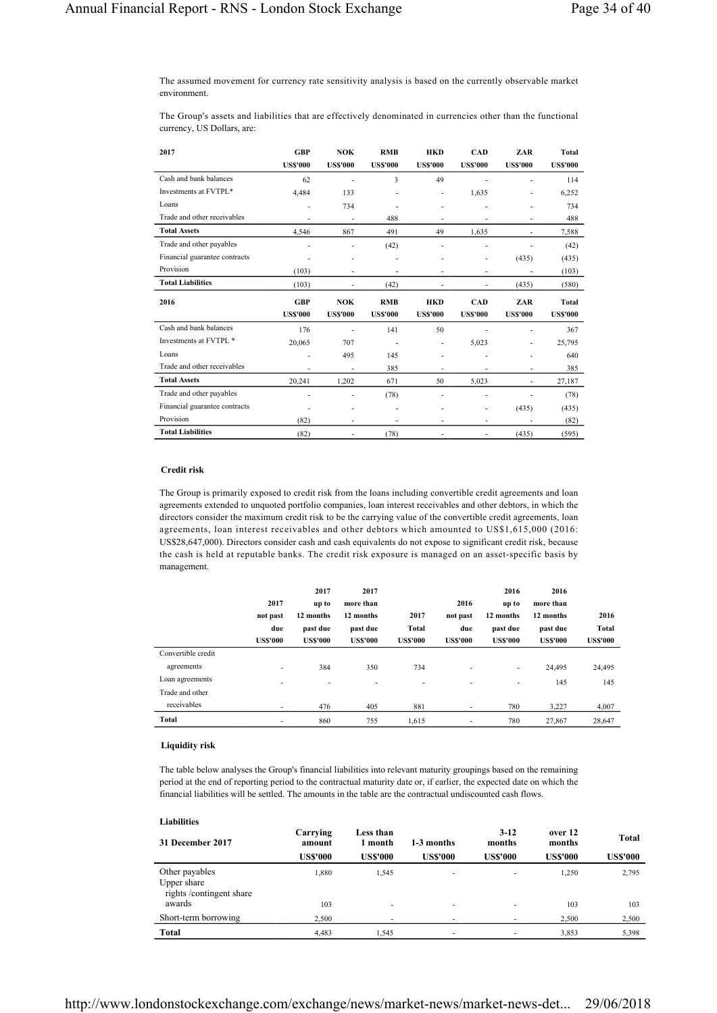The assumed movement for currency rate sensitivity analysis is based on the currently observable market environment.

The Group's assets and liabilities that are effectively denominated in currencies other than the functional currency, US Dollars, are:

| 2017                          | <b>GBP</b><br><b>US\$'000</b> | <b>NOK</b><br><b>US\$'000</b> | <b>RMB</b><br><b>US\$'000</b> | <b>HKD</b><br><b>US\$'000</b> | CAD<br><b>US\$'000</b> | ZAR<br><b>US\$'000</b>   | <b>Total</b><br><b>USS'000</b> |
|-------------------------------|-------------------------------|-------------------------------|-------------------------------|-------------------------------|------------------------|--------------------------|--------------------------------|
| Cash and bank balances        | 62                            | $\overline{\phantom{a}}$      | 3                             | 49                            | ٠                      | ٠                        | 114                            |
| Investments at FVTPL*         | 4,484                         | 133                           |                               |                               | 1,635                  | ٠                        | 6,252                          |
| Loans                         | ٠                             | 734                           |                               |                               |                        |                          | 734                            |
| Trade and other receivables   | ٠                             | $\frac{1}{2}$                 | 488                           |                               | ٠                      | $\overline{\phantom{a}}$ | 488                            |
| <b>Total Assets</b>           | 4.546                         | 867                           | 491                           | 49                            | 1.635                  | ٠                        | 7,588                          |
| Trade and other payables      | ٠                             | ٠                             | (42)                          |                               |                        |                          | (42)                           |
| Financial guarantee contracts |                               | ٠                             |                               |                               |                        | (435)                    | (435)                          |
| Provision                     | (103)                         | $\overline{\phantom{m}}$      |                               |                               | ٠                      |                          | (103)                          |
| <b>Total Liabilities</b>      | (103)                         |                               | (42)                          |                               |                        | (435)                    | (580)                          |
|                               |                               |                               |                               |                               |                        |                          |                                |
| 2016                          | <b>GBP</b>                    | NOK                           | <b>RMB</b>                    | <b>HKD</b>                    | <b>CAD</b>             | ZAR                      | Total                          |
|                               | <b>US\$'000</b>               | <b>US\$'000</b>               | <b>US\$'000</b>               | <b>US\$'000</b>               | <b>US\$'000</b>        | <b>US\$'000</b>          | <b>US\$'000</b>                |
| Cash and bank balances        | 176                           | ٠                             | 141                           | 50                            | ä,                     | ٠                        | 367                            |
| Investments at FVTPL *        | 20,065                        | 707                           | $\overline{\phantom{a}}$      | ٠                             | 5,023                  | ٠                        | 25,795                         |
| Loans                         | ٠                             | 495                           | 145                           |                               |                        |                          | 640                            |
| Trade and other receivables   |                               | ä,                            | 385                           |                               |                        | ٠                        | 385                            |
| <b>Total Assets</b>           | 20,241                        | 1,202                         | 671                           | 50                            | 5,023                  | ٠                        | 27,187                         |
| Trade and other payables      | ٠                             | ٠                             | (78)                          |                               | ä,                     | ٠                        | (78)                           |
| Financial guarantee contracts |                               |                               |                               |                               | ä,                     | (435)                    | (435)                          |
| Provision                     | (82)                          | ٠                             | ٠                             | ٠                             | ٠                      | ٠                        | (82)                           |

# **Credit risk**

The Group is primarily exposed to credit risk from the loans including convertible credit agreements and loan agreements extended to unquoted portfolio companies, loan interest receivables and other debtors, in which the directors consider the maximum credit risk to be the carrying value of the convertible credit agreements, loan agreements, loan interest receivables and other debtors which amounted to US\$1,615,000 (2016: US\$28,647,000). Directors consider cash and cash equivalents do not expose to significant credit risk, because the cash is held at reputable banks. The credit risk exposure is managed on an asset-specific basis by management.

|                    |                 | 2017            | 2017            |                |                 | 2016            | 2016           |                 |
|--------------------|-----------------|-----------------|-----------------|----------------|-----------------|-----------------|----------------|-----------------|
|                    | 2017            | up to           | more than       |                | 2016            | up to           | more than      |                 |
|                    | not past        | 12 months       | 12 months       | 2017           | not past        | 12 months       | 12 months      | 2016            |
|                    | due             | past due        | past due        | Total          | due             | past due        | past due       | <b>Total</b>    |
|                    | <b>US\$'000</b> | <b>US\$'000</b> | <b>US\$'000</b> | <b>USS'000</b> | <b>US\$'000</b> | <b>US\$'000</b> | <b>USS'000</b> | <b>US\$'000</b> |
| Convertible credit |                 |                 |                 |                |                 |                 |                |                 |
| agreements         | ٠               | 384             | 350             | 734            | ٠               | ٠               | 24,495         | 24,495          |
| Loan agreements    | ٠               | ۰               | ٠               | ۰              | ٠               | ٠               | 145            | 145             |
| Trade and other    |                 |                 |                 |                |                 |                 |                |                 |
| receivables        | ٠               | 476             | 405             | 881            | ٠               | 780             | 3,227          | 4,007           |
| Total              | ۰               | 860             | 755             | 1.615          | ٠               | 780             | 27,867         | 28,647          |

### **Liquidity risk**

The table below analyses the Group's financial liabilities into relevant maturity groupings based on the remaining period at the end of reporting period to the contractual maturity date or, if earlier, the expected date on which the financial liabilities will be settled. The amounts in the table are the contractual undiscounted cash flows.

| <b>Liabilities</b>                                       |                                       |                                         |                               |                                     |                                      |                          |
|----------------------------------------------------------|---------------------------------------|-----------------------------------------|-------------------------------|-------------------------------------|--------------------------------------|--------------------------|
| 31 December 2017                                         | Carrying<br>amount<br><b>US\$'000</b> | Less than<br>1 month<br><b>US\$'000</b> | 1-3 months<br><b>US\$'000</b> | $3-12$<br>months<br><b>US\$'000</b> | over 12<br>months<br><b>US\$'000</b> | Total<br><b>US\$'000</b> |
| Other payables<br>Upper share<br>rights/contingent share | 1.880                                 | 1.545                                   | ۰.                            | ۰                                   | 1.250                                | 2,795                    |
| awards                                                   | 103                                   | ۰                                       | ×.                            |                                     | 103                                  | 103                      |
| Short-term borrowing<br><b>Total</b>                     | 2.500<br>4.483                        | 1.545                                   | ۰.                            |                                     | 2,500<br>3,853                       | 2,500<br>5,398           |
|                                                          |                                       |                                         | ۰                             |                                     |                                      |                          |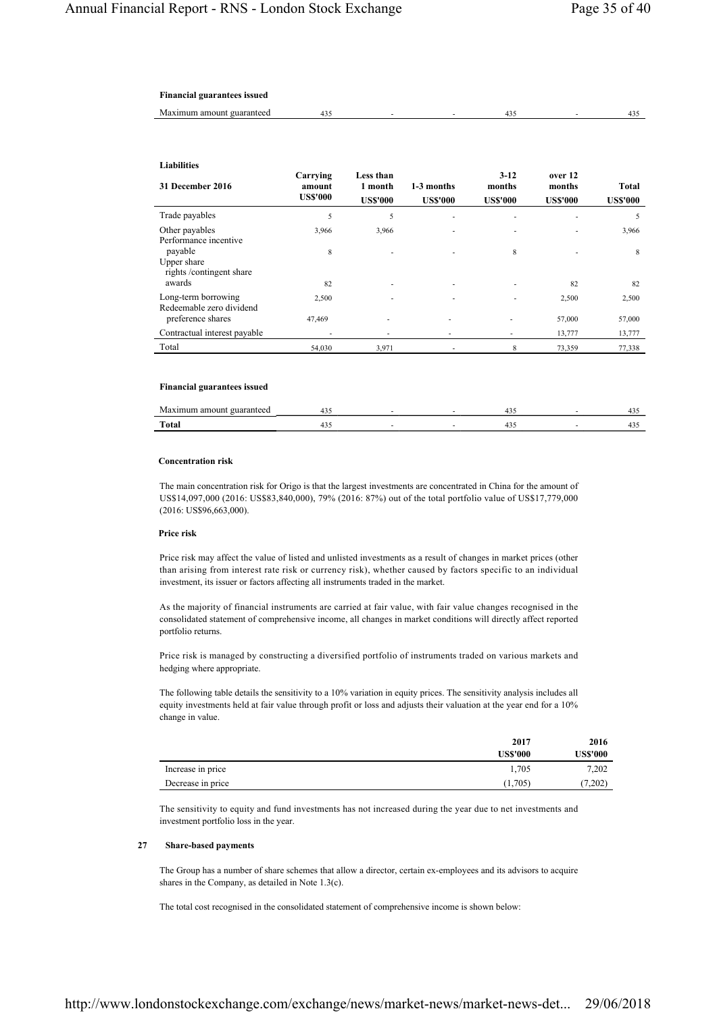# **Financial guarantees issued**

| -Mz<br>amount !<br>™ ouaranteed –<br>ոսու |  |  |  |
|-------------------------------------------|--|--|--|
|                                           |  |  |  |

# **Liabilities**

| 31 December 2016                                  | Carrying<br>amount<br><b>US\$'000</b> | Less than<br>1 month<br><b>US\$'000</b> | 1-3 months<br><b>US\$'000</b> | $3 - 12$<br>months<br><b>US\$'000</b> | over 12<br>months<br><b>US\$'000</b> | <b>Total</b><br><b>US\$'000</b> |
|---------------------------------------------------|---------------------------------------|-----------------------------------------|-------------------------------|---------------------------------------|--------------------------------------|---------------------------------|
| Trade payables                                    | 5                                     | 5                                       |                               |                                       |                                      | 5                               |
| Other payables<br>Performance incentive           | 3,966                                 | 3,966                                   |                               |                                       |                                      | 3,966                           |
| payable<br>Upper share<br>rights/contingent share | 8                                     |                                         |                               | 8                                     |                                      | 8                               |
| awards                                            | 82                                    |                                         | ۰.                            |                                       | 82                                   | 82                              |
| Long-term borrowing<br>Redeemable zero dividend   | 2,500                                 |                                         | ۰                             |                                       | 2,500                                | 2,500                           |
| preference shares                                 | 47,469                                | ۰                                       |                               |                                       | 57,000                               | 57,000                          |
| Contractual interest payable                      | ٠                                     | ٠                                       |                               |                                       | 13,777                               | 13,777                          |
| Total                                             | 54,030                                | 3,971                                   | ۰                             | 8                                     | 73,359                               | 77,338                          |

## **Financial guarantees issued**

| M     |  |  |  |
|-------|--|--|--|
| Total |  |  |  |

#### **Concentration risk**

The main concentration risk for Origo is that the largest investments are concentrated in China for the amount of US\$14,097,000 (2016: US\$83,840,000), 79% (2016: 87%) out of the total portfolio value of US\$17,779,000 (2016: US\$96,663,000).

### **Price risk**

Price risk may affect the value of listed and unlisted investments as a result of changes in market prices (other than arising from interest rate risk or currency risk), whether caused by factors specific to an individual investment, its issuer or factors affecting all instruments traded in the market.

As the majority of financial instruments are carried at fair value, with fair value changes recognised in the consolidated statement of comprehensive income, all changes in market conditions will directly affect reported portfolio returns.

Price risk is managed by constructing a diversified portfolio of instruments traded on various markets and hedging where appropriate.

The following table details the sensitivity to a 10% variation in equity prices. The sensitivity analysis includes all equity investments held at fair value through profit or loss and adjusts their valuation at the year end for a 10% change in value.

|                   | 2017            | 2016     |
|-------------------|-----------------|----------|
|                   | <b>US\$'000</b> | US\$'000 |
| Increase in price | 1,705           | 7,202    |
| Decrease in price | (1,705)         | (7,202)  |

The sensitivity to equity and fund investments has not increased during the year due to net investments and investment portfolio loss in the year.

### **27 Share-based payments**

The Group has a number of share schemes that allow a director, certain ex-employees and its advisors to acquire shares in the Company, as detailed in Note 1.3(c).

The total cost recognised in the consolidated statement of comprehensive income is shown below: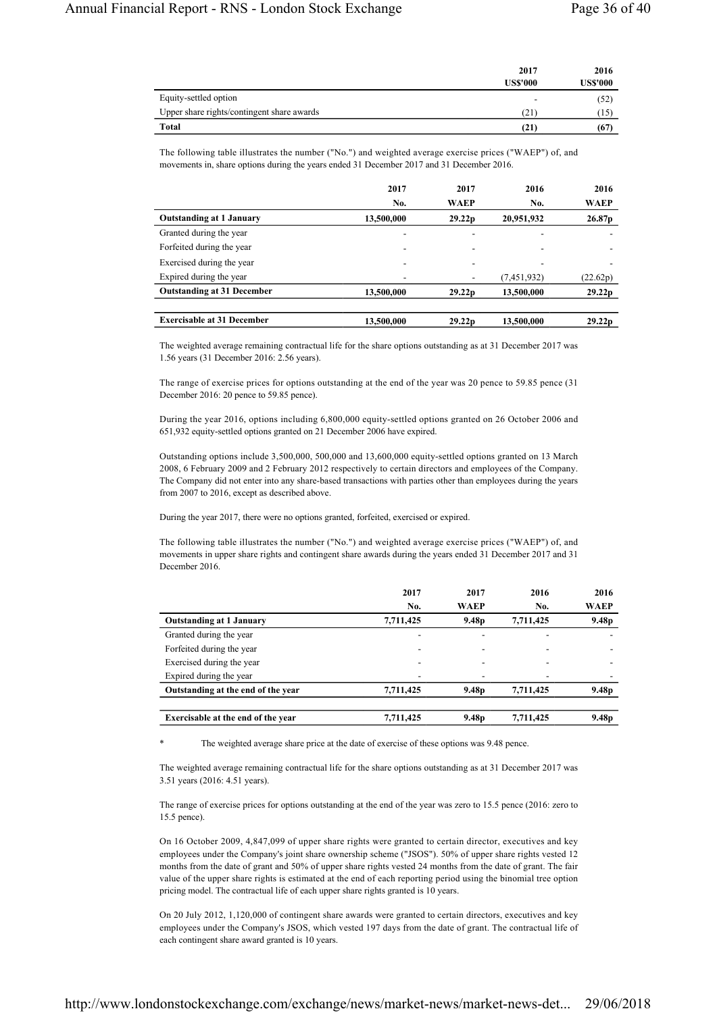|                                            | 2017<br><b>US\$'000</b> | 2016<br><b>US\$'000</b> |
|--------------------------------------------|-------------------------|-------------------------|
| Equity-settled option                      | -                       | (52)                    |
| Upper share rights/contingent share awards | (21)                    | (15)                    |
| <b>Total</b>                               | (21)                    | (67)                    |

The following table illustrates the number ("No.") and weighted average exercise prices ("WAEP") of, and movements in, share options during the years ended 31 December 2017 and 31 December 2016.

|                                   | 2017       | 2017                     | 2016                     | 2016                     |
|-----------------------------------|------------|--------------------------|--------------------------|--------------------------|
|                                   | No.        | WAEP                     | No.                      | <b>WAEP</b>              |
| <b>Outstanding at 1 January</b>   | 13,500,000 | 29.22 <sub>p</sub>       | 20,951,932               | 26.87 <sub>p</sub>       |
| Granted during the year           | ٠          | $\overline{\phantom{a}}$ | $\overline{\phantom{a}}$ |                          |
| Forfeited during the year         | -          | $\overline{\phantom{a}}$ | ۰                        | $\overline{\phantom{a}}$ |
| Exercised during the year         | -          | $\overline{\phantom{a}}$ | ٠                        |                          |
| Expired during the year           | -          |                          | (7,451,932)              | (22.62p)                 |
| <b>Outstanding at 31 December</b> | 13,500,000 | 29.22 <sub>p</sub>       | 13,500,000               | 29.22 <sub>p</sub>       |
|                                   |            |                          |                          |                          |
| <b>Exercisable at 31 December</b> | 13,500,000 | 29.22 <sub>p</sub>       | 13,500,000               | 29.22 <sub>p</sub>       |

The weighted average remaining contractual life for the share options outstanding as at 31 December 2017 was 1.56 years (31 December 2016: 2.56 years).

The range of exercise prices for options outstanding at the end of the year was 20 pence to 59.85 pence (31 December 2016: 20 pence to 59.85 pence).

During the year 2016, options including 6,800,000 equity-settled options granted on 26 October 2006 and 651,932 equity-settled options granted on 21 December 2006 have expired.

Outstanding options include 3,500,000, 500,000 and 13,600,000 equity-settled options granted on 13 March 2008, 6 February 2009 and 2 February 2012 respectively to certain directors and employees of the Company. The Company did not enter into any share-based transactions with parties other than employees during the years from 2007 to 2016, except as described above.

During the year 2017, there were no options granted, forfeited, exercised or expired.

The following table illustrates the number ("No.") and weighted average exercise prices ("WAEP") of, and movements in upper share rights and contingent share awards during the years ended 31 December 2017 and 31 December 2016.

|                                    | 2017                     | 2017              | 2016      | 2016              |
|------------------------------------|--------------------------|-------------------|-----------|-------------------|
|                                    | No.                      | WAEP              | No.       | <b>WAEP</b>       |
| <b>Outstanding at 1 January</b>    | 7,711,425                | 9.48 <sub>p</sub> | 7,711,425 | 9.48 <sub>p</sub> |
| Granted during the year            | $\overline{\phantom{0}}$ |                   |           |                   |
| Forfeited during the year          |                          |                   |           |                   |
| Exercised during the year          | $\overline{\phantom{0}}$ |                   |           |                   |
| Expired during the year            | $\overline{\phantom{0}}$ |                   |           |                   |
| Outstanding at the end of the year | 7,711,425                | 9.48 <sub>p</sub> | 7,711,425 | 9.48 <sub>p</sub> |
| Exercisable at the end of the year | 7.711.425                | 9.48 <sub>p</sub> | 7.711.425 | 9.48 <sub>p</sub> |

The weighted average share price at the date of exercise of these options was 9.48 pence.

The weighted average remaining contractual life for the share options outstanding as at 31 December 2017 was 3.51 years (2016: 4.51 years).

The range of exercise prices for options outstanding at the end of the year was zero to 15.5 pence (2016: zero to 15.5 pence).

On 16 October 2009, 4,847,099 of upper share rights were granted to certain director, executives and key employees under the Company's joint share ownership scheme ("JSOS"). 50% of upper share rights vested 12 months from the date of grant and 50% of upper share rights vested 24 months from the date of grant. The fair value of the upper share rights is estimated at the end of each reporting period using the binomial tree option pricing model. The contractual life of each upper share rights granted is 10 years.

On 20 July 2012, 1,120,000 of contingent share awards were granted to certain directors, executives and key employees under the Company's JSOS, which vested 197 days from the date of grant. The contractual life of each contingent share award granted is 10 years.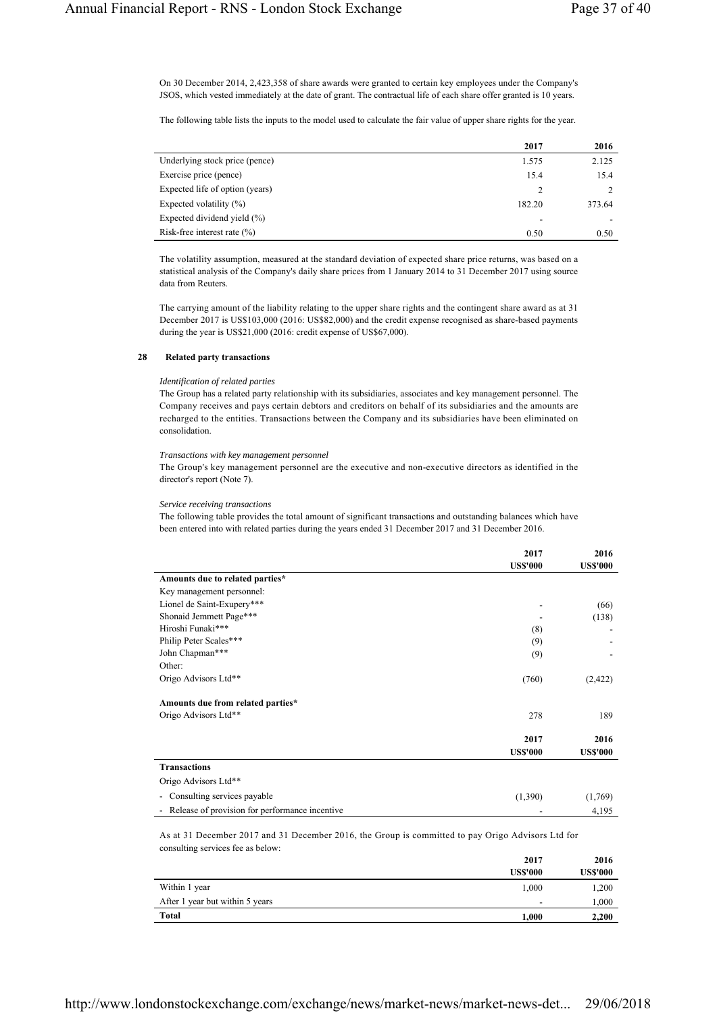On 30 December 2014, 2,423,358 of share awards were granted to certain key employees under the Company's JSOS, which vested immediately at the date of grant. The contractual life of each share offer granted is 10 years.

The following table lists the inputs to the model used to calculate the fair value of upper share rights for the year.

|                                 | 2017   | 2016   |
|---------------------------------|--------|--------|
| Underlying stock price (pence)  | 1.575  | 2.125  |
| Exercise price (pence)          | 15.4   | 15.4   |
| Expected life of option (years) |        |        |
| Expected volatility $(\%)$      | 182.20 | 373.64 |
| Expected dividend yield (%)     |        |        |
| Risk-free interest rate $(\% )$ | 0.50   | 0.50   |

The volatility assumption, measured at the standard deviation of expected share price returns, was based on a statistical analysis of the Company's daily share prices from 1 January 2014 to 31 December 2017 using source data from Reuters.

The carrying amount of the liability relating to the upper share rights and the contingent share award as at 31 December 2017 is US\$103,000 (2016: US\$82,000) and the credit expense recognised as share-based payments during the year is US\$21,000 (2016: credit expense of US\$67,000).

#### **28 Related party transactions**

#### *Identification of related parties*

The Group has a related party relationship with its subsidiaries, associates and key management personnel. The Company receives and pays certain debtors and creditors on behalf of its subsidiaries and the amounts are recharged to the entities. Transactions between the Company and its subsidiaries have been eliminated on consolidation.

### *Transactions with key management personnel*

The Group's key management personnel are the executive and non-executive directors as identified in the director's report (Note 7).

#### *Service receiving transactions*

The following table provides the total amount of significant transactions and outstanding balances which have been entered into with related parties during the years ended 31 December 2017 and 31 December 2016.

|                                   | 2017                    | 2016                    |
|-----------------------------------|-------------------------|-------------------------|
|                                   | <b>US\$'000</b>         | <b>US\$'000</b>         |
| Amounts due to related parties*   |                         |                         |
| Key management personnel:         |                         |                         |
| Lionel de Saint-Exupery***        |                         | (66)                    |
| Shonaid Jemmett Page***           |                         | (138)                   |
| Hiroshi Funaki***                 | (8)                     |                         |
| Philip Peter Scales***            | (9)                     |                         |
| John Chapman***                   | (9)                     |                         |
| Other:                            |                         |                         |
| Origo Advisors Ltd**              | (760)                   | (2,422)                 |
| Amounts due from related parties* |                         |                         |
| Origo Advisors Ltd**              | 278                     | 189                     |
|                                   | 2017<br><b>US\$'000</b> | 2016<br><b>US\$'000</b> |
| <b>Transactions</b>               |                         |                         |
| Origo Advisors Ltd**              |                         |                         |
| - Consulting services payable     | (1,390)                 | (1,769)                 |

- Release of provision for performance incentive - 4,195

As at 31 December 2017 and 31 December 2016, the Group is committed to pay Origo Advisors Ltd for consulting services fee as below:

|                                 | 2017            | 2016            |
|---------------------------------|-----------------|-----------------|
|                                 | <b>US\$'000</b> | <b>US\$'000</b> |
| Within 1 year                   | 1,000           | 1,200           |
| After 1 year but within 5 years | -               | 1,000           |
| <b>Total</b>                    | 1.000           | 2,200           |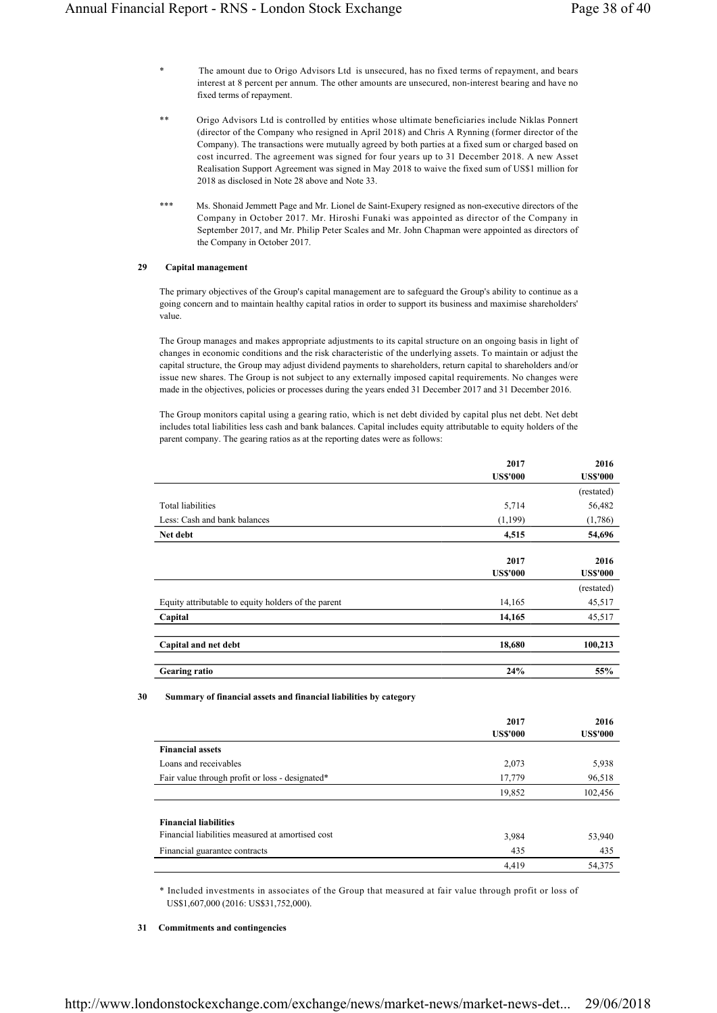- \* The amount due to Origo Advisors Ltd is unsecured, has no fixed terms of repayment, and bears interest at 8 percent per annum. The other amounts are unsecured, non-interest bearing and have no fixed terms of repayment.
- Origo Advisors Ltd is controlled by entities whose ultimate beneficiaries include Niklas Ponnert (director of the Company who resigned in April 2018) and Chris A Rynning (former director of the Company). The transactions were mutually agreed by both parties at a fixed sum or charged based on cost incurred. The agreement was signed for four years up to 31 December 2018. A new Asset Realisation Support Agreement was signed in May 2018 to waive the fixed sum of US\$1 million for 2018 as disclosed in Note 28 above and Note 33.
- \*\*\* Ms. Shonaid Jemmett Page and Mr. Lionel de Saint-Exupery resigned as non-executive directors of the Company in October 2017. Mr. Hiroshi Funaki was appointed as director of the Company in September 2017, and Mr. Philip Peter Scales and Mr. John Chapman were appointed as directors of the Company in October 2017.

### **29 Capital management**

The primary objectives of the Group's capital management are to safeguard the Group's ability to continue as a going concern and to maintain healthy capital ratios in order to support its business and maximise shareholders' value.

The Group manages and makes appropriate adjustments to its capital structure on an ongoing basis in light of changes in economic conditions and the risk characteristic of the underlying assets. To maintain or adjust the capital structure, the Group may adjust dividend payments to shareholders, return capital to shareholders and/or issue new shares. The Group is not subject to any externally imposed capital requirements. No changes were made in the objectives, policies or processes during the years ended 31 December 2017 and 31 December 2016.

The Group monitors capital using a gearing ratio, which is net debt divided by capital plus net debt. Net debt includes total liabilities less cash and bank balances. Capital includes equity attributable to equity holders of the parent company. The gearing ratios as at the reporting dates were as follows:

|                                                     | 2017<br><b>US\$'000</b> | 2016<br><b>US\$'000</b> |
|-----------------------------------------------------|-------------------------|-------------------------|
|                                                     |                         | (restated)              |
| Total liabilities                                   | 5,714                   | 56,482                  |
| Less: Cash and bank balances                        | (1,199)                 | (1,786)                 |
| Net debt                                            | 4,515                   | 54,696                  |
|                                                     | 2017<br><b>US\$'000</b> | 2016<br><b>US\$'000</b> |
|                                                     |                         | (restated)              |
| Equity attributable to equity holders of the parent | 14,165                  | 45,517                  |
| Capital                                             | 14,165                  | 45,517                  |
| Capital and net debt                                | 18,680                  | 100,213                 |
| <b>Gearing ratio</b>                                | 24%                     | 55%                     |

**30 Summary of financial assets and financial liabilities by category**

|                                                  | 2017<br><b>US\$'000</b> | 2016<br><b>US\$'000</b> |
|--------------------------------------------------|-------------------------|-------------------------|
| <b>Financial assets</b>                          |                         |                         |
| Loans and receivables                            | 2,073                   | 5,938                   |
| Fair value through profit or loss - designated*  | 17,779                  | 96,518                  |
|                                                  | 19,852                  | 102,456                 |
| <b>Financial liabilities</b>                     |                         |                         |
| Financial liabilities measured at amortised cost | 3,984                   | 53,940                  |
| Financial guarantee contracts                    | 435                     | 435                     |
|                                                  | 4,419                   | 54,375                  |

\* Included investments in associates of the Group that measured at fair value through profit or loss of US\$1,607,000 (2016: US\$31,752,000).

## **31 Commitments and contingencies**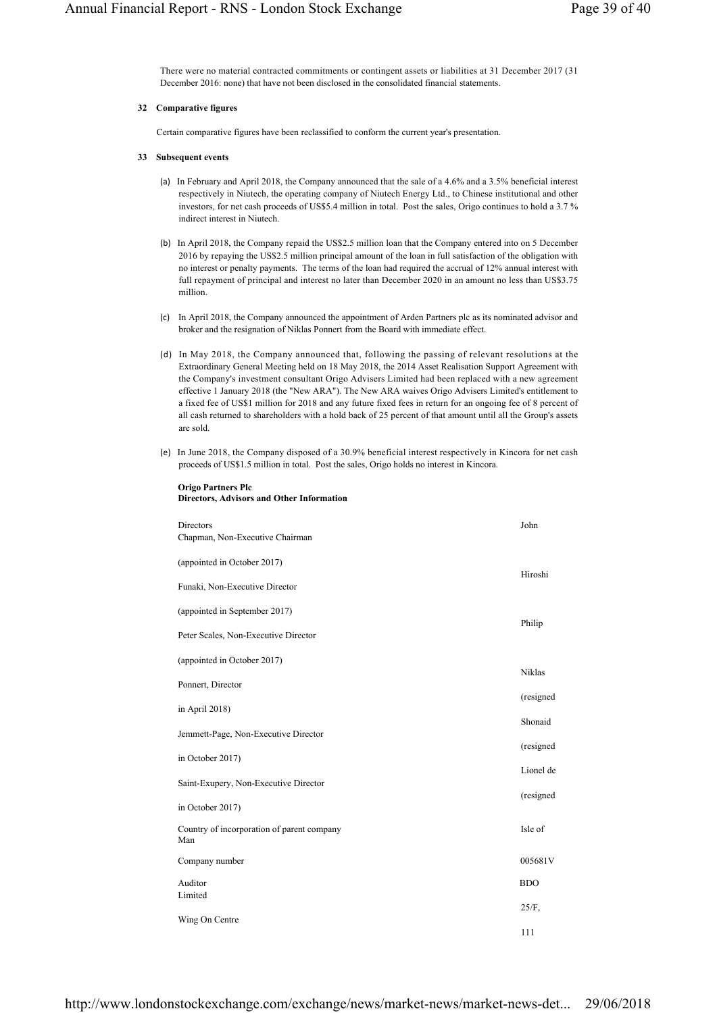There were no material contracted commitments or contingent assets or liabilities at 31 December 2017 (31 December 2016: none) that have not been disclosed in the consolidated financial statements.

# **32 Comparative figures**

Certain comparative figures have been reclassified to conform the current year's presentation.

# **33 Subsequent events**

- (a) In February and April 2018, the Company announced that the sale of a 4.6% and a 3.5% beneficial interest respectively in Niutech, the operating company of Niutech Energy Ltd., to Chinese institutional and other investors, for net cash proceeds of US\$5.4 million in total. Post the sales, Origo continues to hold a 3.7 % indirect interest in Niutech.
- (b) In April 2018, the Company repaid the US\$2.5 million loan that the Company entered into on 5 December 2016 by repaying the US\$2.5 million principal amount of the loan in full satisfaction of the obligation with no interest or penalty payments. The terms of the loan had required the accrual of 12% annual interest with full repayment of principal and interest no later than December 2020 in an amount no less than US\$3.75 million.
- (c) In April 2018, the Company announced the appointment of Arden Partners plc as its nominated advisor and broker and the resignation of Niklas Ponnert from the Board with immediate effect.
- (d) In May 2018, the Company announced that, following the passing of relevant resolutions at the Extraordinary General Meeting held on 18 May 2018, the 2014 Asset Realisation Support Agreement with the Company's investment consultant Origo Advisers Limited had been replaced with a new agreement effective 1 January 2018 (the "New ARA"). The New ARA waives Origo Advisers Limited's entitlement to a fixed fee of US\$1 million for 2018 and any future fixed fees in return for an ongoing fee of 8 percent of all cash returned to shareholders with a hold back of 25 percent of that amount until all the Group's assets are sold.
- (e) In June 2018, the Company disposed of a 30.9% beneficial interest respectively in Kincora for net cash proceeds of US\$1.5 million in total. Post the sales, Origo holds no interest in Kincora.

| Directors<br>Chapman, Non-Executive Chairman      | John       |
|---------------------------------------------------|------------|
| (appointed in October 2017)                       |            |
| Funaki, Non-Executive Director                    | Hiroshi    |
| (appointed in September 2017)                     | Philip     |
| Peter Scales, Non-Executive Director              |            |
| (appointed in October 2017)                       | Niklas     |
| Ponnert, Director                                 | (resigned  |
| in April 2018)                                    | Shonaid    |
| Jemmett-Page, Non-Executive Director              | (resigned  |
| in October 2017)                                  | Lionel de  |
| Saint-Exupery, Non-Executive Director             |            |
| in October 2017)                                  | (resigned) |
| Country of incorporation of parent company<br>Man | Isle of    |
| Company number                                    | 005681V    |
| Auditor<br>Limited                                | <b>BDO</b> |
| Wing On Centre                                    | $25/F$ ,   |
|                                                   | 111        |

#### **Origo Partners Plc Directors, Advisors and Other Information**